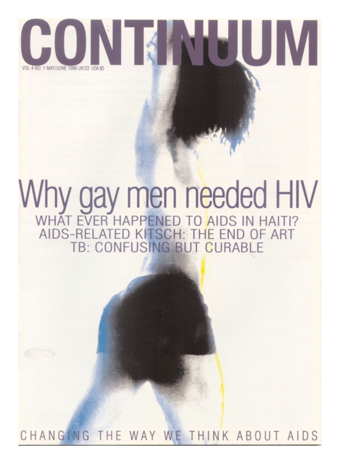

# Why gay men needed HIV AIDS-RELATED KITSCH: THE END OF ART TB: CONFUSING BUT CURABLE

CHANGING THE WAY WE THINK ABOUT AIDS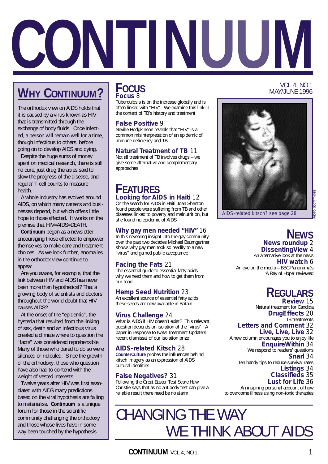

## **WHY CONTINUUM?**

The orthodox view on AIDS holds that it is caused by a virus known as HIV that is transmitted through the exchange of body fluids. Once infected, a person will remain well for a time, though infectious to others, before going on to develop AIDS and dying.

Despite the huge sums of money spent on medical research, there is still no cure, just drug therapies said to slow the progress of the disease, and regular T-cell counts to measure health.

A whole industry has evolved around AIDS, on which many careers and businesses depend, but which offers little hope to those affected. It works on the premise that HIV=AIDS=DEATH.

**Continuum** began as a newsletter encouraging those effected to empower themselves to make care and treatment choices. As we look further, anomalies in the orthodox view continue to appear.

Are you aware, for example, that the link between HIV and AIDS has never been more than hypothetical? That a growing body of scientists and doctors throughout the world doubt that HIV causes AIDS?

At the onset of the "epidemic", the hysteria that resulted from the linking of sex, death and an infectious virus created a climate where to question the "facts" was considered reprehensible. Many of those who dared to do so were silenced or ridiculed. Since the growth of the orthodoxy, those who question have also had to contend with the weight of vested interests.

Twelve years after HIV was first associated with AIDS many predictions based on the viral hypothesis are failing to materialise. **Continuum** is a unique forum for those in the scientific community challenging the orthodoxy and those whose lives have in some way been touched by the hypothesis.

## **FOCUS Focus** 8

Tuberculosis is on the increase globally and is often linked with "HIV". We examine this link in the context of TB's history and treatment

## **False Positive** 9

Neville Hodgkinson reveals that "HIV" is a common misinterpretation of an epidemic of immune deficiency and TB

## **Natural Treatment of TB** 11

Not all treatment of TB involves drugs – we give some alternative and complementary approaches

## **FEATURES Looking for AIDS in Haiti** 12

On the search for AIDS in Haiti Joan Shenton found people were suffering from TB and other diseases linked to poverty and malnutrition, but she found no epidemic of AIDS

## **Why gay men needed "HIV"** 16

In this revealing insight into the gay community over the past two decades Michael Baumgartner shows why gay men took so readily to a new "virus" and gained public acceptance

## **Facing the Fats** 21

The essential guide to essential fatty acids – why we need them and how to get them from our food

## **Hemp Seed Nutrition** 23

An excellent source of essential fatty acids, these seeds are now available in Britain

## **Virus Challenge** 24

What is AIDS if HIV doesn't exist? This relevant question depends on isolation of the "virus". A paper in response to NAM Treatment Update's recent dismissal of our isolation prize

## **AIDS-related Kitsch** 28

**CounterCulture** probes the influences behind kitsch imagery as an expression of AIDS cultural identities

## **False Negatives?** 31

Following the Great Easter Test Scare Huw Christie says that as no antibody test can give a reliable result there need be no alarm



VOL 4, NO 1

PHOTO: SCOTT THODE

## **NEWS**

**News roundup** 2 **DissentingView** 4 An alternative look at the news **HIV watch** 6 An eye on the media – BBC Panorama's 'A Ray of Hope' reviewed

AIDS-related kitsch? see page 28

## **REGULARS Review** 15

Natural treatment for Candida **DrugEffects** 20 TB treatments **Letters and Comment** 32 **Live, Live, Live** 32 A new column encourages you to enjoy life **EnquireWithin** 34 We respond to readers' questions **Snarl** 34 Ten handy tips to reduce survival rates **Listings** 34

### **Classifieds** 35 **Lust for Life** 36

An inspiring personal account of how to overcome illness using non-toxic therapies

## CHANGING THE WAY WE THINK ABOUT AIDS

**CONTINUUM** VOL 4, NO 1 1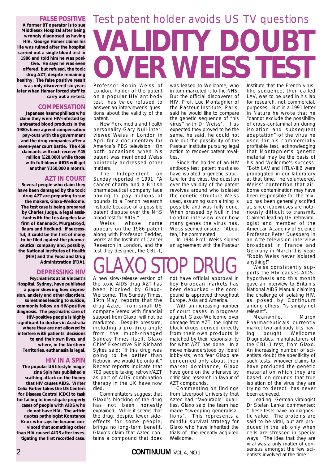## **FALSE POSITIVE**

**A former BT operator is to sue Middlesex Hospital after being wrongly diagnosed as having HIV. George Hamer claims his life was ruined after the hospital carried out a single blood test in 1986 and told him he was positive. He says he was even offered, but refused, the toxic drug AZT, despite remaining healthy. The false positive result was only discovered six years later when Hamer forced staff to carry out a re-test.**

## **COMPENSATION**

**Japanese haemophiliacs who claim they were HIV-infected by untreated blood products in the 1980s have agreed compensation pay-outs with the government and the drug companies after a seven-year court battle. The 458 claimants will each receive Y45 million (£28,000) while those with full-blown AIDS will get another Y150,000 a month.**

## **AZT IN COURT**

**Several people who claim they have been damaged by the toxic drug AZT are preparing to sue the makers, Glaxo-Wellcome. The test case is being prepared by Charles Judge, a legal assistant with the Los Angeles law firm of Kananack, Murgatroyd, Baum and Hedlund. If successful, it could be the first of many to be filed against the pharmaceutical company and, possibly, the National Institutes of Health (NIH) and the Food and Drug Administration (FDA).**

## **DEPRESSING HIV**

**Psychiatrists at St Vincent's Hospital, Sydney, have published a paper showing how depression, anxiety and other disorders, sometimes leading to suicide, commonly follow an HIV-positive diagnosis. The psychiatric care of HIV-positive people is highly significant to doctors in Australia where they are not allowed to interfere with patients' decisions to end their own lives, and where, in the Northern Territories, euthanasia is legal.**

## **HIV IN A SPIN**

**The popular US lifestyle magazine Spin has published a scathing attack on the theory that HIV causes AIDS. Writer Celia Farber takes the US Centers for Disease Control (CDC) to task for failing to investigate properly cases of people with AIDS who do not have HIV. The article quotes pathologist Konstance Knox who says he became convinced that something other than HIV caused AIDS after investigating the first recorded case.**

# **VALIDITY DOUBT OVER WEISS TEST** Test patent holder avoids US TV questions

Professor Robin Weiss of London, holder of the patent on a popular HIV antibody test, has twice refused to answer an interviewer's questions about the validity of the patent.

New York media and health personality Gary Null interviewed Weiss in London in April for a documentary for America's PBS television. On both occasions when his patent was mentioned Weiss pointedly addressed other matters.

The Independent on Sunday reported in 1991: "A cancer charity and a British pharmaceutical company face having to pay millions of pounds to a French research institute because of a possible patent dispute over the NHS blood test for AIDS."

Weiss, whose name appears on the 1986 patent along with Professor Tedder, works at the Institute of Cancer Research in London, and the test they designed, the CBL-1,

was leased to Wellcome, who in turn marketed it to the NHS. But the official discoverer of HIV, Prof. Luc Montagnier of the Pasteur Institute, Paris, said he would like to compare the genetic sequence of "his virus" with Dr Weiss'. If as expected they proved to be the same, he said, he could not rule out the possibility of the Pasteur Institute pursuing legal action to recover patent royalties.

Since the holder of an HIV antibody test patent must also have isolated a genetic structure for the virus, the question over the validity of the patent revolves around who isolated the genetic structure Weiss used, assuming such a thing is possible and was fully done. When pressed by Null in the London interview over how many genes the virus has, Weiss seemed unsure. "About ten," he commented.

In 1984 Prof. Weiss signed an agreement with the Pasteur

# GLAXO STOP DRUG

A new slow-release version of the toxic AIDS drug AZT has been blocked by Glaxo-Wellcome. The Sunday Times, 19th May, reports that the drug Aztec, from small US company Verex with financial support from Glaxo, will not be marketed. Despite pressure, including a pro-drug angle from the much-changed Sunday Times itself, Glaxo Chief Executive Sir Richard Sykes said: "If this drug was going to be better than Retrovir, we would be onto it." Recent reports indicate that 700 people taking retrovir/AZT as part of AIDS combination therapy in the UK have now died.

Commentators suggest that Glaxo's blocking of the drug has not been honestly explained. While it seems that the drug, despite fewer sideeffects for some people, brings no long-term benefit, Glaxo's claim that Aztec contains a compound that does not have official approval in key European markets has been debunked – the compound is approved throughout Europe, Asia and America.

With an increasing number of court cases in progress against Glaxo-Wellcome over damage from AZT, the right to block drugs derived directly from their own products is matched by their responsibility for what AZT has done. In a move misunderstood by liberal lobbyists, who fear Glaxo are concerned only about their market dominance, Glaxo have gone on the offensive by criticising research in favour of AZT compounds.

Commenting on findings from Liverpool University that Aztec had "favourable" qualities, Glaxo said the team had made "sweeping generalisations". This represents a mindful survival strategy for Glaxo who have inherited the trials of the recently acquired Wellcome.

## 2 **CONTINUUM** VOL 4, NO 1

Institute that the French viruslike sequence, then called LAV, was to be used in his lab for research, not commercial, purposes. But in a 1991 letter in Nature he wrote that he "cannot exclude the possibility of cross-contamination during isolation and subsequent adaptation" of the virus he used for his commercially profitable test, acknowledging that Montagnier's genetic material may be the basis of his and Wellcome's success. "Both LAV and HTLV-IIIB were propagated in our laboratory at that time," he volunteered. Weiss' contention that airborne contamination may have been responsible for the mixup has been generally scoffed at, since retroviruses are notoriously difficult to transmit. Claimed leading US retrovirologist and member of the American Academy of Science Professor Peter Duesberg in an Arté television interview broadcast in France and Germany in March this year: "Robin Weiss never isolated anything!"

Weiss consistently supports the HIV-causes-AIDShypothesis and this month gave an interview to Britain's National AIDS Manual claiming the challenge of isolating HIV, as posed by Continuum among others, "is simply not relevant".

Meanwhile, Murex Pharmaceuticals currently market two antibody kits having bought Wellcome Diagnostics, manufacturers of the CBL-1 test, from Glaxo. An increasing number of scientists doubt the specificity of such tests, whoever claims to have produced the genetic material on which they are based, on grounds that true isolation of the virus they are trying to detect has never been achieved.

Leading German virologist Dr Stefan Lanka commented: "These tests have no diagnostic value. The proteins are said to be viral, but are produced in the lab only when cells are stressed in special ways. The idea that they are viral was a only matter of consensus amongst the few scientists involved at the time."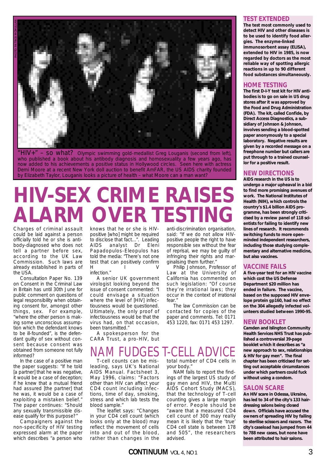

"HIV+" – so what? Olympic swimming gold-medallist Greg Louganis (second from left), who published a book about his antibody diagnosis and homosexuality a few years ago, has now added to his achievements a positive status in Hollywood circles. Seen here with actress Demi Moore at a recent New York doll auction to benefit AmFAR, the US AIDS charity founded by Elizabeth Taylor, Louganis looks a picture of health – what Moore can a man want?

# **HIV-SEX CRIME RAISES ALARM OVER TESTING**

Charges of criminal assault could be laid against a person officially told he or she is antibody-diagnosed who does not tell a partner before sex, according to the UK Law Commission. Such laws are already established in parts of the USA.

Consultation Paper No. 139 on Consent in the Criminal Law in Britain has until 30th June for public comment on questions of legal responsibility when obtaining consent for, amongst other things, sex. For example, "where the other person is making some unconscious assumption which the defendant knows to be ill-founded", is the defendant guilty of sex without consent because consent was obtained from someone not fully informed?

In the case of a positive man the paper suggests: "If he told [a partner] that he was negative, it would be a case of deception; if he knew that a mutual friend had assured [the partner] that he was, it would be a case of exploiting a mistaken belief." The paper continues: "Should any sexually transmissible disease qualify for this purpose?"

Campaigners against the non-specificity of HIV testing expressed alarm at the paper which describes "a person who knows that he or she is HIVpositive [who] might be required to disclose that fact...". Leading<br>AIDS analyst Dr Eleni analyst Dr Eleni Papadopulos-Eleopulos has told the media: "There's not one test that can positively confirm HIV infection."

A senior UK government virologist looking beyond the issue of consent commented: "I could envisage a situation where the level of [HIV] infectiousness would be questioned. Ultimately, the only proof of infectiousness would be that the virus had, on that occasion, been transmitted."

A spokesperson for the CARA Trust, a pro-HIV, but

T-cell counts can be misleading, says UK's National AIDS Manual. Factsheet 3, May 1996, claims: "Factors other than HIV can affect your CD4 count including infections, time of day, smoking, stress and which lab tests the blood sample."

The leaflet says: "Changes in your CD4 cell count (which looks only at the blood) may reflect the movement of cells into and out of the blood, rather than changes in the

anti-discrimination organisation, said: "If we do not allow HIVpositive people the right to have responsible sex without the fear of reprisal, we may be guilty of infringing their rights and marginalising them further."

Philip Johnson, Professor of Law at the University of California has commented on such legislation: "Of course they're irrational laws; they occur in the context of irrational foar $'$ 

The law Commission can be contacted for copies of the paper and comments. Tel: 0171 453 1220, fax: 0171 453 1297.

## NAM FUDGES T-CELL ADVICE total number of CD4 cells in

your body."

NAM fails to report the findings of the largest US study of gay men and HIV, the Multi AIDS Cohort Study (MACS), that the technology of T-cell counting gives a large margin of error. People should be "aware that a measured CD4 cell count of 300 may really mean it is likely that the 'true' CD4 cell state is between 178 and 505", the researchers advised.

### **TEST EXTENDED**

**The test most commonly used to detect HIV and other diseases is to be used to identify food allergies. The enzyme-linked immunosorbent assay (ELISA), extended to HIV in 1985, is now regarded by doctors as the most reliable way of spotting allergic reactions in up to 90 different food substances simultaneously.**

## **HOME TESTING**

**The first D-I-Y test kit for HIV antibodies is to go on sale in US drug stores after it was approved by the Food and Drug Administration (FDA). The kit, called Confide, by Direct Access Diagnostics, a subsidiary of Johnson & Johnson, involves sending a blood-spotted paper anonymously to a special laboratory. Negative results are given by a recorded message on a freephone number but callers are put through to a trained counsellor for a positive result.**

## **NEW DIRECTIONS**

**AIDS research in the US is to undergo a major upheaval in a bid to find more promising avenues of work. The National Institutes of Health (NIH), which controls the country's \$1.4 billion AIDS programme, has been strongly criticised by a review panel of 118 scientists for failing to identify new lines of research. It recommends switching funds to more openminded independent researchers, including those studying complementary and alternative medicine, but also vaccines.**

## **VACCINE FAILS**

**A five-year test for an HIV vaccine which cost the US Defense Department \$20 million has ended in failure. The vaccine, based on the supposed HIV envelope protein gp160, had no effect on the 304 allegedly infected volunteers studied between 1990-95.**

## **NEW BOOKLET**

**Camden and Islington Community Health Services NHS Trust has published a controversial 39-page booklet which it describes as "a new approach to sex, relationships & HIV for gay men". The final chapter has been criticised for setting out acceptable circumstances under which partners could fuck without using a condom.**

### **SALON SCARE**

**An HIV scare in Odessa, Ukraine, has led to 34 of the city's 133 hairdressing salons being closed down. Officials have accused the owners of spreading HIV by failing to sterilise scissors and razors. The city's caseload has jumped from 44 to 788 new cases, but none have been attributed to hair salons.**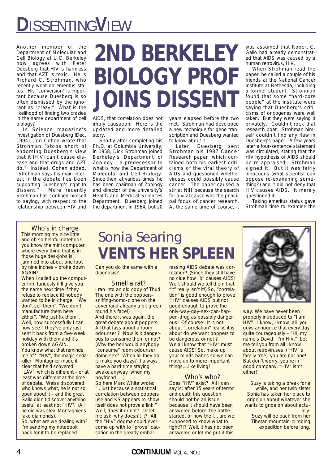# **D**ISSENTING**V**IEW

Another member of the Department of Molecular and Cell Biology at U.C. Berkeley now agrees with Peter Duesberg that HIV is harmless and that AZT is toxic. He is Richard C. Strohman, who recently went on emeritus status. His "conversion" is important because Duesberg is so often dismissed by the ignorant as "crazy." What is the likelihood of finding two crazies in the same department of cell biology?

In Science magazine's investigation of Duesberg (Dec. 1994), Jon Cohen wrote that Strohman "stops short of endorsing Duesberg's view that it [HIV] can't cause disease and that drugs and AZT do." Instead, Cohen added, "Strohman says his main interest in the debate has been supporting Duesberg's right to dissent." More recently Strohman has confined himself to saying, with respect to the relationship between HIV and

# **2ND BERKELEY BIOLOGY PROF JOINS DISSENT**

AIDS, that correlation does not imply causation. Here is the updated and more detailed story.

Shortly after completing his Ph.D. at Columbia University, in 1958, Dick Strohman joined Berkeley's Department of Zoology – a predecessor to what is now the Department of Molecular and Cell Biology. Since then, at various times, he has been chairman of Zoology and director of the university's Health and Medical Sciences Department. Duesberg joined the department in 1964, but 20

years elapsed before the two met. Strohman had developed a new technique for gene transcription and Duesberg wanted to know about it.

Later, Duesberg sent Strohman his 1987 Cancer Research paper which contained both his earliest criticisms of the viral theory of AIDS and questioned whether viruses could possibly cause cancer. The paper caused a stir at NIH because the search for a viral cause was the principal focus of cancer research. At the same time of course, it was assumed that Robert C. Gallo had already demonstrated that AIDS was caused by a human retrovirus, HIV.

When Strohman read the paper, he called a couple of his friends at the National Cancer Institute at Bethesda, including a former student. Strohman found that some "hard-core people" at the institute were saying that Duesberg's criticisms of oncogenes were well taken. But they were saying it privately. Couldn't rock that research boat. Strohman himself couldn't find any flaw in Duesberg's paper. A few years later a four-sentence statement was circulated, stating that the HIV hypothesis of AIDS should be re-appraised. Strohman signed it. But it was fairly innocuous (what scientist can oppose re-examining something?) and it did not deny that HIV causes AIDS. It merely questioned it.

Taking emeritus status gave Strohman time to examine the

## Who's in charge

This morning my nice little and oh so helpful notebook – you know the mini computer where every thing that is in those huge deskjobs is jammed into about one foot by nine inches – broke down AGAIN!

When I called up the computer firm furiously (I'll give you the name next time if they refuse to replace it) nobody wanted to be in charge. "We don't sell them", "We don't manufacture them here either", "We just fix them". Well, how successfully I can now see ! They've only just sent it back from a five-week holiday with them and it's broken down AGAIN. You know what that reminds me of? "HIV", the magic serial killer. Montagnier made it clear that he discovered "LAV", which is different – or at least was different at the time of debate. Weiss discovered who knows what, he is not so open about it – and the great Gallo didn't discover anything useful, at least not "HIV". (All he did was steal Montagnier's fake diamonds).

So, what are we dealing with? I'm sending my notebook back for it to be replaced!

## Sonia Searing **VENTS HER SPLEEN**

Can you do the same with a diagnosis?

### Smell a rat? I ran into an old copy of Thud. The one with the popperssniffing-homo-clone on the cover (and already a bit green round his face!) And there it was again, the great debate about poppers. All that fuss about a room odouriser!? Now is it dangerous to consume them or not? (Why the hell would anybody "consume" room odouriser doing sex? When all they do is make you dizzy? I always have a hard time staying awake anyway when my boyfriend ....) So here Mark White wrote:

"...just because a statistical correlation between poppers use and KS appears to show itself does not prove a link." Well, does it or not? Or let me ask, why doesn't it? All the "HIV" dogma could ever come up with to "prove" causation in the greatly embarrassing AIDS debate was correlation! (Since they still have no clue how "it" causes AIDS! Well, should we tell them that "it" really isn't it!) So, "correlation" is good enough to prove "HIV" causes AIDS but not good enough to prove the only-way-gay-sex-can-happen-drug as possibly dangerous! Of course! It is not about "correlation" really, it is about do we want poppers to be dangerous or not!? We all know that "HIV" must cause AIDS! So, make up your minds babes so we can move up to more important things....like living!

## Who's who?

Does "HIV" exist? All I can say is: after 15 years of terror and death this question should not be an issue because it should have been answered before the battle started, or how the f... are we supposed to know what to fight!?!? Well, it has not been answered or let me put it this



way: We have never been properly introduced to "I am HIV". I know, I know, all you guys announce that every day quite courageously – "Hi, my name's David. I'm HIV." Let me tell you from all I know about retroviruses, ("HIV"'s family tree), you are not one! But don't worry, you're in good company: "HIV" isn't either!

Suzy is taking a break for a while, and her twin sister Sonia has taken her place to gripe on about whatever she wants to gripe on about actually!

Suzy will be back from her Tibetan mountain-climbing expedition before long.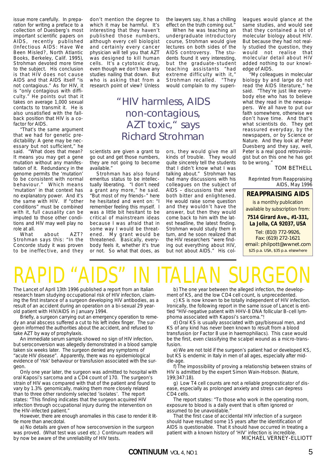issue more carefully. In preparation for writing a preface to a collection of Duesberg's most important scientific papers on AIDS, recently published (Infectious AIDS: Have We Been Misled?, North Atlantic Books, Berkeley, Calif. 1995), Strohman devoted more time to the subject. His conclusion is that HIV does not cause AIDS and that AIDS itself "is not contagious." As for HIV, it is "only contagious with difficulty." He points out that it takes on average 1,000 sexual contacts to transmit it. He is also unsatisfied with the fallback position that HIV is a cofactor for AIDS.

"That's the same argument that we had for genetic predictability: A gene may be necessary but not sufficient," he said. "What does that mean? It means you may get a gene mutation without any manifestation of it. Redundancy in the genome permits the 'mutation' to be consistent with normal behaviour." Which means 'mutation' in that context has no explanatory power. And it's the same with HIV. If "other conditions" must be combined with it, full causality can be imputed to those other conditions and HIV may well play no role at all.

What about AZT? Strohman says this: "In the Concorde study it was proven to be ineffective, and they don't mention the degree to which it may be harmful. It's interesting that they haven't published those numbers, although every cell biologist and certainly every cancer physician will tell you that AZT was designed to kill human cells. It's a cytotoxic drug, even though we don't have any studies nailing that down. But who is asking that from a research point of view? Unless

the lawyers say, it has a chilling effect on the truth coming out."

When he was teaching an undergraduate introductory course, Strohman would give lectures on both sides of the AIDS controversy. The students found it very interesting, but the graduate-student teaching assistants "had extreme difficulty with it," Strohman recalled. "They would complain to my superi-

## *"HIV harmless, AIDS non-contagious, AZT toxic," says Richard Strohman*

scientists are given a grant to go out and get those numbers, they are not going to become available."

Strohman has also found emeritus status to be intellectually liberating. "I don't need a grant any more," he said. "But most of my friends–" here he hesitated and went on: "I remember feeling this myself. I was a little bit hesitant to be critical of mainstream ideas because I was afraid that in some way I would be threatened. My grant would be threatened. Basically, everybody feels it, whether it's true or not. So what that does, as

ors, they would give me all kinds of trouble. They would quite sincerely tell the students that I didn't know what I was talking about." Strohman has had many discussions with his colleagues on the subject of AIDS – discussions that were both bitter and enlightened. He would raise some question and they wouldn't have the answer, but then they would come back to him with the latest headline, the latest finding. Strohman would study them in turn, and he soon realized that the HIV researchers "were finding out everything about HIV, but not about AIDS." His colleagues would glance at the same studies, and would see that they contained a lot of molecular biology about HIV. But because they had not really studied the question, they would not realise that molecular detail about HIV added nothing to our knowledge of AIDS.

"My colleagues in molecular biology by and large do not read the AIDS literature," he said. "They're just like everybody else who has to believe what they read in the newspapers. We all have to put our faith somewhere, otherwise we don't have time. And that's what scientists do. They get reassured everyday, by the newspapers, or by Science or Nature. And they look at Peter Duesberg and they say, well, Peter is a real good retrovirologist but on this one he has got to be wrong."

TOM BETHELL

Reprinted from Reappraising AIDS, May 1996

## **REAPPRAISING AIDS**

is a monthly publication available by subscription from:

**7514 Girard Ave., #1-331, La Jolla, CA 92037, USA**

Tel: (810) 772-9926, Fax: (619) 272-1621 email: philpott@wwnet.com \$25 p.a. USA, \$35 p.a. elsewhere

# RAPID "AIDS" IN ITALIAN SURGEO

The Lancet of April 13th 1996 published a report from an Italian research team studying occupational risk of HIV infection, claiming the first instance of a surgeon developing HIV antibodies, as a result of an accident during an operation on a bi-sexual 29 yearold patient with HIV/AIDS in January 1994.

Briefly, a surgeon carrying out an emergency operation to remedy an anal abscess suffered a cut to his left index finger. The surgeon informed the authorities about the accident, and refused to take AZT by way of prophylaxis.

An immediate serum sample showed no sign of HIV infection, but seroconversion was allegedly demonstrated in a blood sample taken six weeks later. The surgeon denied any symptoms of "acute HIV disease". Apparently, there was no epidemiological evidence of 'risk' behaviour or transfusion associated with the surgeon.

Only one year later, the surgeon was admitted to hospital with oral Kaposi's sarcoma and a CD4 count of 170. The surgeon's strain of HIV was compared with that of the patient and found to vary by 1.3% genomically, making them more closely related than to three other randomly selected 'isolates'. The report states: "This finding indicates that the surgeon acquired HIV infection through occupational injury during the intervention on the HIV-infected patient."

However, there are enough anomalies in this case to render it little more than anecdotal.

a) No details are given of how seroconversion in the surgeon was proved. (What test was used etc.) Continuum readers will by now be aware of the unreliability of HIV tests.

b) The one year between the alleged infection, the development of KS, and the low CD4 cell count, is unprecedented.

c) KS is now known to be totally independent of HIV infection. Ironically, the following report in the same issue of Lancet is entitled "HIV-negative patient with HHV-8 DNA follicular B-cell lymphoma associated with Kaposi's sarcoma."!

d) Oral KS is usually associated with gay/bisexual men, and KS of any kind has never been known to result from a blood transfusion (or Factor 8 use in haemophiliacs). This case would be the first, even classifying the scalpel wound as a micro-transfusion.

e) We are not told if the surgeon's patient had or developed KS, but KS is endemic in Italy in men of all ages, especially after middle-age.

f) The impossibility of proving a relationship between strains of HIV is admitted by the expert Simon Wain-Hobson. (Nature, 199;347:18).

g) Low T4 cell counts are not a reliable prognosticator of disease, especially as prolonged anxiety and stress can depress CD4 cells.

The report states: "To those who work in the operating room, exposure to blood is a daily event that is often ignored or assumed to be unavoidable."

That the first case of accidental HIV infection of a surgeon should have resulted some 15 years after the identification of AIDS is questionable. That it should have occurred in treating a patient with a known history of 'HIV' infection is incredible. MICHAEL VERNEY-ELLIOTT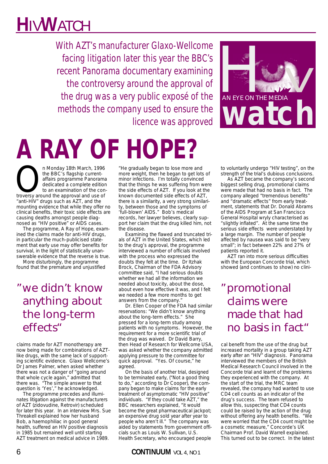# **H**IV**W**ATCH

With AZT's manufacturer Glaxo-Wellcome facing litigation later this year the BBC's recent Panorama documentary examining the controversy around the approval of the drug was a very public exposé of the methods the company used to ensure the licence was approved

# **A RAY OF HOPE?**

n Monday 18th March, 1996<br>the BBC's flagship current-<br>affairs programme Panorama<br>dedicated a complete edition<br>troversy around the approval and use of the BBC's flagship currentaffairs programme Panorama dedicated a complete edition to an examination of the con-"anti-HIV" drugs such as AZT, and the mounting evidence that while they offer no clinical benefits, their toxic side effects are causing deaths amongst people diagnosed as "HIV positive" or AIDS cases.

The programme, A Ray of Hope, examined the claims made for anti-HIV drugs, in particular the much-publicised statement that early use may offer benefits for survival, in the light of statistically unanswerable evidence that the reverse is true.

More disturbingly, the programme found that the premature and unjustified

*"we didn't know anything about the long-term effects"*

claims made for AZT monotherapy are now being made for combinations of AZTlike drugs, with the same lack of supporting scientific evidence. Glaxo Wellcome's Dr James Palmer, when asked whether there was not a danger of "going around that whole cycle again," admitted that there was. "The simple answer to that question is 'Yes'," he acknowledged.

The programme precedes and illuminates litigation against the manufacturers of AZT (zidovudine, Retrovir) scheduled for later this year. In an interview Mrs. Sue Threakell explained how her husband Bob, a haemophiliac in good general health, suffered an HIV positive diagnosis in 1985 but remained well until starting AZT treatment on medical advice in 1989.

"He gradually began to lose more and more weight, then he began to get lots of minor infections. I'm totally convinced that the things he was suffering from were the side effects of AZT. If you look at the known documented side effects of AZT, there is a similarity, a very strong similarity, between those and the symptoms of 'full-blown' AIDS." Bob's medical records, her lawyer believes, clearly support her claim that the drug killed him, not the disease.

Examining the flawed and truncated trials of AZT in the United States, which led to the drug's approval, the programme interviewed a number of officials involved with the process who expressed the doubts they felt at the time. Dr Itzhak Brock, Chairman of the FDA Advisory committee said, "I had serious doubts whether we had all the information we needed about toxicity, about the dose, about even how effective it was, and I felt we needed a few more months to get answers from the company."

Dr. Ellen Cooper of the FDA had similar reservations: "We didn't know anything about the long-term effects." She pressed for a long-term study among patients with no symptoms. However, the requirement for a more scientific trial of the drug was waived. Dr David Barry, then Head of Research for Wellcome USA, was asked whether the company admitted applying pressure to the committee for quick approval. "Yes. Of course," he agreed.

On the basis of another trial, designed to be terminated early, ("Not a good thing to do," according to Dr Cooper), the company began to make claims for the early treatment of asymptomatic "HIV positive" individuals. "If they could take AZT," the BBC researchers explained, "it would become the great pharmaceutical jackpot; an expensive drug sold year after year to people who aren't ill." The company was aided by statements from government officials such as Louis W. Sullivan, U.S. Health Secretary, who encouraged people

6 **CONTINUUM** VOL 4, NO 1



to voluntarily undergo "HIV testing", on the strength of the trial's dubious conclusions.

As AZT became the company's second biggest selling drug, promotional claims were made that had no basis in fact. The company alleged "tremendous benefits" and "dramatic effects" from early treatment, statements that Dr. Donald Abrams of the AIDS Program at San Francisco General Hospital wryly characterised as "slightly inflated". At the same time the serious side effects were understated by a large margin. The number of people affected by nausea was said to be "very small"; in fact between 22% and 27% of patients reported it.

AZT ran into more serious difficulties with the European Concorde trial, which showed (and continues to show) no clini-

*"promotional claims were made that had no basis in fact"*

cal benefit from the use of the drug but increased mortality in a group taking AZT early after an "HIV" diagnosis. Panorama interviewed the members of the British Medical Research Council involved in the Concorde trial and learnt of the problems they experienced with the company. At the start of the trial, the MRC team revealed, the company had wanted to use CD4 cell counts as an indicator of the drug's success. The team refused to allow this, suspecting that CD4 counts could be raised by the action of the drug without offering any health benefits. "We were worried that the CD4 count might be a cosmetic measure," Concorde's UK Chairman Prof. David Warrell explained. This turned out to be correct. In the latest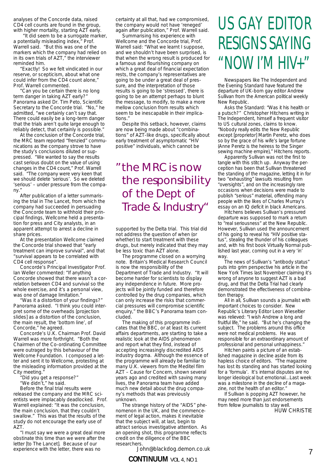analyses of the Concorde data, raised CD4 cell counts are found in the group, with higher mortality, starting AZT early.

"It did seem to be a surrogate marker, a potentially misleading index," Prof. Warrell said. "But this was one of the markers which the company had relied on in its own trials of AZT," the interviewer reminded him.

"Exactly! So we felt vindicated in our reserve, or scepticism, about what one could infer from the CD4 count alone," Prof. Warrell commented.

"Can you be certain there is no long term danger in taking AZT early?" Panorama asked Dr. Tim Peto, Scientific Secretary to the Concorde trial. "No," he admitted, "we certainly can't say that. There could easily be a long-term danger that the trials aren't quite large enough to reliably detect, that certainly is possible."

At the conclusion of the Concorde trial, the MRC team reported "frenzied" communications as the company strove to have the study's conclusions diluted or suppressed. "We wanted to say the results cast serious doubt on the value of using changes in the CD4 count," Prof. Warrell said. "The company were very keen that we should delete 'serious'. So we deleted 'serious' – under pressure from the company."

After publication of a letter summarising the trial in The Lancet, from which the company had succeeded in persuading the Concorde team to withhold their principal findings, Wellcome held a presentation for press and City analysts, in an apparent attempt to arrest a decline in share prices.

At the presentation Wellcome claimed the Concorde trial showed that "early treatment can improve survival", and that "survival appears to be correlated with CD4 cell response".

Concorde's Principal Investigator Prof. Ian Weller commented: "If anything Concorde showed that there wasn't a correlation between CD4 and survival so the whole exercise, and it's a personal view, was one of damage limitation."

"Was it a distortion of your findings?" Panorama asked. "I think you could interpret some of the overheads [projection slides] as a distortion of the conclusion, the main result, the 'bottom line', of Concorde," he agreed.

Concorde's U.K. Chairman Prof. David Warrell was more forthright. "Both the Chairmen of the Co-ordinating Committee were outraged by this behaviour of the Wellcome Foundation. I composed a letter and sent it to Wellcome, protesting at the misleading information provided at the City meeting."

"Did you get a response?"

"We didn't," he said.

Before the final trial results were released the company and the MRC scientists were implacably deadlocked. Prof. Warrell explained: "It was the conclusion, the main conclusion, that they couldn't swallow." This was that the results of the study do not encourage the early use of A<sub>7</sub>T

"I must say we were a great deal more obstinate this time than we were after the letter [to The Lancet]. Because of our experience with the letter, there was no

certainty at all that, had we compromised, the company would not have 'reneged' again after publication," Prof. Warrell said.

Summarising his experience with Wellcome and the Concorde trial, Prof. Warrell said: "What we learnt I suppose, and we shouldn't have been surprised, is that when the wrong result is produced for a famous and flourishing company on which a great deal of financial expectation rests, the company's representatives are going to be under a great deal of pressure, and the interpretation of those results is going to be 'stressed', there is going to be an attempt perhaps to blunt the message, to modify, to make a more mellow conclusion from results which seem to be inescapable in their implications."

Despite this setback, however, claims are now being made about "combinations" of AZT-like drugs, specifically about early treatment of asymptomatic "HIV positive" individuals, which cannot be

## *"the MRC is now the responsibility of the Dept of Trade & Industry"*

supported by the Delta trial. This trial did not address the question of when (or whether) to start treatment with these drugs, but merely indicated that they may be less toxic than AZT alone.

The programme closed on a worrying note. Britain's Medical Research Council is now the responsibility of the Department of Trade and Industry. "It will become harder for scientists to display any independence in future. More projects will be jointly funded and therefore controlled by the drug companies, which can only increase the risks that commercial pressures will compromise scientific enquiry," the BBC's Panorama team concluded.

The making of this programme indicates that the BBC, or at least its current affairs departments, are starting to take a realistic look at the AIDS phenomenon and report what they find, instead of accepting increasingly discredited AIDS industry dogma. Although the essence of the programme will already be familiar to many U.K. viewers from the Meditel film AZT – Cause for Concern, shown several years ago and credited with saving many lives, the Panorama team have added much new detail about the drug company's methods that was previously unknown.

The strange history of the "AIDS" phenomenon in the UK, and the commencement of legal action, makes it inevitable that the subject will, at last, begin to attract serious investigative attention. As an opening shot, this programme reflects credit on the diligence of the BBC researchers.

John@blackdog.demon.co.uk

## US GAY EDITOR RESIGNS SAYING "NOW I'M HIV+"

Newspapers like The Independent and the Evening Standard have featured the departure of UK-born gay editor Andrew Sullivan from the American political weekly New Republic.

Asks the Standard: "Was it his health or a putsch?" Christopher Hitchens writing in The Independent, himself a frequent visitor to US cultural zones, claims to know. "Nobody really edits the New Republic except [proprietor] Martin Peretz, who does so by the grace of his wife's large fortune (Anne Peretz is the heiress to the Singer sewing machine empire)," Hitchens reports.

Apparently Sullivan was not the first to tangle with this stitch up. Anyway the perception has been that Sullivan threatened the standing of the magazine, letting it in for two "exhausting" lawsuits resulting from "oversights", and on the increasingly rare occasions when decisions were made to publish "serious" material, offending many people with the likes of Charles Murray's essay on an IQ deficit in black Americans.

Hitchens believes Sullivan's pressured departure was supposed to mark a return to "real seriousness" at the New Republic. However, Sullivan used the announcement of his going to reveal his "HIV positive status", stealing the thunder of his colleagues and, with his first book Virtually Normal published last year, coming out in a very 'in' way

The news of Sullivan's "antibody status" puts into grim perspective his article in the New York Times last November claiming it's wrong of anyone to suggest AZT is a bad drug, and that the Delta Trial had clearly demonstrated the effectiveness of combination therapy.

All in all, Sullivan sounds a journalist with important choices to consider. New Republic's Literary Editor Leon Wieseltier was relieved: "I wish Andrew a long and fruitful life," he said. "But he's changing the subject. The problems around this office were not medical problems. He was responsible for an extraordinary amount of professional and personal unhappiness."

Hitchen paints a picture of an established magazine in decline aside from its hapless choice of editors. "The magazine has lost its standing and has started looking for a 'formula'. It's internal disputes are no longer ideological but emotional...Last week was a milestone in the decline of a magazine, not the health of an editor."

If Sullivan is popping AZT however, he may need more than just endorsements from fellow journalists to stay well. HUW CHRISTIE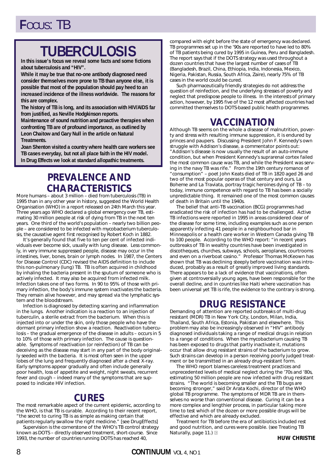## **TUBERCULOSIS**

**In this issue's focus we reveal some facts and some fictions about tuberculosis and "HIV".** 

**While it may be true that no-one antibody diagnosed need consider themselves more prone to TB than anyone else, it is possible that most of the population should pay heed to an increased incidence of the illness worldwide. The reasons for this are complex.** 

**The history of TB is long, and its association with HIV/AIDS far from justified, as Neville Hodgkinson reports.** 

**Maintenance of sound nutrition and proactive therapies when confronting TB are of profound importance, as outlined by Leon Chaitow and Gary Null in the article on Natural Treatments.** 

**Joan Shenton visited a country where health care workers see TB cases everyday, but not all place faith in the HIV model. In Drug Effects we look at standard allopathic treatments.**

## **PREVALENCE AND CHARACTERISTICS**

More humans – about 3 million – died from tuberculosis (TB) in 1995 than in any other year in history, suggested the World Health Organisation (WHO) in a report released on 24th March this year. Three years ago WHO declared a global emergency over TB, estimating 30 million people at risk of dying from TB in the next ten years. One third of the world's population – nearly two billion people – are considered to be infected with *mycobacterium tuberculosis*, the causative agent first recognised by Robert Koch in 1882.

It's generally found that five to ten per cent of infected individuals ever become sick, usually with lung disease. Less commonly, in very immune suppressed people, disease may occur in the intestines, liver, bones, brain or lymph nodes. In 1987, the Centers for Disease Control (CDC) revised the AIDS definition to include this non-pulmonary (lung) TB. TB is often acquired in childhood by inhaling the bacteria present in the sputum of someone who is actively infected. It may also be acquired from infected milk. Infection takes one of two forms. In 90 to 95% of those with primary infection, the body's immune system inactivates the bacteria. They remain alive however, and may spread via the lymphatic system and the bloodstream.

Infection is diagnosed by detecting scarring and inflammation in the lungs. Another indication is a reaction to an injection of tuberculin, a sterile extract from the bacterium. When this is injected into or under the skin, only those people who have the dormant primary infection show a reaction. Reactivation tuberculosis – the gradual emergence of the disease in adults – occurs in 5 to 10% of those with primary infection. The cause is questionable. Symptoms of reactivation (or reinfection) of TB can be deceiving as the disease may start in any part of the body originally seeded with the bacteria. It is most often seen in the upper lobes of the lung and frequently diagnosed after a chest X-ray. Early symptoms appear gradually and often include generally poor health, loss of appetite and weight, night sweats, recurrent fever and cough – indeed many of the symptoms that are supposed to indicate HIV infection.

## **CURES**

The most remarkable aspect of the current epidemic, according to the WHO, is that TB is curable. According to their recent report, "the secret to curing TB is as simple as making certain that patients regularly swallow the right medicine." [see DrugEffects]

Supervision is the cornerstone of the WHO's TB control strategy known as DOTS – directly observed treatment, short-course. Since 1993, the number of countries running DOTS has reached 40,

compared with eight before the state of emergency was declared. TB programmes set up in the '90s are reported to have led to 80% of TB patients being cured by 1995 in Guinea, Peru and Bangladesh. The report says that if the DOTS strategy was used throughout a dozen countries that have the largest number of cases of TB (Bangladesh, Brazil, China, Ethiopia, India, Indonesia, Mexico, Nigeria, Pakistan, Russia, South Africa, Zaire), nearly 75% of TB cases in the world could be cured.

Such pharmaceutically friendly strategies do not address the question of reinfection, and the underlying stresses of poverty and neglect that predispose people to illness. In the interests of primary action, however, by 1995 five of the 12 most affected countries had committed themselves to DOTS-based public health programmes.

## **VACCINATION**

Although TB seems on the whole a disease of malnutrition, poverty and stress with resulting immune suppression, it is endured by princes and paupers. Discussing President John F. Kennedy's own struggle with Addison's disease, a commentator points out: "Addison's disease is now usually the result of an auto-immune condition, but when President Kennedy's suprarenal cortex failed the most common cause was TB, and while the President was serving in the navy TB was rife." From the 19th century romance of "consumption" – poet John Keats died of TB in 1820 aged 26 and two of the most popular operas of that century and ours, *La Boheme* and *La Traviata*, portray tragic heroines dying of TB – to today, immune competence with regard to TB has been a socially unpredictable thing. It remained one of the most common causes of death in Britain until the 1940s.

The belief that anti-TB vaccination (BCG) programmes had eradicated the risk of infection has had to be challenged. Active TB infections were reported in 1995 in areas considered clear of the disease for some time, including examples such as one person apparently infecting 41 people in a neighbourhood bar in Minneapolis or a health care worker in Western Canada giving TB to 100 people. According to the WHO report: "in recent years outbreaks of TB in wealthy countries have been investigated in discotheques, churches, subways, schools, aeroplanes, courtrooms and even on a riverboat casino." Professor Thomas McKeown has shown that TB was declining steeply before vaccination was introduced, probably as a result of greatly improved living standards. There appears to be a lack of evidence that vaccinations, often given at controversially young ages, have been responsible for the overall decline, and in countries like Haiti where vaccination has been universal yet TB is rife, the evidence to the contrary is strong.

## **DRUG RESISTANCE**

Demanding of attention are reported outbreaks of multi-drug resistant (MDR) TB in New York City, London, Milan, India, Thailand, South Africa, Estonia, Pakistan and elsewhere. This problem may also be increasingly observed in "HIV" antibody diagnosed individuals taking a range of medical drugs in relation to a range of conditions. When the mycobacterium causing TB has been exposed to drugs that partly inactivate it, mutations occur that allow drug resistant strains of the bacterium to grow. Such strains can develop in a person receiving poorly judged treatment or be transmitted in an already drug-resistant form.

The WHO report blames careless treatment practices and unprecedented levels of medical neglect during the '70s and '80s, estimating 50 million people are now infected with drug resistant strains. "The world is becoming smaller and the TB bugs are becoming stronger," said Dr Arata Kochi, director of the WHO global TB programme. The symptoms of MDR TB are in themselves no worse than conventional disease. Curing it can be a more complex and lengthier process, in particular taking more time to test which of the dozen or more possible drugs will be effective and which are already excluded.

Treatment for TB before the era of antibiotics included rest and good nutrition, and cures were possible. (see *Treating TB Naturally*, page 11.) **c**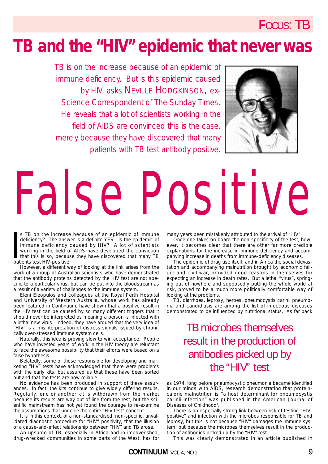## **TB and the "HIV" epidemic that never was**

*TB is on the increase because of an epidemic of immune deficiency. But is this epidemic caused by HIV, asks NEVILLE HODGKINSON, ex-Science Correspondent of* The Sunday Times*. He reveals that a lot of scientists working in the field of AIDS are convinced this is the case, merely because they have discovered that many patients with TB test antibody positive.*



# False Positive

s TB on the increase<br>deficiency? The answe<br>immune deficiency c<br>working in the field of<br>that this is so, becaus<br>patients test HIV-positive. s TB on the increase because of an epidemic of immune deficiency? The answer is a definite YES. Is the epidemic of immune deficiency caused by HIV? A lot of scientists working in the field of AIDS have developed the conviction that this is so, because they have discovered that many TB

However, a different way of looking at the link arises from the work of a group of Australian scientists who have demonstrated that the antibody proteins detected by the HIV test are not specific to a particular virus, but can be put into the bloodstream as a result of a variety of challenges to the immune system.

Eleni Eleopulos and colleagues at the Royal Perth Hospital and University of Western Australia, whose work has already been featured in Continuum, have shown that a positive result in the HIV test can be caused by so many different triggers that it should never be interpreted as meaning a person is infected with a lethal new virus. Indeed, they have argued that the very idea of "HIV" is a misinterpretation of distress signals issued by chronically over-stressed immune system cells.

Naturally, this idea is proving slow to win acceptance. People who have invested years of work in the HIV theory are reluctant to face the awesome possibility that their efforts were based on a false hypothesis.

Belatedly, some of those responsible for developing and marketing "HlV" tests have acknowledged that there were problems with the early kits, but assured us that those have been sorted out and that the tests are now reliable.

No evidence has been produced in support of these assurances. In fact, the kits continue to give widely differing results. Regularly, one or another kit is withdrawn from the market because its results are way out of line from the rest, but the scientific mainstream has not yet found the courage to re-examine the assumptions that underlie the entire "HIV test" concept.

It is in this context, of a non-standardised, non-specific, unvalidated diagnostic procedure for "HIV" positivity, that the illusion of a cause-and-effect relationship between "HIV" and TB arose.

An upsurge of TB, especially in Africa and in impoverished, drug-wrecked communities in some parts of the West, has for many years been mistakenly attributed to the arrival of "HIV".

Once one takes on board the non-specificity of the test, however, it becomes clear that there are other far more credible explanations for the increase in immune deficiency and accompanying increase in deaths from immune-deficiency diseases.

The epidemic of drug use itself, and in Africa the social devastation and accompanying malnutrition brought by economic failure and civil war, provided good reasons in themselves for expecting an increase in death rates. But a lethal "virus", springing out of nowhere and supposedly putting the whole world at risk, proved to be a much more politically comfortable way of looking at the problems.

TB, diarrhoea, leprosy, herpes, pneumocystis carinii pneumonia and candidiasis are among the list of infectious diseases demonstrated to be influenced by nutritional status. As far back

## TB microbes themselves result in the production of antibodies picked up by the "HIV" test

as 1974, long before pneumocystic pneumonia became identified in our minds with AIDS, research demonstrating that proteincalorie malnutrition is "a host determinant for pneumocystis carinii infection" was published in the American Journal of Diseases of Childhood<sup>1</sup>.

There is an especially strong link between risk of testing "HIVpositive" and infection with the microbes responsible for TB and leprosy, but this is not because "HIV" damages the immune system, but because the microbes themselves result in the production of antibodies picked up by the "HIV" test.

This was clearly demonstrated in an article published in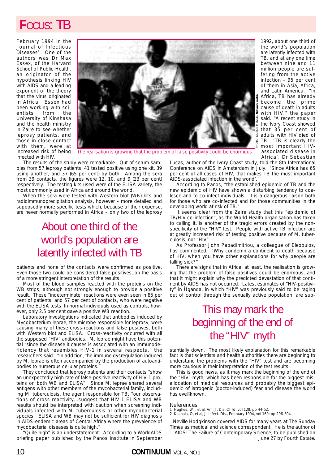February 1994 in the Journal of Infectious Diseases<sup>2</sup>. One of the authors was Dr Max Essex, of the Harvard School of Public Health, an originator of the hypothesis linking HIV with AIDS and a leading exponent of the theory that the virus originated in Africa. Essex had been working with scientists from the University of Kinshasa and the health ministry in Zaire to see whether leprosy patients, and those in close contact with them, were at increased risk of being infected with HIV.



The realisation is growing that the problem of false positivity could be enormous

The results of the study were remarkable. Out of serum samples from 57 leprosy patients, 41 tested positive using one kit, 39 using another, and 37 (65 per cent) by both. Among the sera from 39 contacts, the figures were 12, 10, and 9 (23 per cent) respectively. The testing kits used were of the ELISA variety, the most commonly used in Africa and around the world.

When the sera were tested with Western blot (WB) kits and radioimmunoprecipitation analysis, however – more detailed and supposedly more specific tests which, because of their expense, are never normally performed in Africa – only two of the leprosy

## About one third of the world's population are latently infected with TB

patients and none of the contacts were confirmed as positive. Even those two could be considered false positives, on the basis of a more stringent interpretation of the results.

Most of the blood samples reacted with the proteins on the WB strips, although not strongly enough to provide a positive result. These "indeterminate" reactions were even seen in 85 per cent of patients, and 57 per cent of contacts, who were negative with the ELISA tests. In normal individuals used as controls, however, only 2.5 per cent gave a positive WB reaction.

Laboratory investigations indicated that antibodies induced by Mycobacterium leprae, the microbe responsible for leprosy, were causing many of these cross-reactions and false positives, both with Western blot and ELISA. Cross-reactivity occurred with all the supposed "HIV" antibodies. M. leprae might have this potential "since the disease it causes is associated with an immunodeficiency that resembles HIV-1 in several respects," the researchers said. "In addition, the immune dysregulation induced by M. leprae is often accompanied by the production of autoantibodies to numerous cellular proteins.

They concluded that leprosy patients and their contacts "show an unexpectedly high rate of false-positive reactivity of HIV-1 proteins on both WB and ELISA". Since M. leprae shared several antigens with other members of the mycobacterial family, including M. tuberculosis, the agent responsible for TB, "our observations of cross-reactivity...suggest that HIV-1 ELISA and WB results should be interpreted with caution when screening individuals infected with M. tuberculosis or other mycobacterial species. ELISA and WB may not be sufficient for HIV diagnosis in AIDS-endemic areas of Central Africa where the prevalence of mycobacterial diseases is quite high."

"Quite high" is an understatement. According to a WorldAIDS briefing paper published by the Panos Institute in September

1992, about one third of the world's population are latently infected with TB, and at any one time between nine and 11 million people are suffering from the active infection – 95 per cent of them in Asia, Africa, and Latin America. "In Africa, TB has already become the prime cause of death in adults with HIV," the paper said. "A recent study in the Ivory Coast showed that 35 per cent of adults with HIV died of TB. 'TB is clearly the most important HIVassociated disease in Africa', Dr Sebastian

Lucas, author of the Ivory Coast study, told the 8th International Conference on AIDS in Amsterdam in July. 'Since Africa has 65 per cent of all cases of HIV, that makes TB the most important AIDS-associated infection in the world'.

According to Panos, "the established epidemic of TB and the new epidemic of HIV have shown a disturbing tendency to coalesce and to co-infect individuals. It is a dangerous liaison both for those who are co-infected and for those communities in the developing world at risk of TB."

It seems clear from the Zaire study that this "epidemic of TB/HIV co-infection", as the World Health organisation has taken to calling it, is another of the tragic errors created by the nonspecificity of the "HIV" test. People with active TB infection are at greatly increased risk of testing positive because of M. tuberculosis, not "HIV".

As Professor John Papadimitriou, a colleague of Eleopulos, has commented, "Why condemn a continent to death because of HIV, when you have other explanations for why people are falling sick?"

There are signs that in Africa, at least, the realisation is growing that the problem of false positives could be enormous, and that it might explain why the predicted devastation of that continent by AIDS has not occurred. Latest estimates of "HIV-positivity" in Uganda, in which "HlV" was previously said to be raging out of control through the sexually active population, are sub-

## This may mark the beginning of the end of the "HIV" myth

stantially down. The most likely explanation for this remarkable fact is that scientists and health authorities there are beginning to understand the problems with the "HIV" test and are becoming more cautious in their interpretation of the test results.

This is good news, as it may mark the beginning of the end of the "HIV" myth, which has been responsible for the biggest misallocation of medical resources and probably the biggest epidemic of iatrogenic (doctor-induced) fear and disease the world has evel **known**.

### References

- 
- 1 Hughes, WT, et al, Am. J. Dis. Child, vol 128: pp 44-52. 2 Kashala, O, et al, J. Infect. Dis., February 1994, vol 169: pp 296-304.

Neville Hodgkinson covered AIDS for many years at The Sunday Times as medical and science correspondent. He is the author of AIDS: The Failure of Contemporary Science, to be published on

June 27 by Fourth Estate.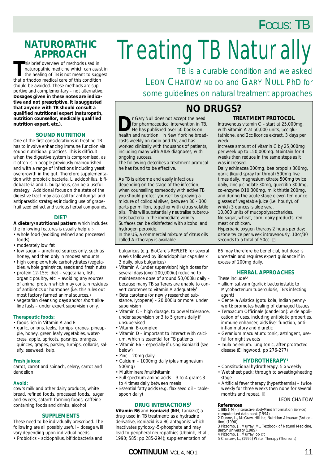## **NATUROPATHIC APPROACH**

**T**his brief overview of methods used in naturopathic medicine which can assist in the healing of TB is not meant to suggest that orthodox medical care of this condition should be avoided. These methods are supportive and complementary – not alternative. **Dosages given in these notes are indicative and not prescriptive. It is suggested that anyone with TB should consult a qualified nutritional expert (naturopath, nutrition counsellor, medically qualified nutrition expert, etc.).**

## **SOUND NUTRITION**

One of the first considerations in treating TB has to involve enhancing immune function via sound nutritional practices. This is difficult when the digestive system is compromised, as it often is in people previously malnourished and with a range of infections including yeast overgrowth in the gut. Therefore supplementation with probiotic bacteria, *L. acidophilus, bifidobacteria* and *L. bulgaricus*, can be a useful strategy. Additional focus on the state of the digestive tract may also call for antifungal and antiparasitic strategies including use of grapefruit seed extract and various herbal compounds.

## **DIET1**

**A dietary/nutritional pattern** which includes the following features is usually helpful:-

- whole food (avoiding refined and processed foods)
- moderately low fat
- low sugar unrefined sources only, such as honey, and then only in modest amounts
- high complex whole carbohydrates (vegetables, whole grains/rice, seeds and fresh nuts)
- protein 12-15% diet vegetarian, fish, organic poultry, etc. – avoiding any sources of animal protein which may contain residues of antibiotics or hormones (i.e. this rules out most factory farmed animal sources.)
- vegetarian cleansing days and/or short alkaline fasts – under expert supervision only.

## **Therapeutic foods:**

- foods rich in Vitamin A and E
- garlic, onions, leeks, turnips, grapes, pineapple, honey, green leafy vegetables, watercress, apple, apricots, parsnips, oranges, quinces, grapes, parsley, turnips, collards, salsify, seaweed, kelp.

## **Fresh juices:**

carrot, carrot and spinach, celery, carrot and dandelion

## **Avoid:**

cow's milk and other dairy products, white bread, refined foods, processed foods,, sugar and sweets, catarrh-forming foods, caffeine containing foods and drinks, alcohol

## **SUPPLEMENTS**

These need to be individually prescribed. The following are all possibly useful – dosage will vary depending upon individual needs. • Probiotics – *acidophilus, bifidobacteria* and

# **Treating TB Naturally**

*TB is a curable condition and we asked LEON CHAITOW ND DO and GARY NULL PhD for some guidelines on natural treatment approaches*

## **NO DRUGS?**

**D***r Gary Null does not accept the need for pharmaceutical intervention in TB. He has published over 50 books on health and nutrition. In New York he broadcasts weekly on radio and TV, and has worked clinically with thousands of patients, including many with AIDS diagnoses, with ongoing success.* 

*The following describes a treatment protocol he has found to be effective.*

As TB is airborne and easily infectious, depending on the stage of the infection, when counselling somebody with active TB you should protect yourself by spraying a mixture of collodial silver, between 30 - 300 parts per million, together with citrus volatile oils. This will substantially neutralise tuberculosis bacteria in the immediate vicinity. Surfaces can be disinfected with alcohol and hydrogen peroxide.

In the US, a commercial mixture of citrus oils called AirTherapy is available.

*bulgaricus* (e.g. BioCare's REPLETE for several weeks followed by Bioacidophilus capsules x 3 daily, plus *bulgaricus*)

- Vitamin A (under supervision) high doses for several days (over 200,000iu) reducing to maintenance dose of around 50,000iu daily – because many TB sufferers are unable to convert carotenes to vitamin A adequately**<sup>2</sup>**
- Beta carotene (or newly researched substance, lycopene) – 20,000iu or more, under supervision
- Vitamin C high dosage, to bowel tolerance, under supervision or 3 to 5 grams daily if unsupervised
- Vitamin B-complex
- Vitamin D important to interact with calcium, which is essential for TB patients
- Vitamin B6 especially if using isoniazid (see below)
- Zinc 20mg daily
- Calcium 1000mg daily (plus magnesium 500mg)
- Multimineral/multivitamin
- Full spectrum amino acids 3 to 4 grams 3 to 4 times daily between meals
- Essential fatty acids (e.g. flax seed oil tablespoon daily)

## **DRUG INTERACTIONS3**

**Vitamin B6** and **isoniazid** (INH, Laniazid) a drug used in TB treatment: as a hydrazine derivative, isoniazid is a B6 antagonist which inactivates pyridoxyl-5-phosphate and may lead to peripheral neuropathies (Ubbink, et al., 1990; 585: pp 285-294); supplementation of

## **CONTINUUM** VOL 4, NO 1 11

## **TREATMENT PROTOCOL**

Intravenous vitamin C – start at 25,000mg, with vitamin A at 50,000 units, 5cc glutathione, and 2cc licorice extract, 3 days per week.

Increase amount of vitamin C by 25,000mg per week up to 150,000mg. Maintain for 4 weeks then reduce in the same steps as it was increased.

Daily echinacea 300mg, bee propolis 300mg, garlic (liquid spray for throat) 500mg five times daily, magnesium citrate 500mg twice daily, zinc picinolate 30mg, quercitin 300mg, co-enzyme Q10 300mg, milk thistle 200mg, and during the acute stage eleven ten ounce glasses of vegetable juice (i.e. hourly), of which 3 ounces is aloe vera.

10,000 units of mucopolysaccharides. No sugar, wheat, corn, dairy products, red meat or chicken.

Hyperbaric oxygen therapy 2 hours per day; ozone twice per week intravenously, 10cc/30 seconds to a total of 50cc. **c**

B6 may therefore be beneficial, but dose is uncertain and requires expert guidance if in excess of 200mg daily.

## **HERBAL APPROACHES**

These include**1,4** • allium sativum (garlic): bacteriostatic to

- *Mycobacterium tuberculosis*, TB's infecting agent)
- Centella Asiatica (gotu kola, Indian pennywort): promotes healing of damaged tissues
- Teraxacum Officinale (dandelion): wide application of uses, including antibiotic properties, immune enhancer, aids liver function, antiinflammatory and diuretic
- Geranium maculatum: tonic, astringent, useful for night sweats
- Inula helenium: lung tonic, after protracted disease (Ellingwood, pp 276-277)

## **HYDROTHERAPY5**

- Constitutional hydrotherapy: 5 x weekly
- Wet sheet pack: through to sweating/heating stage
- Artificial fever therapy (hyperthermia) twice weekly for three weeks then none for several months and repeat. **c**

## *LEON CHAITOW*

## **References**

1 IBIS (TM) (Interactive BodyMind Information Service)

computerised data bank (1994) 2 Dunne, L., McGraw-Hill Inc, *Nutrition Almanac* (3rd edi-tion) (1990)

3 Pizzorno, J., Murray, M., *Textbook of Natural Medicine,*<br>Bastyr University (1989)<br>4 Pizzorno, J., Murray, *op cit<br>5 Chaitow, L., (1995) <i>Water Therapy* (Thorsons)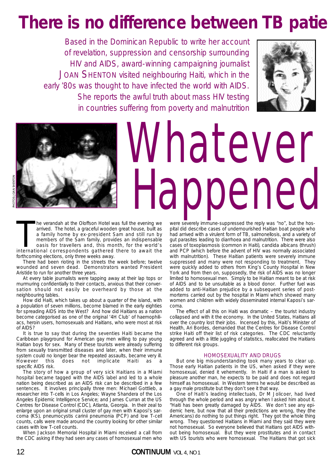# **There is no difference between TB patie**

*Based in the Dominican Republic to write her account of revelation, suppression and censorship surrounding HIV and AIDS, award-winning campaigning journalist JOAN SHENTON visited neighbouring Haiti, which in the early '80s was thought to have infected the world with AIDS. She reports the awful truth about mass HIV testing in countries suffering from poverty and malnutrition*





# Whatever Happened

The verandah at the Oloffson Hotel was full the evening we arrived. The hotel, a graceful wooden great house, built as a family home by ex-president Sam and still run by members of the Sam family, provides an indispensable he verandah at the Oloffson Hotel was full the evening we arrived. The hotel, a graceful wooden great house, built as a family home by ex-president Sam and still run by members of the Sam family, provides an indispensable oasis for travellers and, this month, for the world's

forthcoming elections, only three weeks away. There had been rioting in the streets the week before; twelve wounded and seven dead. Demonstrators wanted President Aristide to run for another three years.

At every table journalists were tapping away at their lap tops or murmuring confidentially to their contacts, anxious that their conversation should not easily be overheard by those at the neighbouring tables.

How did Haiti, which takes up about a quarter of the island, with a population of seven millions, become blamed in the early eighties for spreading AIDS into the West? And how did Haitians as a nation become categorised as one of the original '4H Club' of haemophiliacs, heroin users, homosexuals and Haitians, who were most at risk of AIDS?

It is true to say that during the seventies Haiti became the Caribbean playground for American gay men willing to pay young Haitian boys for sex. Many of these tourists were already suffering from sexually transmitted diseases and later, when their immune system could no longer bear the repeated assaults, became very ill.<br>However this does not implicate Haiti as a this does not implicate Haiti as a specific AIDS risk.

The story of how a group of very sick Haitians in a Miami hospital became tagged with the AIDS label and led to a whole nation being described as an AIDS risk can be described in a few sentences. It involves principally three men: Michael Gottlieb, a researcher into T-cells in Los Angeles; Wayne Shandera of the Los Angeles Epidemic Intelligence Service; and James Curran at the US Centres for Disease Control (CDC), Atlanta, Georgia. In their zeal to enlarge upon an original small cluster of gay men with Kaposi's sarcoma (KS), pneumocystis carinii pneumonia (PCP) and low T-cell counts, calls were made around the country looking for other similar cases with low T-cell counts.

When Jackson Memorial Hospital in Miami received a call from the CDC asking if they had seen any cases of homosexual men who were severely immune-suppressed the reply was "no", but the hospital did describe cases of undernourished Haitian boat people who had arrived with a virulent form of TB, salmonellosis, and a variety of gut parasites leading to diarrhoea and malnutrition. There were also cases of toxoplasmosis (common in Haiti), candida albicans (thrush) and PCP (which before the advent of HIV was normally associated with malnutrition). These Haitian patients were severely immune suppressed and many were not responding to treatment. They were quickly added to others from King's County Hospital in New York and from then on, supposedly, the risk of AIDS was no longer limited to homosexual men. Simply to be Haitian meant to be at risk of AIDS and to be unsuitable as a blood donor. Further fuel was added to anti-Haitian prejudice by a subsequent series of postmortems carried out by the hospital in Miami which showed many women and children with widely disseminated internal Kaposi's sarcoma.

The effect of all this on Haiti was dramatic – the tourist industry collapsed and with it the economy. In the United States, Haitians all over the country lost their jobs. Incensed by this, Haiti's Minister of Health, Ari Bordes, demanded that the Centres for Disease Control strike Haiti off their list of risk categories. The CDC reluctantly agreed and with a little juggling of statistics, reallocated the Haitians to different risk groups.

## HOMOSEXUALITY AND DRUGS

But one big misunderstanding took many years to clear up. Those early Haitian patients in the US, when asked if they were homosexual, denied it vehemently. In Haiti if a man is asked to pleasure another man, he expects to be paid and does not regard himself as homosexual. In Western terms he would be described as a gay male prostitute but they don't see it that way.

One of Haiti's leading intellectuals, Dr M Jolicoer, had lived through the whole period and was angry when I asked him about it. "Haiti has been greatly damaged by AIDS. We don't see any epidemic here, but now that all their predictions are wrong, they (the Americans) do nothing to put things right. They got the whole thing wrong. They questioned Haitians in Miami and they said they were not homosexual. So everyone believed that Haitians got AIDS without being homosexual. But they were prostitutes and in contact with US tourists who were homosexual. The Haitians that got sick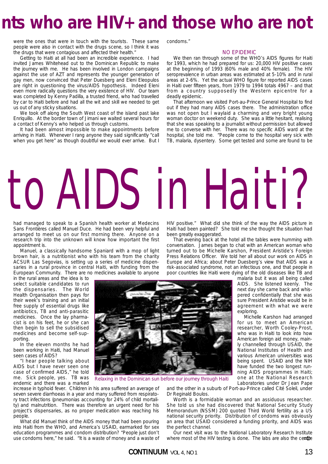## **nts who are HIV+ and those who are not**

were the ones that were in touch with the tourists. These same people were also in contact with the drugs scene, so I think it was the drugs that were contagious and affected their health."

Getting to Haiti at all had been an incredible experience. I had invited James Whitehead out to the Dominican Republic to make the journey with me. He has been involved in London campaigns against the use of AZT and represents the younger generation of gay men, now convinced that Peter Duesberg and Eleni Eleopulos are right in questioning the virus/AIDS hypothesis. Indeed Eleni even more radically questions the very existence of HIV. Our team was completed by Kenny Padilla, a trusted friend, who had travelled by car to Haiti before and had all the wit and skill we needed to get us out of any sticky situations.

We took off along the South West coast of the island past lake Enriquillo. At the border town of Jimani we waited several hours for a contact of Kenny's who helped us through customs.

It had been almost impossible to make appointments before arriving in Haiti. Whenever I rang anyone they said significantly "call when you get here" as though doubtful we would ever arrive. But I condoms."

### NO EPIDEMIC

We then ran through some of the WHO's AIDS figures for Haiti for 1993, which he had prepared for us: 20,000 HIV positive cases at the beginning of 1993 (60% male and 40% female). The HIV seroprevalence in urban areas was estimated at 5-10% and in rural areas at 2-6%. Yet the actual WHO figure for reported AIDS cases in Haiti over fifteen years, from 1979 to 1994 totals 4967 – and that from a country supposedly the Western epicentre for a deadly epidemic.

That afternoon we visited Port-au-Prince General Hospital to find out if they had many AIDS cases there. The administration office was not open but I waylaid a charming and very bright young woman doctor on weekend duty. She was a little hesitant, realising that she was speaking to a journalist without permission but allowed me to converse with her. There was no specific AIDS ward at the hospital, she told me. "People come to the hospital very sick with TB, malaria, dysentery. Some get tested and some are found to be

HIV positive." What did she think of the way the AIDS picture in Haiti had been painted? She told me she thought the situation had

That evening back at the hotel all the tables were humming with conversation. James began to chat with an American woman who turned out to be Michelle Karshon, President Aristide's Foreign Press Relations Officer. We told her all about our work on AIDS in Europe and Africa; about Peter Duesberg's view that AIDS was a

# to AIDS in Haiti?

been greatly exaggerated.

had managed to speak to a Spanish health worker at Medecins Sans Frontières called Manuel Duce. He had been very helpful and arranged to meet us on our first morning there. Anyone on a research trip into the unknown will know how important the first appointment is.

Manuel, a classically handsome Spaniard with a mop of light brown hair, is a nutritionist who with his team from the charity ACSUR Las Segovias, is setting up a series of medicine dispensaries in a rural province in central Haiti, with funding from the European Community. There are no medicines available to anyone

in the rural areas and the idea is to select suitable candidates to run the dispensaries. The World Health Organisation then pays for their week's training and an initial free supply of essential drugs like antibiotics, TB and anti-parasitic medicines. Once the lay pharmacist is on his feet, he or she can then begin to sell the subsidised medicines and become self-supporting.

In the eleven months he had been working in Haiti, had Manuel seen cases of AIDS?

"I hear people talking about AIDS but I have never seen one case of confirmed AIDS," he told me. Sick people, yes. TB was endemic and there was a marked



Relaxing in the Dominican sun before our journey through Haiti

increase in typhoid fever. Children in his area suffered an average of seven severe diarrhoeas in a year and many suffered from respiratory tract infections (pneumonias accounting for 24% of child mortality) and malnutrition. There was therefore an urgent need for his project's dispensaries, as no proper medication was reaching his people.

What did Manuel think of the AIDS money that had been pouring into Haiti from the WHO, and America's USAID, earmarked for sex education programmes and condom distribution? "People just don't use condoms here," he said. "It is a waste of money and a waste of and the other in a suburb of Port-au-Prince called Cité Soleil, under Dr Reginald Boulos.

Worth is a formidable woman and an assiduous researcher. She told us she had discovered that National Security Study Memorandum (NSSM) 200 quoted Third World fertility as a US national security priority. Distribution of condoms was obviously an area that USAID considered a funding priority, and AIDS was the perfect channel.

Our next visit was to the National Laboratory Research Institute where most of the HIV testing is done. The labs are also the centre

risk-associated syndrome, not an infectious one, and that people in poor countries like Haiti were dying of the old diseases like TB and malaria but it was all being called AIDS. She listened keenly. The next day she came back and whispered confidentially that she was sure President Aristide would be in

agreement with what we were exploring. Michelle Karshon had arranged

for us to meet an American researcher, Worth Cooley-Prost, who was in Haiti to look into how American foreign aid money, mainly channelled through USAID, the National Institutes of Health and various American universities was being spent. USAID and the NIH have funded the two longest running AIDS programmes in Haiti; one at the National Research Laboratories under Dr Jean Pape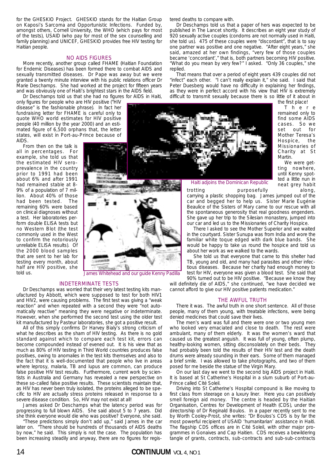for the GHESKIO Project. GHESKIO stands for the Haitian Group on Kaposi's Sarcoma and Opportunistic Infections. Funded by, amongst others, Cornell University, the WHO (which pays for most of the tests), USAID (who pay for most of the sex counselling and family planning) and UNICEF, GHESKIO provides free HIV testing for Haitian people.

### NO AIDS FIGURES

More recently, another group called FHAME (Haitian Foundation for Endemic Diseases) has been formed there to combat AIDS and sexually transmitted diseases. Dr Pape was away but we were granted a twenty minute interview with his public relations officer Dr Marie Deschamps. She had worked at the project for fifteen years and was obviously one of Haiti's brightest stars in the AIDS field.

Dr Deschamps told us that she had no figures for AIDS in Haiti, only figures for people who are HIV positive ("HIV disease" is the fashionable phrase). In fact her fundraising letter for FHAME is careful only to quote WHO world estimates for HIV positive people (40 million by the year 2000) and an estimated figure of 6,500 orphans that, the letter states, will exist in Port-au-Prince because of AIDS.

From then on the talk is all in percentages. For example, she told us that prevalence in the country prior to 1991 had been about 6% and after 1991 had remained stable at 8- 9% of a population of 7 million. About 40% of those remaining 60% were based a test. Her laboratories perunreliable ELISA results). Of that are sent to her lab for half are HIV positive, she told us.

tered deaths to compare with.

Dr Deschamps told us that a paper of hers was expected to be published in The Lancet shortly. It describes an eight year study of 920 sexually active couples (condoms are not normally used in Haiti, she told us). 475 of these couples were "discordant", that is to say one partner was positive and one negative. "After eight years," she said, amazed at her own findings, "very few of those couples became 'concordant'," that is, both partners becoming HIV positive. "What do you mean by very few?" I asked. "Only 36 couples," she replied.

That means that over a period of eight years 439 couples did not "infect" each other. "I can't really explain it," she said. I said that Peter Duesberg would have no difficulty in explaining her findings, as they were in perfect accord with his view that HIV is extremely difficult to transmit sexually because there is so little of it about in

the first place!



There remained only to find some AIDS cases. So we set out for Mother Teresa's Hospice, the Missionaries of Charity at St Martin.

We were getting nowhere, until Kenny spotted a little nun in neat grey habit trotting purposefully along,

Haiti adjoins the Dominican Republic

carrying a plastic shopping bag. James jumped out of the car and begged her to help us. Sister Marie Eugénie Beaulice of the Sisters of Mary came to our rescue with all the spontaneous generosity that real goodness engenders. She gave up her trip to the Silesian monastery, jumped into our car and led us to the Missionaries of Charity Hospice.

There I asked to see the Mother Superior and we waited in the courtyard. Sister Sunupa was from India and wore the familiar white toque edged with dark blue bands. She would be happy to take us round the hospice and told us about her work as we walked to the wards.

She told us that everyone that came to this shelter had TB, young and old, and many had parasites and other infectious diseases. Because her charity had enough money to test for HIV, everyone was given a blood test. She said that 90% turned out to be HIV positive. "Because we know they

will definitely die of AIDS," she continued, "we have decided we cannot afford to give our HIV positive patients medication."

### THE AWFUL TRUTH

There it was. The awful truth in one short sentence. All of those people, many of them young, with treatable infections, were being denied medicines that could save their lives.

The men's ward was full and there were one or two young men who looked very emaciated and close to death. The rest were ambulant, many of them elderly. It was the women's ward that caused us the greatest anguish. It was full of young, often plump, healthy-looking women, sitting disconsolately on their beds. They had probably been told the results of their HIV test and the death drums were already sounding in their ears. Some of them managed a brief smile. I was allowed to take photographs, and two of them posed for me beside the statue of the Virgin Mary.

On our last day we went to the second big AIDS project in Haiti. It is based at St Catherine's Hospital in a slum suburb of Port-au-Prince called Cité Soleil.

Driving into St Catherine's Hospital compound is like moving to first class from steerage on a luxury liner. Here you can positively smell foreign aid money. The centre is headed by the Haitian Organisation, Centres for Development of Health (CDS), under the directorship of Dr Reginald Boulos. In a paper recently sent to me by Worth Cooley-Prost, she writes: "Dr Boulos's CDS is by far the most powerful recipient of USAID 'humanitarian' assistance in Haiti. The flagship CDS offices are in Cité Soleil, with other major programmes in Gonaives and Cap Haitien. CDS receives a bewildering tangle of grants, contracts, sub-contracts and sub-sub-contracts

the estimated HIV serohad been tested. The on clinical diagnoses without form double ELISA tests but no Western Blot (the test commonly used in the West to confirm the notoriously the 2000 blood samples testing every month, about

James Whitehead and our guide Kenny Padilla

### INDETERMINATE TESTS

Dr Deschamps was worried that their very latest testing kits manufactured by Abbott, which were supposed to test for both HIV1 and HIV2, were causing problems. The first test was giving a "weak reaction" and when repeated with a second they were "not automatically reactive" meaning they were negative or indeterminate. However, when she performed the second test using the older test kit manufactured by Pasteur laboratories, she got a positive result.

All of this simply confirms Dr Harvey Bialy's strong criticism of what he describes as the sham of HIV testing. As there is no gold standard against which to compare each test kit, errors can become compounded instead of evened out. It is his view that as much as 80% of HIV testing in Third World countries produces false positives, owing to anomalies in the test kits themselves and also to the fact that it is well-documented that people who live in areas where leprosy, malaria, TB and lupus are common, can produce false positive HIV test results. Furthermore, current work by scientists in Australia and Germany has revealed a new perspective on these so-called false positive results. These scientists maintain that, as HIV has never been truly isolated, the proteins alleged to be specific to HIV are actually stress proteins released in response to a severe disease condition. So, HIV may not exist at all!

James asked Dr Deschamps what the latency period was for progressing to full blown AIDS. She said about 5 to 7 years. Did she think everyone would die who was positive? Everyone, she said.

"These predictions simply don't add up," said James in the car later on. "There should be hundreds of thousands of AIDS deaths by now," he said. This simply is not the case. The population has been increasing steadily and anyway, there are no figures for regis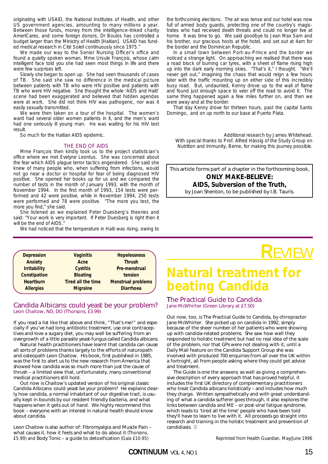originating with USAID, the National Institutes of Health, and other US government agencies, amounting to many millions a year. Between those funds, money from the intelligence-linked charity AmeriCares, and some foreign donors, Dr Boulos has controlled a budget larger than the Ministry of Health [Haitian]. USAID has funded medical research in Cité Soleil continuously since 1975."

We made our way to the Senior Nursing Officer's office and found a quietly spoken woman, Mme Ursule François, whose calm intelligent face told you she had seen most things in life and there were few surprises left.

Slowly she began to open up. She had seen thousands of cases of TB. She said she saw no difference in the medical picture between patients with TB who were HIV positive and patients with TB who were HIV negative. She thought the whole 'AIDS and Haiti' scene had been exaggerated and believed that hidden agendas were at work. She did not think HIV was pathogenic, nor was it easily sexually transmitted.

We were then taken on a tour of the hospital. The women's ward had several older women patients in it, and the men's ward had one seriously ill young man. He was waiting for his HIV test result.

So much for the Haitian AIDS epidemic.

### THE END OF AIDS

Mme François then kindly took us to the project statistician's office where we met Evelyne Leontus. She was concerned about the fear which AIDS plague terror tactics engendered. She said she knew of many people who, when suffering from infections, would not go near a doctor or hospital for fear of being diagnosed HIV positive. She opened her books up for us and we compared the number of tests in the month of January 1993, with the month of November 1994. In the first month of 1993, 154 tests were performed and 42 were positive, while in November 1994, 250 tests were performed and 78 were positive. "The more you test, the more you find," she said.

She listened as we explained Peter Duesberg's theories and said: "Your work is very important. If Peter Duesberg is right then it will be the end of AIDS.

We had noticed that the temperature in Haiti was rising, owing to

| <b>Depression</b>   | <b>Vaginitis</b>          | <b>Hopelessness</b>       |
|---------------------|---------------------------|---------------------------|
| Anxiety             | Acne                      | <b>Thrush</b>             |
| <b>Irritability</b> | <b>Cystitis</b>           | Pre-menstrual             |
| Constipation        | <b>Bloating</b>           | tension                   |
| <b>Heartburn</b>    | <b>Tired all the time</b> | <b>Menstrual problems</b> |
| <b>Allergies</b>    | <b>Migraine</b>           | <b>Diarrhoea</b>          |
|                     |                           |                           |

## Candida Albicans: could yeast be your problem? Leon Chaitow, ND, DO (Thorsons, £3.99)

If you read a list like that above and think, "That's me!" and especially if you've had long antibiotic treatment, use oral contraceptives and love a sugary diet, you may well be suffering from an overgrowth of a little parasite yeast-fungus called *Candida albicans*.

Natural health practitioners have learnt that candida can cause all sorts of problems thanks largely to the efforts of naturopath and osteopath Leon Chaitow. His book, first published in 1985, was the first to alert us to the new research from America that showed how candida was so much more than just the cause of thrush – a limited view that, unfortunately, many conventional medical practitioners still hold.

Out now is Chaitow's updated version of his original classic *Candida Albicans: could yeast be your problem?* He explains clearly how candida, a normal inhabitant of our digestive tract, is usually kept in bounds by our resident friendly bacteria, and what happens when it gets out of hand. We highly recommend this book – everyone with an interest in natural health should know about candida.

*Leon Chaitow is also author of:* Fibromyalgia and Muscle Pain – what causes it, how it feels and what to do about it *(Thorsons, £5.99) and* Body Tonic – a guide to detoxification *(Gaia £10.95)*

the forthcoming elections. The air was tense and our hotel was now full of armed body guards, protecting one of the country's magistrates who had received death threats and could no longer live at home. It was time to go. We said goodbye to Jean Max Sam and his brother, our gracious hosts at the hotel, and set out at 4am for the border and the Dominican Republic.

In a small town between Port-au-Prince and the border we noticed a strange light. On approaching we realised that there was a road block of burning car tyres, with a sheet of flame rising high up into the dark early morning skies. "That's it," I thought. "We'll never get out," imagining the chaos that would reign a few hours later with the traffic mounting up on either side of this incredibly busy road. But, undaunted, Kenny drove up to the wall of flame and found just enough space to veer off the road to avoid it. The same thing happened again a few miles further on, and then we were away and at the border.

That day Kenny drove for thirteen hours, past the capital Santo Domingo, and on up north to our base at Puerto Plata.

Additional research by James Whitehead. With special thanks to Prof. Alfred Hässig of the Study Group on Nutrition and Immunity, Berne, for making this journey possible.

*This article forms part of a chapter in the forthcoming book,* **ONLY MAKE-BELIEVE: AIDS, Subversion of the Truth***, by Joan Shenton, to be published by I.B. Tauris.*

## **Natural treatment for beating Candida**

**R**EVIEW

## The Practical Guide to Candida Jane McWhirter (Green Library at £7.50)

Out now, too, is *The Practical Guide to Candida*, by chiropractor Jane McWhirter. She picked up on candida in 1992, simply because of the sheer number of her patients who were showing up with candida-related problems. She saw how well they responded to holistic treatment but had no real idea of the scale of the problem, nor that GPs were not dealing with it, until a *Daily Mail* feature on the Candida Support Group she was involved with produced 700 enquiries from all over the UK within a fortnight, all from people asking where they could get advice and treatment.

*The Guide* is one the answers; as well as giving a comprehensive description of every approach that has proved helpful, it includes the first UK directory of complementary practitioners who treat *Candida albicans* holistically – and includes how much they charge. Written sympathetically and with great understanding of what a candida sufferer goes through, it also explores the links between candida and ME – or post-viral fatigue syndrome, which leads to 'tired all the time' people who have been told they'll have to learn to live with it. All proceeds go straight into research and training in the holistic treatment and prevention of candidiasis. **c**

*Reprinted from* Health Guardian, *May/June 1996*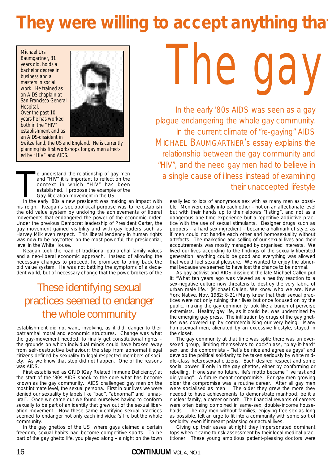# They were willing to accept anything that

Michael Urs Baumgartner, 31 years old, holds a bachelor degree in business and a masters in social work. He trained as an AIDS chaplain at San Francisco General Hospital. Over the past 10 years he has worked both in the "HIV" establishment and as an AIDS-dissident in



Switzerland, the US and England. He is currently planning his first workshops for gay men affected by "HIV" and AIDS.

o understand the relationship of gay men<br>and "HIV" it is important to reflect on the<br>context in which "HIV" has been<br>established. I propose the example of the<br>Gay-liberation movement in the US.<br>In the early '80s a new pres o understand the relationship of gay men and "HIV" it is important to reflect on the context in which "HIV" has been established. I propose the example of the Gay-liberation movement in the US.

his reign. Reagan's sociopolitical purpose was to re-establish the old value system by undoing the achievements of liberal movements that endangered the power of the economic order. Under the previous Democrat leadership of President Carter, the gay movement gained visibility and with gay leaders such as Harvey Milk even respect. This liberal tendency in human rights was now to be boycotted on the most powerful, the presidential, level in the White House.

Reagan took the road of traditional patriarchal family values and a neo-liberal economic approach. Instead of allowing the necessary changes to proceed, he promised to bring back the old value system. He was not battling the symptoms of a decadent world, but of necessary change that the powerbrokers of the

## These identifying sexual practices seemed to endanger the whole community

establishment did not want, involving, as it did, danger to their patriarchal moral and economic structures. Change was what the gay-movement needed, to finally get constitutional rights – the grounds on which individual minds could have broken away from self-destructive behaviour: the step from abnormal illegal citizens defined by sexuality to legal respected members of society. As we know that step did not happen. One of the reasons was AIDS.

First established as GRID (Gay Related Immune Deficiency) at the start of the '80s AIDS shook to the core what has become known as the gay community. AIDS challenged gay men on the most intimate level, the sexual persona. First in our lives we were denied our sexuality by labels like "bad", "abnormal" and "unnatural". Once we came out we found ourselves having to conform sexually to be part of an identity that grew out of the sexual liberation movement. Now these same identifying sexual practices seemed to endanger not only each individual's life but the whole community.

In the gay ghettos of the US, where gays claimed a certain freedom, sexual habits had become competitive sports. To be part of the gay ghetto life, you played along – a night on the town

The gay

*In the early '80s AIDS was seen as a gay plague endangering the whole gay community. In the current climate of "re-gaying" AIDS MICHAEL BAUMGARTNER's essay explains the relationship between the gay community and "HIV", and the need gay men had to believe in a single cause of illness instead of examining their unaccepted lifestyle*

easily led to lots of anonymous sex with as many men as possible. Men were really into each other – not on an affectionate level but with their hands up to their elbows "fisting", and not as a dangerous one-time experience but a repetitive addictive practice with the use of sexual stimulants. Designer drugs such as poppers – a hard sex ingredient – became a hallmark of style, as if men could not handle each other and homosexuality without artefacts. The marketing and selling of our sexual lives and their accoutrements was mostly managed by organised interests. We lived our lives according to the findings of the sexually liberated generation: anything could be good and everything was allowed that would fuel sexual pleasure. We wanted to enjoy the abnormal because we seemed to have lost the chance to be normal.

As gay activist and AIDS-dissident the late Michael Callen put it: "What ten years ago was viewed as a healthy reaction to a sex-negative culture now threatens to destroy the very fabric of urban male life." (Michael Callen, We know who we are, New York Native, Nov. 1982: 8-21) Many knew that their sexual practices were not only ruining their lives but once focused on by the public, making the gay community look like a bunch of perverse extremists. Healthy gay life, as it could be, was undermined by the emerging gay press. The infiltration by drugs of the gay ghettos was covered up by commercialising our very being. Many homosexual men, alienated by an excessive lifestyle, stayed in the closet.

The gay community at that time was split: there was an oversexed group, limiting themselves to cock'n'ass, "play-it-hard" sex, and the conformists – "let's be nice and agree as gays" and develop the political solidarity to be taken seriously by white middle-class heterosexual citizens. Each desired respect and some social power, if only in the gay ghettos, either by conforming or rebelling. If one saw no future, life's motto became "live fast and die young". A future meant compromise. For gay men growing older the compromise was a routine career. After all gay men were socialised as men . The older they grew the more they needed to have achievements to demonstrate manhood, be it a nuclear family, a career or both. The financial rewards of careers were often being combined in same-sex, double-income households. The gay men without families, enjoying free sex as long as possible, felt an urge to fit into a community with some sort of seniority, even if it meant polarising our actual lives.

Giving up their asses at night they impersonated dominant tops when it came to risk assessment by their local medical practitioner. These young ambitious patient-pleasing doctors were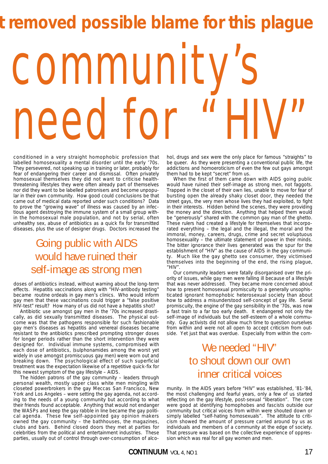# community's need for "HI **t removed possible blame for this plague**

conditioned in a very straight homophobic profession that labelled homosexuality a mental disorder until the early '70s. They persevered, not speaking up in training or later, probably for fear of endangering their career and dismissal. Often privately homosexual themselves they did not want to criticise healththreatening lifestyles they were often already part of themselves nor did they want to be labelled patronisers and become unpopular in their own community. How good could conclusions be that came out of medical data reported under such conditions? Data to prove the "growing wave" of illness was caused by an infectious agent destroying the immune system of a small group within the homosexual male population, and not by serial, often unhealthy sex, abuse of antibiotics as a quick fix for transmitted diseases, plus the use of designer drugs. Doctors increased the

## Going public with AIDS would have ruined their self-image as strong men

doses of antibiotics instead, without warning about the long-term effects. Hepatitis vaccinations along with "HIV-antibody testing" became routine ordeals in gay men's clinics. Who would inform gay men that these vaccinations could trigger a "false positive HIV-test" result? How many of us did not have a hepatitis shot?

Antibiotic use amongst gay men in the '70s increased drastically, as did sexually transmitted diseases. The physical outcome was that the pathogens responsible for such fashionable gay men's diseases as hepatitis and venereal diseases became resistant to the antibiotics prescribed prompting stronger doses for longer periods rather than the short intervention they were designed for. Individual immune systems, compromised with each dose of antibiotics, (sulphonamides among the worst yet widely in use amongst promiscuous gay men) were worn out and breaking down. The psychological effect of such superficial treatment was the expectation likewise of a repetitive quick-fix for this newest symptom of the gay lifestyle – AIDS.

The hidden patrons of the gay community – leaders through personal wealth, mostly upper class white men mingling with closeted powerbrokers in the gay Meccas San Francisco, New York and Los Angeles – were setting the gay agenda, not according to the needs of a young community but according to what their friends found acceptable. Anything that would not endanger the WASPs and keep the gay rabble in line became the gay political agenda. These few self-appointed gay opinion makers owned the gay community – the bathhouses, the magazines, clubs and bars. Behind closed doors they met at parties for celebrities from the political and entertainment industries. These parties, usually out of control through over-consumption of alcohol, drugs and sex were the only place for famous "straights" to be queer. As they were presenting a conventional public life, the addictions and homoeroticism of even the few out gays amongst them had to be kept "secret" from us.

When the first of them came down with AIDS going public would have ruined their self-image as strong men, not faggots. Trapped in the closet of their own lies, unable to move for fear of bursting open the already shaky closet door, they needed the street gays, the very men whose lives they had exploited, to fight in their interests. Hidden behind the scenes, they were providing the money and the direction. Anything that helped them would be "generously" shared with the common gay man of the ghetto. These rulers had created a lifestyle for themselves that incorporated everything – the legal and the illegal, the moral and the immoral, money, careers, drugs, crime and secret voluptuous homosexuality – the ultimate statement of power in their minds. The bitter ignorance their lives generated was the spur for the establishment of "HIV" as the cause of AIDS in the gay community. Much like the gay ghetto sex consumer, they victimised themselves into the beginning of the end, the rising plague, "HIV".

Our community leaders were fatally disorganised over the priority of issues, while gay men were falling ill because of a lifestyle that was never addressed. They became more concerned about how to present homosexual promiscuity to a generally unsophisticated ignorant homophobic heterosexual society than about how to address a misunderstood self-concept of gay life. Serial promiscuity, the engine of the gay sensibility in the '70s, was now a fast train to a far too early death. It endangered not only the self-image of individuals but the self-esteem of a whole community. Gay activists did not allow much time to question ourselves from within and were not all open to accept criticism from outside. Yet just that was overdue. Especially from within the com-

## We needed "HIV" to shout down our own inner critical voices

munity. In the AIDS years before "HIV" was established, '81-'84, the most challenging and fearful years, only a few of us started reflecting on the gay lifestyle, post-sexual "liberation". The core were good at identifying homophobes and fascists outside our community but critical voices from within were shouted down or simply labelled "self-hating homosexuals". The attitude to criticism showed the amount of pressure carried around by us as individuals and members of a community at the edge of society. That pressure was based on the collective experience of oppression which was real for all gay women and men.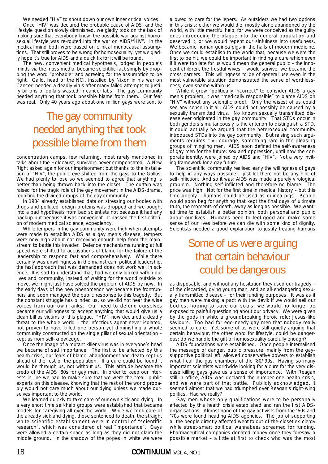We needed "HIV" to shout down our own inner critical voices. Once "HIV" was declared the probable cause of AIDS, and the lifestyle question slowly diminished, we gladly took on the task of making sure that everybody knew: the possible war against homosexual lifestyle was re-routed into the war on AIDS/"HIV". In the medical mind both were based on clinical monocausal assumptions. That still proves to be wrong for homosexuality, yet we gladly hope it's true for AIDS and a quick fix for it will be found.

The new, convenient medical hypothesis, lodged in people's minds via the mass media, became scientific fact simply by dropping the word "probable" and agreeing for the assumption to be right. Gallo, head of the NCI, installed by Nixon in his war on Cancer, needed a deadly virus after many failed attempts to justify billions of dollars wasted in cancer labs. The gay community needed anything that took possible blame from them. Our fear was real. Only 40 years ago about one million gays were sent to

## The gay community needed anything that took possible blame from them

concentration camps, few returning, most rarely mentioned in talks about the Holocaust, survivors never compensated. A New Right asked again for our imprisonment but thanks to the installation of "HIV", the public eye shifted from the gays to the Gallos. We had plenty to lose so we seemed to agree that anything is better than being thrown back into the closet. The curtain was raised for the tragic role of the gay movement in the AIDS-drama, reuniting the divided groups of the gay community.

In 1984 already established data on stressing our bodies with drugs and polluted foreign proteins was dropped and we bought into a bad hypothesis from bad scientists not because it had any backup but because it was convenient. It passed the first criterion of modern medical science, expediency.

While tempers in the gay community were high when attempts were made to establish AIDS as a gay men's disease, tempers were now high about not receiving enough help from the mainstream to battle this invader. Defence mechanisms running at full speed were shifted to accusations of blame for the failure of the leadership to respond fast and comprehensively. While there certainly was unwillingness in the mainstream political leadership, the fast approach that was demanded does not work well in science. It is sad to understand that, had we only looked within our lives and community, instead of waiting for the world outside to move, we might just have solved the problem of AIDS by now. In the early days of the new phenomenon we became the frontrunners and soon managed the public response to this tragedy. But the constant struggle has blinded us, so we did not hear the wise voices from our own ranks. Our need to defend ourselves became our willingness to accept anything that would give us a clean bill as victims of this plague. "HIV", now declared a deadly threat to the whole world – the infectious agent never isolated, not proven to have killed one person yet diminishing a whole community constructed on the single pillar of sexual orientation – kept us from self-knowledge.

Once the image of a mutant killer virus was in everyone's head we became of sad importance. The first to be affected by this health crisis, our fears of blame, abandonment and death kept us ahead of the rest of the population. If a cure could be found it would be through us, not without us. This attitude became the credo of the AIDS '80s for gay men. In order to keep our interests in line we had to make sure that we were the "real" public experts on this disease, knowing that the rest of the world probably would not care much about our dying unless we made ourselves important to the world.

We learned quickly to take care of our own sick and dying. In a very short time self-help groups were established that became models for caregiving all over the world. While we took care of the already sick and dying, those sentenced to death, the straight white scientific establishment were in control of "scientific research", which was considered of real "importance". Gays were allowed a certain space as long as they did not claim the middle ground. In the shadow of the popes in white we were

allowed to care for the lepers. As outsiders we had two options in this crisis: either we would die, mostly alone abandoned by the world, with little merciful help, for we were conceived as the guilty ones introducing the plague into the general population and deserved it, or we would repent our sinfulness into usefulness. We became human guinea pigs in the halls of modern medicine. Once we could establish to the world that, because we were the first to be hit, we could be important in finding a cure which even if it were too late for us would mean the general public – the innocent children, the trustful wives – would survive, we became the cross carriers. This willingness to be of general use even in the most vulnerable situation demonstrated the sense of worthlessness, even shame within us.

While it grew "politically incorrect" to consider AIDS a gay men's problem, it was "medically responsible" to blame AIDS on "HIV" without any scientific proof. Only the wisest of us could see any sense in it all: AIDS could not possibly be caused by a sexually transmitted virus. No known sexually transmitted disease ever originated in the gay community. That STDs occur in both genders simultaneously is the criterion to distinguish a STD. It could actually be argued that the heterosexual community introduced STDs into the gay community. But raising such arguments requires civil-courage, something rare in the pleasing groups of mingling men. AIDS soon defined the self-awareness of gay men for the future: sex and oppression, until now the corporate identity, were joined by AIDS and "HIV". Not a very inviting framework for a gay future.

The scientific community realised early the willingness of gays to help in any ways possible – just let there not be any hint of self-infliction. And so it was: AIDS was made a purely virological problem. Nothing self-inflicted and therefore no blame. The price was high. Not for the first time in medical history – but this time openly – humans could be used as guinea pigs. People would soon beg for anything that kept the final days of ultimate truth, the moments of death, away as long as possible. We wanted time to establish a better opinion, both personal and public about our lives. Humans need to feel good and make some sense of our lives before we can die with some kind of dignity. Scientists needed a good explanation to justify treating humans

## Some of us were arguing that certain behaviour could be dangerous

as disposable, and without any hesitation they used our tragedy – of the discarded, dying young man, and an all-endangering sexually transmitted disease – for their funding purposes. It was as if gay men were making a pact with the devil: if we would sell our bodies, hoping to save our souls, we would no longer be exposed to painful questioning about our privacy. We were given by the gods in white a groundbreaking heroic role: Jesus-like saviours. Too bad for ego-needy gay men that nobody really seemed to care. Yet some of us were still quietly arguing that certain behaviour, the other word for lifestyle, could be dangerous: do we handle the gift of homosexuality carefully enough?

AIDS foundations were established. Once people internalised the message of danger, public pressure, mainly from the gaysupportive political left, allowed conservative powers to establish what I call the gas chambers of the '80/'90s. Having so many important scientists worldwide looking for a cure for the very disease killing gays gave us a sense of importance. With Reagan still in office, AIDS was declared the number one health crisis, and we were part of that battle. Publicly acknowledged, it seemed almost that we had triumphed over Reagan's right-wing politics. Had we really?

Gay men whose only qualifications were to be personally affected by this health crisis established and ran the first AIDSorganisations. Almost none of the gay activists from the '60s and '70s were found heading AIDS agencies. The job of supporting all the people directly affected went to out-of-the-closet ex-clergy while street-smart political wannabees screamed for funding. Pharmaceutical companies donated money once they foresaw a possible market – a little at first to check who was the most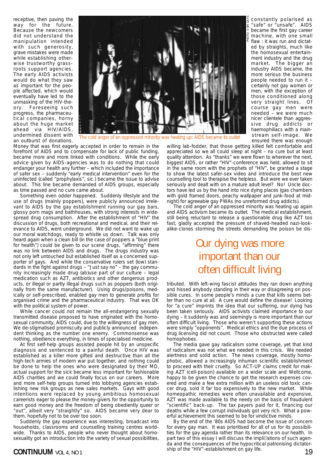receptive, then paving the way for the future. Because the newcomers did not understand the manipulation intended with such generosity, grave mistakes were made while establishing otherwise trustworthy grassroots support agencies. The early AIDS activists would do what they saw as important for the people affected, which would eventually have led to the unmasking of the HIV-theory. Foreseeing such progress, the pharmaceutical companies, horny about the huge market ahead via HIV/AIDS, undermined dissent with an outburst of donations.



The cold anger of an oppressed minority was heating up: AIDS

Money that was first eagerly accepted in order to remain in the forefront of AIDS and to compensate for lack of public funding, became more and more linked with conditions. While the early advice given by AIDS-agencies was to do nothing that could endanger your health any further – which included the importance of safer sex – suddenly "early medical intervention" even for the uninfected (called "prophylaxis", sic.) became the issue to advise about. This line became demanded of AIDS groups, especially as time passed and no cure came about.

Something even odder happened. Suddenly lifestyle and the use of drugs (mainly poppers), were publicly announced irrelevant to AIDS by the gay establishment running our gay bars, glossy porn mags and bathhouses, with strong interests in widespread drug consumption. After the establishment of "HIV" the discussion of drugs, both recreational and medical, and their relevance to AIDS, went underground. We did not want to wake up our moral watchdogs, ready to whistle us down. Talk was only heard again when a clean bill (in the case of poppers a "blue print for health") could be given to our scene drugs, "affirming" there was no link between AIDS and drugs. The drugs industry was not only left untouched but established itself as a concerned supporter of gays. And while the conservative rulers set (low) standards in the fight against drugs – "Just say no" – the gay community increasingly made drug (ab)use part of our culture – legal medication such as AZT, antibiotics and other dangerous products, or illegal or partly illegal drugs such as poppers (both originally from the same manufacturer). Using drugs/poisons, medically or self-prescribed, enabled gay men to generate profits for organised crime and the pharmaceutical industry. That was OK with the political system of power.

While cancer could not remain the all-endangering sexually transmitted disease proposed to have originated with the homosexual community, AIDS could, due to the willingness of gay men. We de-stigmatised promiscuity and publicly announced independent thinking as the number one enemy. Commonsense was nothing, obedience everything, in times of specialised medicine.

At first self-help groups assisted people hit by an unspecific diagnosis and sentenced to a painful death. Once HIV was established as a killer more gifted and destructive than all the high-tech armies of modern war put together, and nothing could be done to help the ones who were designated by their MD, actual support for the sick became less important for fashionable AIDS charities and we could finally focus on our careers. More and more self-help groups turned into lobbying agencies establishing new risk groups as new sales markets. Gays with good intentions were replaced by young ambitious homosexual careerists eager to please the money-givers for the opportunity to earn good money and the freedom of being obediently queer or "out", albeit very "straightly" so. AIDS became very dear to them, hopefully not to be over too soon.

Suddenly the gay experience was interesting, broadcast into households, classrooms and counselling training centres worldwide. Thanks to AIDS, people who never thought about homosexuality got an introduction into the variety of sexual possibilities,

constantly polarised as "safe" or "unsafe". AIDS became the first gay career machine, with one small flaw : it was run and dictated by straights, much like the homosexual entertainment industry and the drug market. The bigger an industry AIDS became, the more serious the business people needed to run it – certainly not gay women or men, with the exception of those conditioned along very straight lines. Of course gay men were needed – we were much nicer clientele than aggressive drug addicts or haemophiliacs with a mainstream self-image. We ensured there was enough

willing lab-fodder, that those getting killed felt comfortable and appreciated so we all could sleep at night – no cure but at least quality attention. As "thanks" we were flown to wherever the next, biggest AIDS, or rather "HIV"-conference was held, allowed to sit in the same room with the prophets of "HIV", be granted a stage to show the latest safer-sex video and introduce the best new counselling tool to therapise the helpless. But were we ever taken seriously and dealt with on a mature adult level? No! Uncle doctors have led us by the hand into nice dying places (gas chambers with gold framed doors, peachy wallpaper and junk-food at midnight) for agreeable gay PWAs (no unreformed drug addicts).

PHOTO: © SM GAYS

The cold anger of an oppressed minority was heating up again and AIDS activism became its outlet. The medical establishment, still being reluctant to release a questionable drug like AZT too fast, gladly accepted the pressure of shaved-headed nazi-lookalike-clones storming the streets demanding the poison be dis-

## Our dying was more important than our often difficult living

tributed. With left-wing fascist attitudes they ran down anything and hissed anybody standing in their way or disagreeing on possible cures. In some people's minds a cure that kills seems better than no cure at all. A cure would define the disease! Looking for "a cure" imprints the idea that our suffering, our dying has been taken seriously. AIDS activists claimed importance to our dying – it suddenly was and seemingly is more important than our often difficult living. Those who weren't supporting these actions were simply "opponents". Medical ethics and the due process of drug licensing did not count. Those who obstructed were called homophobes.

The media gave gay radicalism some coverage, yet that kind of radicalism was not what we needed in this crisis. We needed alertness and solid action. The news coverage, mostly homophobic, allowed a increasingly inhuman scientific establishment to proceed with their cruelty. So ACT-UP claims credit for making AZT (cell-poison) available on a wider scale and Wellcome, happy to be given the chance to get the research expenses covered and make a few extra million with an useless old toxic cancer drug, sold it far too expensively to the new market. While homeopathic remedies were often unavailable and expensive, AZT was made available to the needy on the basis of fraudulent "scientific" back-up. The tax payers paid for it, financing our deaths while a few corrupt individuals got very rich. What a powerful achievement this seemed to be for vindictive minds.

**CONTINUUM** VOL 4, NO 1 199 By the end of the '80s AIDS had become the issue of concern for every gay man. It was prioritised for all of us for its possibilities for the gay agenda rather than its relevance on our health. In part two of this essay I will discuss the implications of such agen-**c**da and the consequences of the hypocritical patronising dictatorship of the "HIV"-establishment on gay life.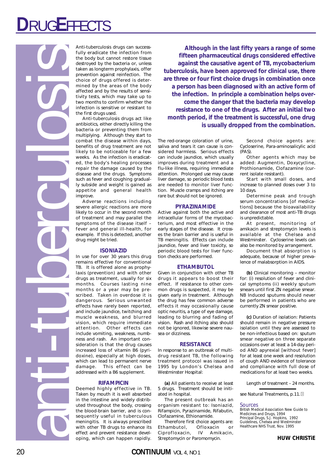# **D**RUG**E**FFECTS

anti-tuberculosis

Anti-tuberculosis drugs can successfully eradicate the infection from the body but cannot restore tissue destroyed by the bacteria or, unless taken as longterm prophylaxis, offer prevention against reinfection. The choice of drugs offered is determined by the areas of the body affected and by the results of sensitivity tests, which may take up to two months to confirm whether the infection is sensitive or resistant to the first drugs used.

Anti-tuberculosis drugs act like antibiotics, either directly killing the bacteria or preventing them from multiplying. Although they start to combat the disease within days, benefits of drug treatment are not likely to be noticeable for a few weeks. As the infection is eradicated, the body's healing processes repair the damage caused by the disease and the drugs. Symptoms such as fever and coughing gradually subside and weight is gained as appetite and general health improve.

Adverse reactions including severe allergic reactions are more likely to occur in the second month of treatment and may parallel the symptoms of the disease itself – fever and general ill-health, for example. If this is detected, another drug might be tried.

### **ISONIAZID**

In use for over 30 years this drug remains effective for conventional TB. It is offered alone as prophylaxis (prevention) and with other drugs as treatment, usually for six months. Courses lasting nine months or a year may be prescribed. Taken in overdose it is dangerous. Serious unwanted effects have rarely been reported, and include jaundice, twitching and muscle weakness, and blurred vision, which require immediate attention. Other effects can include vomiting, weakness, numbness and rash. An important consideration is that the drug causes increased loss of vitamin B6 (pyridoxine), especially at high doses, which can lead to permanent nerve damage. This effect can be addressed with a B6 supplement.

### **RIFAMPICIN**

Deemed highly effective in TB. Taken by mouth it is well absorbed in the intestine and widely distributed throughout the body, crossing the blood-brain barrier, and is consequently useful in tuberculous meningitis. It is always prescribed with other TB drugs to enhance its effect and prevent resistance developing, which can happen rapidly.

**Although in the last fifty years a range of some fifteen pharmaceutical drugs considered effective against the causative agent of TB,** *mycobacterium tuberculosis***, have been approved for clinical use, there are three or four first choice drugs in combination once a person has been diagnosed with an active form of the infection. In principle a combination helps overcome the danger that the bacteria may develop resistance to one of the drugs. After an initial two month period, if the treatment is successful, one drug is usually dropped from the combination.**

The red-orange coloration of urine, saliva and tears it can cause is considered harmless. Serious effects can include jaundice, which usually improves during treatment and a flu-like illness, requiring immediate attention. Prolonged use may cause liver damage, so periodic blood tests are needed to monitor liver function. Muscle cramps and itching are rare but should not be ignored.

### **PYRAZINAMIDE**

Active against both the active and intracellular forms of the mycobacterium, and most effective in the early stages of the disease. It crosses the brain barrier and is useful in TB meningitis. Effects can include jaundice, fever and liver toxicity, so periodic blood tests for liver function checks are performed.

### **ETHAMBUTOL**

Given in conjunction with other TB drugs it appears to boost their effect. If resistance to other common drugs is suspected, it may be given early in treatment. Although the drug has few common adverse effects it may occasionally cause optic neuritis, a type of eye damage, leading to blurring and fading of vision. Rash and itching also should not be ignored, likewise severe nausea or dizziness.

### **RESISTANCE**

In response to an outbreak of multidrug resistant TB, the following treatment protocol was issued in 1995 by London's Chelsea and Westminster Hospital:

**(a)** All patients to receive at least 5 drugs. Treatment should be initiated in hospital.

The present outbreak has an organism resistant to: Isoniazid, Rifampicin, Pyrazinamide, Rifabutin, Clofazamine, Ethionamide.

Therefore first choice agents are: Ethambutol, Ofloxacin or Ciprofloxacin, IV Amikacin, Streptomycin or Paromomycin.

Second choice agents are: Cycloserine, Para-aminosalicylic acid (PAS).

Other agents which may be added: Augmentin, Doxycycline, Prothionamide, Clofazamine (current isolate resistant).

Start with small doses, and increase to planned doses over 3 to 10 days.

Determine peak and trough serum concentrations [of medications] because the bioavailability and clearance of most anti-TB drugs is unpredictable.

At present, monitoring of amikacin and streptomycin levels is available at the Chelsea and Westminster. Cycloserine levels can also be monitored by arrangement.

Document that absorption is adequate, because of higher prevalence of malabsorption in AIDS.

**(b)** Clinical monitoring – monitor for: (i) resolution of fever and clinical symptoms (ii) weekly sputum smears until first ZN negative smear. NB Induced sputums should never be performed in patients who are currently ZN smear positive.

**(c)** Duration of isolation: Patients should remain in negative pressure isolation until they are assessed to be non-infectious based on: sputum smear negative on three separate occasions over at least a 14-day period AND apyrexial [without fever] for at least one week and resolution of cough AND evidence of tolerance and compliance with full dose of medications for at least two weeks.

Length of treatment – 24 months.

see *Natural Treatments*, p.11. **c**

### Sources

British Medical Association New Guide to Medicines and Drugs, 1994 Principal Drugs, S.J. Hopkins, 1992 Guidelines, Chelsea and Westminster Healthcare NHS Trust, Nov. 1995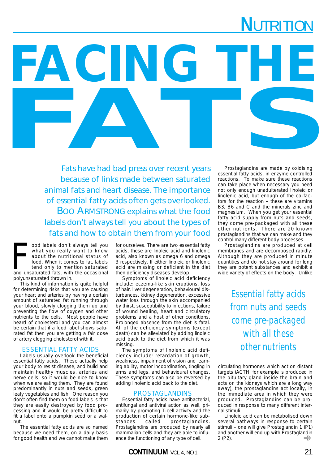## **NUTRITION**

FACING THE Fats have had bad press over recent years because of links made between saturated animal fats and heart disease. The importance of essential fatty acids often gets overlooked. BOO ARMSTRONG explains what the food labels don't always tell you about the types of fats and how to obtain them from your food

ood labels don't always tell you<br>what you really want to know<br>about the nutritional status of<br>food. When it comes to fat, labels<br>tend only to mention saturated<br>and unsaturated fats, with the occasional ood labels don't always tell you what you really want to know about the nutritional status of food. When it comes to fat, labels tend only to mention saturated polyunsaturated thrown in.

This kind of information is quite helpful for determining risks that you are causing your heart and arteries by having a certain amount of saturated fat running through your blood, slowly clogging them up and preventing the flow of oxygen and other nutrients to the cells. Most people have heard of cholesterol and you can almost be certain that if a food label shows saturated fat then you are getting a fair dose of artery clogging cholesterol with it.

## ESSENTIAL FATTY ACIDS

Labels usually overlook the beneficial essential fatty acids. These actually help your body to resist disease, and build and maintain healthy muscles, arteries and nerve cells, so it would be nice to know when we are eating them. They are found predominantly in nuts and seeds, green leafy vegetables and fish. One reason you don't often find them on food labels is that they are easily destroyed by food processing and it would be pretty difficult to fit a label onto a pumpkin seed or a walnut.

The essential fatty acids are so named because we need them, on a daily basis for good health and we cannot make them for ourselves. There are two essential fatty acids, these are linoleic acid and linolenic acid, also known as omega 6 and omega 3 respectively. If either linoleic or linolenic acid are missing or deficient in the diet then deficiency diseases develop.

Symptoms of linoleic acid deficiency include: eczema-like skin eruptions, loss of hair, liver degeneration, behavioural disturbances, kidney degeneration, excessive water loss through the skin accompanied by thirst, susceptibility to infections, failure of wound healing, heart and circulatory problems and a host of other conditions. Prolonged absence from the diet is fatal. All of the deficiency symptoms (except death) can be alleviated by adding linoleic acid back to the diet from which it was missing.

The symptoms of linolenic acid deficiency include: retardation of growth, weakness, impairment of vision and learning ability, motor incoordination, tingling in arms and legs, and behavioural changes. These symptoms can also be reversed by adding linolenic acid back to the diet.

## PROSTAGLANDINS

Essential fatty acids have antibacterial, antifungal and antiviral action as well, primarily by promoting T-cell activity and the production of certain hormone-like substances called prostaglandins. Prostaglandins are produced by nearly all mammalian cells and they are able to influence the functioning of any type of cell.

Prostaglandins are made by oxidising essential fatty acids, in enzyme controlled reactions. To make sure these reactions can take place when necessary you need not only enough unadulterated linoleic or linolenic acid, but enough of the co-factors for the reaction – these are vitamins B3, B6 and C and the minerals zinc and magnesium. When you get your essential fatty acid supply from nuts and seeds, they come pre-packaged with all these other nutrients. There are 20 known prostaglandins that we can make and they control many different body processes.

Prostaglandins are produced at cell membranes and are decomposed rapidly. Although they are produced in minute quantities and do not stay around for long they are potent substances and exhibit a wide variety of effects on the body. Unlike

> Essential fatty acids from nuts and seeds come pre-packaged with all these other nutrients

circulating hormones which act on distant targets (ACTH, for example is produced in the pituitary gland inside the brain and acts on the kidneys which are a long way away), the prostaglandins act locally, in the immediate area in which they were produced. Prostaglandins can be produced in response to many different internal stimuli.

Linoleic acid can be metabolised down several pathways in response to certain stimuli – one will give Prostaglandin 1 (P1) and another will end up with Prostaglandin 2 (P2). ➾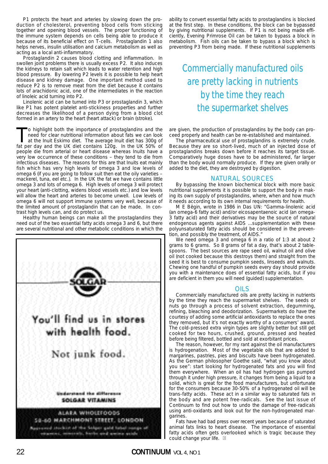P1 protects the heart and arteries by slowing down the production of cholesterol, preventing blood cells from sticking together and opening blood vessels. The proper functioning of the immune system depends on cells being able to produce it because of its beneficial effect on T-cells. Prostaglandin 1 also helps nerves, insulin utilisation and calcium metabolism as well as acting as a local anti-inflammatory.

Prostaglandin 2 causes blood clotting and inflammation. In swollen joint problems there is usually excess P2. It also induces the kidneys to retain salt which leads to water retention and high blood pressure. By lowering P2 levels it is possible to help heart disease and kidney damage. One important method used to reduce P2 is to remove meat from the diet because it contains lots of arachidonic acid, one of the intermediates in the reaction of linoleic acid turning into P2.

Linolenic acid can be turned into P3 or prostaglandin 3, which like P1 has potent platelet anti-stickiness properties and further decreases the likelihood of a person dying from a blood clot formed in an artery to the heart (heart attack) or brain (stroke).

To highlight both the importance of prostaglandins and the<br>need for clear nutritional information about fats we can look<br>at the lnuit Eskimo diet. The average lnuit diet has 300g of<br>fat per day and the LIK diet contains 12 need for clear nutritional information about fats we can look at the Inuit Eskimo diet. The average Inuit diet has 300g of fat per day and the UK diet contains 120g. In the UK 50% of people die from arterial or heart disease whereas Inuits have a very low occurrence of these conditions – they tend to die from infectious diseases. The reasons for this are that Inuits eat mainly fish which has very high levels of omega 3 and low levels of omega 6 (if you are going to follow suit then eat the oily varieties – mackerel, tuna, eel etc.). In the UK the fat we have contains little omega 3 and lots of omega 6. High levels of omega 3 will protect your heart (anti-clotting, widens blood vessels etc.) and low levels will allow the heart and arteries to become unwell. Low levels of omega 6 will not support immune systems very well, because of the limited amount of prostaglandin that can be made. In contrast high levels can, and do protect us.

Healthy human beings can make all the prostaglandins they need out of the two essential fatty acids omega 3 and 6, but there are several nutritional and other metabolic conditions in which the



ability to convert essential fatty acids to prostaglandins is blocked at the first step. In these conditions, the block can be bypassed by giving nutritional supplements. If P1 is not being made efficiently, Evening Primrose Oil can be taken to bypass a block in metabolism. Fish oils can be taken to bypass a block which is preventing P3 from being made. If these nutritional supplements

## Commercially manufactured oils are pretty lacking in nutrients by the time they reach the supermarket shelves

are given, the production of prostaglandins by the body can proceed properly and health can be re-established and maintained.

The pharmaceutical use of prostaglandins is extremely crude. Because they are so short-lived, much of an injected dose of prostaglandins breaks down before it reaches its target tissue. Comparatively huge doses have to be administered, far larger than the body would normally produce. If they are given orally or added to the diet, they are destroyed by digestion.

## NATURAL SOURCES

By bypassing the known biochemical block with more basic nutritional supplements it is possible to support the body in making its own supply of prostaglandins, where, when and how much it needs according to its own internal requirements for health.

M E Bëgin, wrote in 1986 in Das UN: "Gamma-linolenic acid (an omega-6 fatty acid) and/or eicosapentaenoic acid (an omega-3 fatty acid) and their derivatives may be the source of natural endogenous agents against AIDS ...supplementation with these polyunsaturated fatty acids should be considered in the prevention, and possibly the treatment, of AIDS."

We need omega 3 and omega 6 in a ratio of 1:3 at about 2 grams to 6 grams. So 8 grams of fat a day, that's about 2 tablespoons. The best sources are rape seed oil, walnut oil and olive oil (not cooked because this destroys them) and straight from the seed it is best to consume pumpkin seeds, linseeds and walnuts. Chewing one handful of pumpkin seeds every day should provide you with a maintenance does of essential fatty acids, but if you are deficient in them you will need (guided) supplementation.

## OILS

Commercially manufactured oils are pretty lacking in nutrients by the time they reach the supermarket shelves. The seeds or nuts go through a process of solvent extraction, degumming, refining, bleaching and deodorization. Supermarkets do have the courtesy of adding some artificial antioxidants to replace the ones they removed, but it's not exactly worthy of a consumers' award. The cold-pressed extra virgin types are slightly better but still get cooked for two hours, crushed, ground, pressed and heated before being filtered, bottled and sold at exorbitant prices.

The reason, however, for my rant against the oil manufacturers is hydrogenation. Most of the vegetable oils that are added to margarines, pastries, pies and biscuits have been hydrogenated. As the German philosopher Goethe said, "what you know about you see": start looking for hydrogenated fats and you will find them everywhere. When an oil has had hydrogen gas pumped through it under high pressure, it changes from being a liquid to a solid, which is great for the food manufacturers, but unfortunate for the consumers because 30-50% of a hydrogenated oil will be trans-fatty acids. These act in a similar way to saturated fats in the body and are potent free-radicals. See the last issue of Continuum to find out how to undo the damage of free-radicals using anti-oxidants and look out for the non-hydrogenated margarines.

Fats have had bad press over recent years because of saturated animal fats links to heart disease. The importance of essential fatty acids often gets overlooked which is tragic because they could change your life. **c**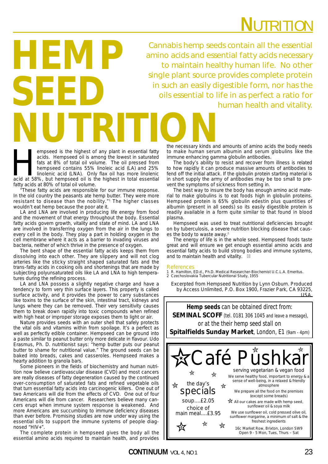# **N**UTRITION

Cannabis hemp seeds contain all the essential amino acids and essential fatty acids necessary to maintain healthy human life. No other single plant source provides complete protein in such an easily digestible form, nor has the oils essential to life in as perfect a ratio for human health and vitality.

empseed is the highest of any plant in essential fatty<br>acids. Hempseed oil is among the lowest in saturated<br>fats at 8% of total oil volume. The oil pressed from<br>hempseed contains 55% linoleic acid (LA) and 25%<br>linolenic ac acids. Hempseed oil is among the lowest in saturated fats at 8% of total oil volume. The oil pressed from hempseed contains 55% linoleic acid (LA) and 25% linolenic acid (LNA). Only flax oil has more linolenic acid at 58%, but hempseed oil is the highest in total essential fatty acids at 80% of total oil volume.

**HEMP**

**SEED**

 $*$ These fatty acids are responsible for our immune response. In the old country the peasants ate hemp butter. They were more resistant to disease than the nobility."1 The higher classes wouldn't eat hemp because the poor ate it.

LA and LNA are involved in producing life energy from food and the movement of that energy throughout the body. Essential fatty acids govern growth, vitality and state of mind. LA and LNA are involved in transferring oxygen from the air in the lungs to every cell in the body. They play a part in holding oxygen in the cell membrane where it acts as a barrier to invading viruses and bacteria, neither of which thrive in the presence of oxygen.

The bent shape of the essential fatty acids keeps them from dissolving into each other. They are slippery and will not clog arteries like the sticky straight shaped saturated fats and the trans-fatty acids in cooking oils and shortenings that are made by subjecting polyunsaturated oils like LA and LNA to high temperatures during the refining process.

LA and LNA possess a slightly negative charge and have a tendency to form very thin surface layers. This property is called surface activity, and it provides the power to carry substances like toxins to the surface of the skin, intestinal tract, kidneys and lungs where they can be removed. Their very sensitivity causes them to break down rapidly into toxic compounds when refined with high heat or improper storage exposes them to light or air.

Nature provides seeds with an outer shell that safely protects the vital oils and vitamins within from spoilage. It's a perfect as well as perfectly edible container. Hempseed can be ground into a paste similar to peanut butter only more delicate in flavour. Udo Erasmus, Ph. D. nutritionist says: "hemp butter puts our peanut butter to shame for nutritional value." The ground seeds can be baked into breads, cakes and casseroles. Hempseed makes a hearty addition to granola bars.

Some pioneers in the fields of biochemistry and human nutrition now believe cardiovascular disease (CVD) and most cancers are really diseases of fatty degeneration caused by the continued over-consumption of saturated fats and refined vegetable oils that turn essential fatty acids into carcinogenic killers. One out of two Americans will die from the effects of CVD. One out of four Americans will die from cancer. Researchers believe many cancers erupt when immune system response is weakened. And more Americans are succumbing to immune deficiency diseases than ever before. Promising studies are now under way using the essential oils to support the immune systems of people diagnosed "HIV+".

The complete protein in hempseed gives the body all the essential amino acids required to maintain health, and provides

the necessary kinds and amounts of amino acids the body needs to make human serum albumin and serum globulins like the immune enhancing gamma globulin antibodies. **NUTRITION**

The body's ability to resist and recover from illness is related to how rapidly it can produce massive amounts of antibodies to fend off the initial attack. If the globulin protein starting material is in short supply the army of antibodies may be too small to prevent the symptoms of sickness from setting in.

The best way to insure the body has enough amino acid material to make globulins is to eat foods high in globulin proteins. Hempseed protein is 65% globulin edestin plus quantities of albumin (present in all seeds) so its easily digestible protein is readily available in a form quite similar to that found in blood plasma.

Hempseed was used to treat nutritional deficiencies brought on by tuberculosis, a severe nutrition blocking disease that causes the body to waste away.<sup>2</sup>

The energy of life is in the whole seed. Hempseed foods taste great and will ensure we get enough essential amino acids and essential fatty acids to build strong bodies and immune systems, and to maintain health and vitality. **c**

### References

1 R. Hamilton, ED.d., Ph.D. Medical Researcher-Biochemist U.C.L.A. Emeritus.

2 Czechoslovakia Tubercular Nutritional Study, 1955

Excerpted from Hempseed Nutrition by Lynn Osburn. Produced by Access Unlimited, P.O. Box 1900, Frazier Park, CA 93225, USA.

**Hemp seeds** can be obtained direct from: **SEMINAL SCOFF** (tel. 0181 306 1045 and leave a message), or at the their hemp seed stall on **Spitalfields Sunday Market**, London, E1 (9am - 4pm)

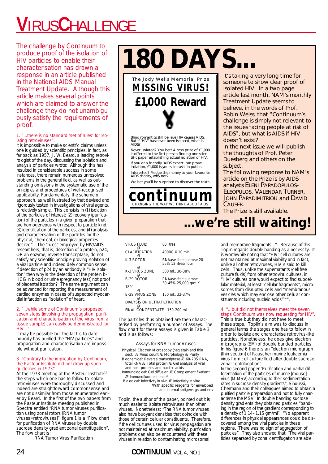# **V**IRUS**C**HALLENGE

The challenge by Continuum to produce proof of the isolation of HIV particles to enable their characterisation has drawn a response in an article published in the National AIDS Manual Treatment Update. Although this article makes several points which are claimed to answer the challenge they do not unambiguously satisfy the requirements of proof.

### 1. "...there is no standard 'set of rules' for isolating retroviruses'

It is impossible to make scientific claims unless one is guided by scientific principles. In fact, as far back as 1957, J. W. Beard, a leading retrovirologist of the day, discussing the isolation and analysis of particles wrote: "Although this has resulted in considerable success in some instances, there remain numerous unresolved problems in the general field, as well as outstanding omissions in the systematic use of the principles and procedures of well-recognised applicability. Fundamentally, the scheme of approach, as well illustrated by that devised and rigorously tested in investigations of viral agents, is relatively simple. This consists in (1) isolation of the particles of interest; (2) recovery (purification) of the particles in a given preparation that are homogeneous with respect to particle kind; (3) identification of the particles, and (4) analysis and characterisation of the particles for the physical, chemical, or biological properties desired"1 . The "rules" employed by HIV/AIDS researchers, that is, detection of a protein, p24, OR an enzyme, reverse transcriptase, do not satisfy any scientific principle proving isolation of a viral particle and indeed defy common sense. If detection of p24 by an antibody is "HIV isolation" then why is the detection of the protein b-HCG in blood or urine (pregnancy test) not proof of placental isolation? The same argument can be advanced for reporting the measurement of cardiac enzymes in cases of suspected myocardial infarction as "isolation" of heart.

### 2. "...while some of Continuum's proposed seven steps (involving the propagation, purification and characterisation of the virus from a tissue sample) can easily be demonstrated for  $HIV...$

It may be possible but the fact is to date nobody has purified the "HIV particles" and propagation and characterisation are impossible without purification.

### 3. "Contrary to the implication by Continuum, the Pasteur Institute did not draw up such guidelines in 1973'

At the 1973 meeting at the Pasteur Institute<sup>2,3</sup> the steps which one has to follow to isolate retroviruses were thoroughly discussed and indeed are straightforward commonsense and are not dissimilar from those enumerated earlier by Beard. In the first of the two papers from the Pasteur Institute meeting published in Spectra entitled "RNA tumor viruses purification using zonal rotors [RNA tumor viruses=retroviruses]", figure 1 is a "Flow chart for purification of RNA viruses by double sucrose density gradient zonal centrifugation". The flow chart is:

RNA Tumor Virus Purification

**180 DAYS...**

**£1,000 Reward MISSING VIRUS!** The Jody Wells Memorial Prize

Blind romantics still believe HIV causes AIDS. But if 'HIV' has never been isolated, what *is* AIDS?

Never isolated? You bet! A cash prize of £1,000 is offered to the first person finding one scien-tific paper establishing actual isolation of HIV. If you or a friendly 'AIDS expert' can prove isolation, £1,000 is yours. In cash. In public.

Interested? Pledge the money to your favourite AIDS charity, why not?

We bet you'll be surprised to discover the truth.

**continuum** CHANGING THE WAY WE THINK ABOUT AIDS

## It's taking a very long time for someone to show clear proof of isolated HIV. In a two page article last month, NAM's monthly *Treatment Update* seems to believe, in the words of Prof. Robin Weiss, that "*Continuum*'s challenge is simply not relevant to the issues facing people at risk of AIDS", but what is AIDS if HIV doesn't exist?

In the next issue we will publish the thoughts of Prof. Peter Duesberg and others on the subject.

The following response to NAM's article on the Prize is by AIDS<br>analysts ELENI PAPADOPULOS-**ELEOPULOS, VALENDAR TURNER, JOHN PAPADIMITRIOU and DAVID** CAUSER.

The Prize is still available.

## **...we're still waiting!**

VIRUS FLUID 80 litres CLARIFICATION 4000G X 10 min. Ø<br>K-3 ROTOR K-3 ROTOR RNAase-free sucrose 20- 55% 12 litres/hour Ø K-3 VIRUS ZONE 500 ml., 30-38% B-29 ROTOR B-29 ROTOR RNAase-free sucrose 30-45% 25,000 rpm X 180' Ø B-29 VIRUS ZONE 150 ml., 32-37% Ø DIALYSIS OR ULTRAFILTRATION Ø

FINAL CONCENTRATE 150-200 ml.

The particles thus obtained are then characterised by performing a number of assays. The flow chart for these assays is given in Table 3 and is as follows:

Assays for RNA Tumor Viruses

Physical: Electron Microscopy (neg stain and thin sect.) Æ Virus count Æ Morphology Æ Purity

- Biochemical: Reverse transcriptase Æ 60-70S RNA, total RNA Æ Total protein Æ Gel analysis of viral and host proteins and nucleic acids
- Immunological: Gel diffusion Æ Complement fixation\* Æ Immunofluoroescence\*
- Biological: Infectivity in vivo Æ Infectivity in vitro \*With specific reagents for enveloped
	- and internal antigens gs and env

Toplin, the author of this paper, pointed out it is much easier to isolate retroviruses than other viruses. Nonetheless: "The RNA tumor viruses also have buoyant densities that coincide with those of certain cellular constituents. Therefore, if the cell cultures used for virus propagation are not maintained at maximum viability, purification problems can also be encountered with these viruses in relation to contaminating microsomal

## 24 **CONTINUUM** VOL 4, NO 1

and membrane fragments...". Because of this Toplin regards double banding as a necessity. It is worthwhile noting that "HIV" cell cultures are not maintained at maximal viability and in fact, unlike all other retroviruses, HIV is said to kill cells. Thus, unlike the supernatants (cell free culture fluids) from other retroviral cultures, in "HIV" cultures one would expect to find subcellular material, at least "cellular fragments", microsomes from disrupted cells and "membranous vesicles which may enclose other cellular constituents including nucleic acids"<sup>2,4-6</sup>

### 4. "...but did not themselves meet the seven steps Continuum was now requesting for HIV".

This is true but they did not have to meet these steps. Toplin's aim was to discuss in general terms the stages one has to follow in order to isolate and characterise retrovirus-like particles. Nonetheless, he does give electron micrographs (EM) of double banded particles. In his figure 6 there is an "electron micrograph (thin section) of Rauscher murine leukaemia virus from cell culture fluid after double sucrose zonal centrifugation".

In the second paper "Purification and partial differentiation of the particles of murine [mouse] virus (M.MSV) according to their sedimentation rates in sucrose density gradients", Sinoussi, Chermann and their colleagues aimed to obtain a purified particle preparation and not to fully characterise the MSV. In double banding sucrose density gradients they obtained particles "banding in the region of the gradient corresponding to a density of 1.14- 1.15 gm/ml". "No apparent differences in physical appearances could be discovered among the viral particles in these regions. There was no sign of aggregation of particles". They also showed that: "The viral particles separated by zonal centrifugation are able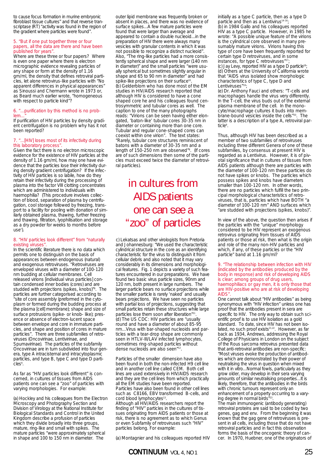to cause focus formation in murine embryonic fibroblast tissue cultures" and that reverse transcriptase (RT) "activity was found in the region of the gradient where particles were found".

#### 5. "But if one put together three or four papers, all the data are there and have been published for years"

Where are these three or four papers? Where is even one paper where there is electron micrographic evidence revealing particles of any shape or form at the density of 1.16 gm/ml, the density that defines retroviral particles, let alone retrovirus-like particles with "No apparent differences in physical appearances' as Sinoussi and Chermann wrote in 1973 or, as Beard much earlier wrote, "homogeneous with respect to particle kind"?

### 6. "...purification by this method is no problem...

If purification of HIV particles by density gradient centrifugation is no problem why has it not been reported?

### 7. "...[HIV] loses most of its infectivity during this laboratory process".

Given the fact there is no electron microscopic evidence for the existence of HIV particles at the density of 1.16 am/ml, how may one have evidence that the particles lose their infectivity during density gradient centrifugation? If the infectivity of HIV particles is so labile, how do they retain their infectivity during the processing of plasma into the factor VIII clotting concentrates which are administered to individuals with haemophilia? (This procedure involves collection of blood, separation of plasma by centrifugation, cool storage followed by freezing, transport to a facility for pooling with donation of similarly obtained plasma, thawing, further freezing and thawing, filtration, lyophilisation and storage as a dry powder for weeks to months before use<sup>7</sup>).

### 8. "HIV particles look different" from "naturally existing viruses

In the scientific literature there is no data which permits one to distinguish on the basis of appearances between endogenous (natural) and exogenous retroviruses. "Retroviruses are enveloped viruses with a diameter of 100-120 nm budding at cellular membranes. Cell released virions [individual virus particles] contain condensed inner bodies (cores) and are studded with projections (spikes, knobs)"8 . The particles are further categorised according to "site of core assembly (preformed in the cytoplasm or formed during the budding process at the plasma [cell] membrane); shape and size of surface protrusions (spike- or knob- like); presence or absence of electron-lucent space between envelope and core in immature particles, and shape and position of cores in mature particles". There are three subfamilies of retroviruses (Oncovirinae, Lentivirinae, and Spumavirinae). The particles of the subfamily Oncovirinae are in turn subdivided into four genera, type A intracisternal and intracytoplasmic particles, and type B, type C and type D particles<sup>9</sup>.

As far as "HIV particles look different" is concerned, in cultures of tissues from AIDS patients one can see a "zoo" of particles with varying morphologies. For example:

(a) Hockley and his colleagues from the Electron Microscopy and Photography Section and Division of Virology at the National Institute for Biological Standards and Control in the United Kingdom describe a profusion of particles which they divide broadly into three groups mature, ring-like and small with spikes. The mature particles "were approximately spherical in shape and 100 to 150 nm in diameter. The

outer lipid membrane was frequently broken or absent in places, and there was no evidence of surface spikes...A few mature particles were found that were larger than average and appeared to contain a double nucleoid...in the preparation of HIV there were always many vesicles with granular contents in which it was not possible to recognize a distinct nucleoid". Also, "The ring-like particles had a more consistently spherical shape and were larger (140 nm in diameter)" and the small particles "were usually spherical but sometimes slightly angular in shape and 65 to 90 nm in diameter" and had spike-like projections on their surface<sup>10</sup> (b) Gelderblom who has done most of the EM studies in HIV/AIDS research reported that although HIV is considered to have a cone shaped core he and his colleagues found centrosymmetric and tubular cores as well. The caption to one of the many photographs reads: "Virions can be seen having either elongated, 'baton-like' tubular cores 30-35 nm in diameter or containing more than one core. Tubular and regular cone-shaped cores can coexist within one virion". The text states: "Rarely, tubular core structures reminiscent of batons with a diameter of 30-35 nm and a length of 150-250 nm are observed"<sup>8</sup>. (If cores are of such dimensions then some of the particles must exceed twice the diameter of retroviral particles).

## in cultures from AIDS patients one can see a "zoo" of particles

c) Lekatsas and other virologists from Pretoria and Johannesburg: "We used the characteristic cylindrical structure in the core as an identifying characteristic for the virus to distinguish it from cellular debris and also noted that it may vary considerably in its dimensions and morphological features. Fig. 1 depicts a variety of such features encountered in our preparations. We have found two basic virus particle sizes, 90nm and 120 nm, both present in large numbers. The larger particle bears no surface projections while the smaller particle is rarely 'naked' and usually bears projections. We have seen no particles with partial loss of projections, suggesting that small particles retain these structures while large particles lose them soon after liberation"<sup>11</sup> (d) The US CDC: HIV particles are "usually round and have a diameter of about 85-95 nm...Virus with bar-shaped nucleoids and particles with a tear-drop shape are commonly seen in HTLV-III/LAV infected lymphocytes. sometimes ring-shaped particles without dense nucleoids are also seen"<sup>12</sup>

Particles of the smaller dimension have also been found in both the non-infected H9 cell line and in another cell line called CEM. Both cell lines are used extensively in HIV/AIDS research and they are the cell lines from which practically all the EM studies have been reported. Particles have also been found in other cell lines such as C8166, EBV transformed B-cells, and cord blood lymphocytes<sup>13</sup>. Although all HIV/AIDS researchers report the

finding of "HIV" particles in the cultures of tissues originating from AIDS patients or those at risk, there is no agreement as to which Genus or even Subfamily of retroviruses such "HIV" particles belong. For example:

(a) Montagnier and his colleagues reported HIV

initially as a type C particle, then as a type D particle and then as a Lentivirus<sup>14-16</sup>

(b) in 1984 Gallo and his colleagues reported HIV as a type C particle. However, in 1985 he wrote: "A possible unique feature of the virions is the cylindrical core observed in many presumably mature virions. Virions having this type of core have been frequently reported for certain type D retroviruses, and in some instances, for type C retroviruses"<sup>1</sup> (c) Jay Levy, reported HIV as a type D particle18; (d) Others at the University of California wrote that "AIDS virus isolated show morphologic characteristics of type C, type D and Lentiviruses"<sup>19</sup>

(e) Dr. Anthony Fauci and others: "T-cells and macrophages handle the virus very differently. In the T-cell, the virus buds out of the external plasma membrane of the cell. In the monocyte/macrophage cultures it buds into membrane-bound vesicles inside the cells"20. The latter is a description of a type A, retroviral particle<sup>9</sup>.

Thus, although HIV has been described as a member of two subfamilies of retroviruses including three different Genera of one of these subfamilies, by consensus at present HIV is regarded as a Lentivirus. However, it is of pivotal significance that in cultures of tissues from AIDS patients although there are particles with the diameter of 100-120 nm these particles do not have spikes or knobs. The particles which possess spikes and knobs have diameters smaller than 100-120 nm. In other words, there are no particles which fulfill the two principal morphological characteristics of retroviruses, that is, particles which have BOTH "a diameter of 100-120 nm" AND surfaces which "are studded with projections (spikes, knobs)".

In view of the above, the question then arises if the particles with the "unique" morphology considered to be HIV represent an exogenous retrovirus originating from tissues of AIDS patients or those at risk, then what is the origin and role of the many non-HIV particles and which, if any, of these particles or the "HIV particle" band at 1.16 gm/ml?

9. "The relationship between infection with HIV (indicated by the antibodies produced by the body in response) and risk of developing AIDS is clear; among groups of drug users haemophiliacs or gay men, it is only those that are HIV-positive who are at risk of developing AIDS".

One cannot talk about "HIV antibodies" as being synonymous with "HIV infection" unless one has proof that the antibodies present in sera are specific to HIV. The only way to obtain such scientific proof is to use HIV isolation as a gold standard. To date, since HIV has not been isolated, no such proof exists21,22. However, as far back as 1934, Andrews, addressing the Royal College of Physicians in London on the subject of the Rous sarcoma retrovirus presented data that anti-retroviral antibodies are non-specific: "Most viruses evoke the production of antibodies which are demonstrated by their power of neutralising the virus in question when mixed with it in vitro...Normal fowls, particularly as they grow older, may develop in their sera varying amounts of similar neutralising properties...It is likely, therefore, that the antibodies in the birds with chronic tumours represent only an enhancement of a property occurring to a varying degree in normal birds"<sup>2</sup>

The main immunogenic (antibody generating) retroviral proteins are said to be coded by two genes, gag and env. From the beginning it was known that the gag gene of retroviruses is present in all cells, including those that do not have retroviral particles and in fact this observation forms the basis of the oncogenic theory of cancer. In 1970, Huebner, one of the originators of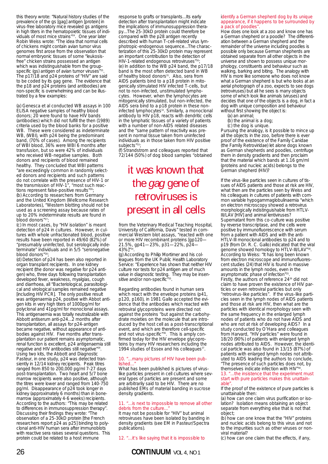this theory wrote: "Natural history studies of the prevalence of the gs [gag] antigen [protein] in virus-free laboratory mice revealed gs antigens in high titers in the hematopoietic tissues of individuals of most mice strains"24. One year later Robin Weiss wrote: "The idea that normal cells of chickens might contain avian tumor virus genomes first arose from the observation that normal embryonic tissues of some "leukosisfree" chicken strains possessed an antigen which was indistinguishable from the groupspecific (gs) antigen of avian tumor viruses' The p17/18 and p24 proteins of "HIV" are said to be coded by its gag gene. The evidence that the p18 and p24 proteins (and antibodies) are non-specific is overwhelming and can be illustrated by a few examples:

(a) Genesca et al conducted WB assays in 100 ELISA negative samples of healthy blood donors; 20 were found to have HIV bands (antibodies) which did not fulfill the then (1989) criteria used by the blood banks for a positive WB. These were considered as indeterminate WB, (WBI), with p24 being the predominant band, (70% of cases). Among the recipients of WBI blood, 36% were WBI 6 months after transfusion, but so were 42% of individuals who received WB-negative samples. Both donors and recipients of blood remained healthy. They concluded that WBI patterns "are exceedingly common in randomly selected donors and recipients and such patterns do not correlate with the presence of HIV-1 or the transmission of HIV-1", "most such reactions represent false-positive results"<sup>2</sup> (b) According to researchers from Germany and the United Kingdom (Wellcome Research Laboratories), "Western blotting should not be used as a screening assay because rates of up to 20% indeterminate results are found in blood donors"<sup>27</sup>

(c) In most cases, by "HIV isolation" is meant detection of p24 in cultures. However, in cultures with whole unfractionated blood, positive results have been reported in 49/60 (82%) of "presumably uninfected, but serologically indeterminate" individuals and in 5/5 "seronegative blood donors"<sup>2</sup>

(d) Detection of p24 has been also reported in organ transplant recipients. In one kidney recipient (the donor was negative for p24 antigen) who, three days following transplantation developed fever, weakness, myalgias, cough and diarrhoea, all "Bacteriological, parasitological and virological samples remained negative [including HIV PCR]. The only positive result was antigenaemia p24, positive with Abbot antigen kits in very high titers of 1000pg/ml for polyclonal and 41pg/ml for monoclonal assays. This antigenaemia was totally neutralizable with Abbott antiserum anti-p24...2 months after transplantation, all assays for p24-antigen became negative, without appearance of antibodies against HIV. Five months after transplantation our patient remains asymptomatic, renal function is excellent, p24 antigenaemia still negative and HIV antibodies still negative"<sup>29</sup> Using two kits, the Abbott and Diagnostic Pasteur, in one study, p24 was detected transiently in 12/14 kidney recipients. Peak titres ranged from 850 to 200,000 pg/ml 7-27 days post-transplantation. Two heart and 5/7 bone marrow recipients were also positive, although the titres were lower and ranged from 140-750 pg/ml. Disappearance of p24 took longer in kidney (approximately 6 months) than in bonemarrow (approximately 4-6 weeks) recipients. According to the authors: "This may be related to differences in immunosuppression therapy". Discussing their findings they wrote: "The observation of a 25-30kD protein [the French researchers report p24 as p25] binding to polyclonal anti-HIV human sera after immunoblots with reactive sera raises several questions. This protein could be related to a host immune

response to grafts or transplants...Its early detection after transplantation might indicate the implications of immunosuppression therapy...The 25-30kD protein could therefore be compared with the p28 antigen recently described with human T-cell-related virus lymphotropic-endogenous sequence...The characterization of this 25-30kD protein may represent an important contribution to the detection of HIV-1-related endogenous retroviruses"3 (e) In addition to the WB p24 band, the p17/18 band is the most often detected band in WB of healthy blood donors<sup>31</sup>. Also, sera from AIDS patients bind to a p18 protein in mitogenically stimulated HIV infected T-cells, but not to non-infected, unstimulated lymphocytes. However, when the lymphocytes are mitogenically stimulated, but non-infected, the AIDS sera bind to a p18 protein in these noninfected lymphocytes<sup>32</sup>. Similarly, a monoclonal antibody to HIV p18, reacts with dendritic cells in the lymphatic tissues of a variety of patients with a number of non-AIDS related diseases and the "same pattern of reactivity was present in normal tissue taken from uninfected individuals as in those taken from HIV positive subjects"<sup>33</sup>

(f) Strandstrom and colleagues reported that 72/144 (50%) of dog blood samples "obtained

## it was known that the *gag* gene of retroviruses is present in all cells

from the Veterinary Medical Teaching Hospital, University of California, Davis" tested in commercial Western blot assays, "reacted with one or more HIV recombinant proteins [qp120-21.5%, gp41—23%, p31—22%, p24— 43%]"34.

(g) According to Philip Mortimer and his colleagues from the UK Public Health Laboratory Service: "Experience has shown that neither HIV culture nor tests for p24 antigen are of much value in diagnostic testing. They may be insensitive and/or non-specific"<sup>35</sup>.

Regarding antibodies found in human sera which react with the envelope proteins (p41, p120, p160), in 1981 Gallo accepted the evidence that the antibodies which reacted with retroviral glycoproteins were directed not against the proteins "but against the carbohydrate moieties on the molecule that are introduced by the host cell as a post-transcriptional event, and which are therefore cell-specific and not virus-specific"<sup>36</sup>. This is amply confirmed today for the HIV envelope glycoproteins by many HIV researchers including the 1994 studies of Essex and his colleagues<sup>37</sup>.

### 10. "...many pictures of HIV have been published..."

What has been published is pictures of viruslike particles present in cell cultures where several types of particles are present and some are arbitrarily said to be HIV. There are no published EMs of material banding in sucrose density gradients.

### 11. "...is next to impossible to remove all other debris from the culture...

It may not be possible for "HIV" but animal retroviruses have been isolated by banding in density gradients (see EM in Pasteur/Spectra publications).

12. "...it's like saying that it is impossible to

### identify a German shepherd dog by its unique appearance, if it happens to be surrounded by a pack of poodles'

How does one look at a zoo and know one has a German shepherd or a poodle? The differentiation between a German shepherd and the remainder of the universe including poodles is possible only because German shepherds are obtained separate from all other objects in the universe and shown to possess unique morphology, constituents and behaviour such as walking, barking and biting. The analogy with HIV is more like someone who does not know what a German shepherd is but who looks at an aerial photograph of a zoo, expects to see dogs (retroviruses) but all he sees is many objects some of which look like animals (viruses) and decides that one of the objects is a dog, in fact a dog with unique composition and behaviour without first showing the object is:

- (a) an animal;
- (b) the animal is a dog;
- (c) the dog is unique.

Pursuing the analogy, is it possible to mince up all the objects in the zoo, before there is ever proof of the existence of the Family Canidae (the Family Retroviridae) let alone dogs known as German shepherds and poodles, centrifuge them in density gradients and then proclaim that the material which bands at 1.16 gm/ml (proteins and nucleic acids) belongs to the German shepherd (HIV)?

If the virus-like particles seen in cultures of tissues of AIDS patients and those at risk are HIV, what then are the particles seen by Weiss and his colleagues in cultures of patients with common variable hypogammaglobulinaemia "which on electron microscopy showed a retrovirus morphologically indistinguishable from HTLV-III/LAV [HIV] and animal lentiviruses? Supernatant from this co-culture was positive by reverse transcriptase, and the cells were positive by immunofluorescence with serum from a patient with AIDS and with the anti-HTLV-III monoclonal antibodies to p24 and to p19 (from Dr. R. C. Gallo) indicated that the viral genome showed homology to HTLV-III/LAV"38. According to Weiss: "It has long been known from electron microscope and immunofluorescent studies (24) that HIV is found in massive amounts in the lymph nodes, even in the asymptomatic phase of infection"<sup>25</sup> Firstly, the authors of reference 24<sup>39</sup> did not claim to have proven the existence of HIV particles or even retroviral particles but only "retrovirus-like particles". If the virus-like particles seen in the lymph nodes of AIDS patients and those at risk are HIV, then what are the particles with identical morphology seen with the same frequency in the enlarged lymph nodes of patients who do not have AIDS and who are not at risk of developing AIDS? In a study conducted by O'Hara and colleagues from Harvard, "HIV particles" were found in 18/20 (90%) of patients with enlarged lymph nodes attributed to AIDS. However, the identical particle was also found in 13/15 (87%) of patients with enlarged lymph nodes not attributed to AIDS leading the authors to conclude, "The presence of such particles does not, by themselves indicate infection with HIV"4

13. "...the insistence that the experiment must start with pure particles makes this unattainable".

If the proof of the existence of pure particles is unattainable then:

(a) how can one claim virus purification or isolation? Isolation means obtaining an object separate from everything else that is not that object;

(b) how can one know that the "HIV" proteins and nucleic acids belong to this virus and not to the impurities such as other viruses or nonviral material?

(c) how can one claim that the effects, if any,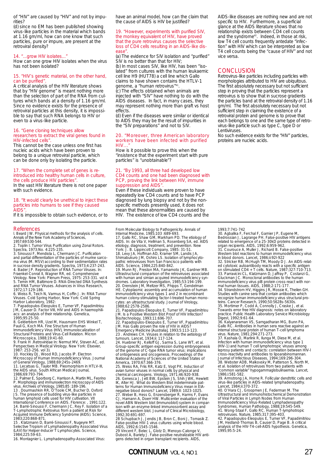of "HIV" are caused by "HIV" and not by impurities?

(d) since no EM has been published showing virus-like particles in the material which bands at 1.16 gm/ml, how can one know that such particles, pure or impure, are present at the retroviral density?

## 14. "...grow HIV isolates...

How can one grow HIV isolates when the virus has not been isolated?

### 15. "HIV's genetic material, on the other hand, can be purified".

A critical analysis of the HIV literature shows that by "HIV genome" is meant nothing more than the selection of part of the RNA from cultures which bands at a density of 1.16 gm/ml. Since no evidence exists for the presence of retroviral particles at this density, it is impossible to say that such RNA belongs to HIV or even to a virus-like particle.

### 16. "Gene cloning techniques allow

### researchers to extract the viral genes found in HIV-infected cells".

This cannot be the case unless one first has nucleic acids which have been proven to belong to a unique retroviral particle, which can be done only by isolating the particle.

### 17. "When the complete set of genes is reintroduced into healthy human cells in culture, the cells produce HIV particles".

In the vast HIV literature there is not one paper with such evidence.

### 18. "It would clearly be unethical to inject these particles into humans to see if they caused AIDS<sup>"</sup>

If it is impossible to obtain such evidence, or to

### References

l. Beard JW. Physical methods for the analysis of cells. Annals of the New York Academy of Sciences, 1957;69:530-544.

2. Toplin I. Tumor Virus Purification using Zonal Rotors.

Spectra, 1973; No. 4:225-235.<br>3. Sinoussi F, Mendiola L, Chermann JC. Purification<br>and partial differentiation of the particles of murine sarco-<br>ma virus (M. MSV) according to their sedimentation rates<br>in sucrose density g

Virology. New York: Plenum Press, 1975: 253-331. vol 4 5. Temin HM, Baltimore D. RNA-Directed DNA Synthesis and RNA Tumor Viruses. Advances in Virus Research, 1972;17:129-186.

6. Weiss R, Teich N, Varmus H, Coffin J. In: RNA Tumor Viruses. Cold Spring Harbor, New York: Cold Spring Harbor Laboratory, 1982:

7. Papadopulos-Eleopulos E, Turner VF, Papadimitriou JM, Causer D. Factor VIII, HIV and AIDS in haemophili-acs: an analysis of their relationship. Genetica, 1995;95:25-50.

8. Gelderblom HR, Uzel M, Hausmann EHS Winkel T,<br>Pauli G, Koch MA. Fine Structure of Human<br>Immunodeficiency Virus (HIV), Immunolocalization of<br>Structural Proteins and Virus-Cell Relation. Micron

Microscopica, 1988;19:41-60.<br>9. Frank H .Retroviridae In: Nermut MV, Steven AC, ed.<br>Perspectives in Medical Virology. New York: Elsevier,<br>1987: 253-256. vol 3).<br>10. Hockley DJ, Wood RD, Jacobs IP. Electron

Microscopy of Human Immunodeficiency Virus. Journal<br>of General Virology, 1988;69:245s-2469.<br>11. Lecatsas G, Taylor MB. Pleomorphism in HTLV-III,<br>11. Lecatsas G, Taylor MB. Pleomorphism in HTLV-III,<br>12. Palmer E, Sporborg C

15 . Klatzmann D, Barré-Sinoussi F, Nugeyre MT.

Selective Tropism of Lymphadenopathy Associated Virus (LAV) for Helper-Inducer T Lymphocytes. Science, 1984;225:59-63.

16. Montagnier L. Lymphadenopathy-Associated Virus:

have an animal model, how can the claim that the cause of AIDS is HIV be justified?

### 19. "However, experiments with purified SIV, the monkey equivalent of HIV, have proved that the pure retrovirus causes the selective loss of CD4 cells resulting in an AIDS-like disease

(a) The evidence for SIV isolation and "purified" SIV is no better than that for HIV; (b) In most cases SIV, like HIV, has been "isolated" from cultures with the human leukaemic cell line H9 (HUT78) a cell line which Gallo

claims to have shown contains the HTLV-1 genome, a "human retrovirus"41. (c) The effects obtained when animals are

injected with "SIV" have nothing to do with the AIDS diseases. In fact, in many cases, they may represent nothing more than graft vs host effects.

(d) Even if the diseases were similar or identical to AIDS they may be the result of impurities in the "SIV preparations" and not to SIV.

#### 20. "Moreover, three American laboratory workers have been infected with purified  $HIN$

How is it possible to prove this when the "insistence that the experiment start with pure particles" is "unobtainable"?

### 21. "By 1993, all three had developed low CD4 counts and one had been diagnosed with PCP, proving the link between HIV, immune suppression and AIDS

Even if these individuals were proven to have repeatedly low CD4 counts and to have PCP diagnosed by lung biopsy and not by the nonspecific methods presently used, it does not mean that these abnormalities are caused by HIV. The existence of low CD4 counts and the

From Molecular Biology to Pathogenicity. Annals of Internal Medicine, 1985;103 :689-693. 17. Gallo RC, Shaw GM, Markham PD. The etiology of AIDS. In: de Vita V, Hellman S, Rosenberg SA, ed. AIDS etiology, diagnosis, treatment, and prevention. New York: J. B. Lippincott Company, 1985: 31-51.<br>18. Levy JA, Hoffman AD, Kramer SM, Landis JA,<br>Shimabukuro JM, Oshiro LS. Isolation of lymphocyto-<br>pathic retroviruses from San Francisco patients with

AIDS. Science, 1984;225:840-842. 19. Munn RJ, Preston MA, Yamamoto JK, Gardner MB. Ultrastructural comparison of the retroviruses associated with human and simian acquired immunodeficiency syn-dromes. Laboratory Investigation, 1985;53:194-199. 20. Orenstein JM, Meltzer MS, Phipps T, Gendelman HE. Cytoplasmic assembly and accumulation of human immunodeficiency virus types 1 and 2 in recombinant human colony-stimulating factor-l-treated human mono-cytes: an ultrastructural study. Journal of Virology, 1988;62:2578-2586.

21. Papadopulos-Eleopulos E, Turner VF, Papadimitriou<br>JM. Is a Positive Western Blot Proof of HIV Infection?<br>Bio/technology, 1993;11:696-707.<br>22. Papadopulos-Eleopulos E, Turner VF, Papadimitriou<br>JM. Has Gallo proven the r

tumours. Lancet, 1934;ii: 117-124.<br>24. Huebner RJ, Kelloff GJ, Sarma S, Lane WT, et al.<br>Group-specific antigen expression during embryogenesis<br>of the genome of C-type RNA tumor virus: implications<br>of ontogenesis and oncoge

25. Weiss RA, Friis RR, Katz E, Vogt PK. Induction of avian tumor viruses in normal cells by physical and<br>chemical carcinogens. Virology, 1971;46:920-938.<br>26. Genesca J, Jett BW, Epstein JS, Shih JWK, Hewlett<br>IK, Alter HJ. What do Western Blot indeterminate patterns for Human Immunodeficiency Virus mean in EIA-<br>negative blood donors? Lancet, 1989;ll: 1023-1025.<br>27. Weber B, Hess G, Enzensberger R, Harms F, Evans<br>CJ, Hamann A, Doerr HW. Multicenter evaluation of the<br>novel ABN Wes different western blot. Journal of Clinical Microbiology 1992;30:691-697.

28 Schupbach J, Jendis JB, Bron C, Boni J, Tomasik Z. False-positive HIV-1 virus cultures using whole blood. AIDS, 1992;6:1545-1546.

29 Vincent F, Belec L, Glotz D, Menoyo-Calonge V, Dubost A, Bariety J. False-positive neutralizable HIV anti-gens detected in organ transplant recipients. AIDS,

**CONTINUUM** VOL 4, NO 1 27

AIDS-like diseases are nothing new and are not specific to HIV. Furthermore, a superficial glance at the AIDS literature shows that no relationship exists between CD4 cell counts and the syndrome<sup>42</sup>. Indeed, in those at risk, low T4 cell counts frequently antedate "infection" with HIV which can be interpreted as low T4 cell counts being the "cause of HIV" and not vice versa.

### **CONCLUSION**

Retrovirus-like particles including particles with morphologies attributed to HIV are ubiquitous. The first absolutely necessary but not sufficient step in proving that the particles represent a retrovirus is to show that in sucrose gradients the particles band at the retroviral density of 1.16 gm/ml. The first absolutely necessary but not sufficient step in claiming the existence of a retroviral protein and genome is to prove that each belongs to one and the same type of retrovirus-like particle such as type C, type D or Lentiviruses.

No such evidence exists for the "HIV" particles, proteins are nucleic acids.

1993;7:741-742<br>30. Agbalika F, Ferchal F, Garnier JP, Eugene M,<br>Bedrossian J, Lagrange PH. False-positive HIV antigens<br>related to emergence of a 25-30kD proteins detected in<br>organ recipients. AIDS, 1992:6:959-962.<br>31. Cour

Western blot reactions to human immunodeficiency virus<br>in blood donors. Lancet, 1986;ii:921-922<br>32. Stricker RB, McHugh TM, Moody D J. An AIDS-relat-<br>ed cytotoxic autoantibody reacts with a specific antigen<br>on stimulated C

36. Kalyanaraman VS, Sarngadharan MG, Bunn PA, Gallo RC. Antibodies in human sera reactive against an internal structural protein of human T-cell lymphoma

virus. Nature, 1981;294:271-273.<br>37. Kashala O, Marlink R, Ilunga M, Diese M, et al.<br>Infection with human immunodeficiency virus type 1<br>(HIV-1) and human T cell lymphotropic viruses among leprosy patients and contacts: correlation between HIV-I<br>cross-reactivity and antibodies to lipoarabinomannan<br>Journal of Infectious Diseases, 1994;169:296-304.<br>38. Webster ADB, Malkovsky M, Patterson S, North M, et al. Isolation of retroviruses from two patients with "common variable" hypogammaglobulinaemia. Lancet, 1986;i:581-582.

39. Armstrong JA, Horne R. Follicular dendtritic cells and<br>virus-like particles in AIDS-related lymphadenopathy.<br>Lancet, 1984;ii:370-372.<br>40. O'Hara CJ, Groopmen JE, Federman M. The<br>Ultrastructural and Immunohistochemical

of Viral Particles in Lymph Nodes from Human<br>Immunodeficiency Virus-Related Lymphadenopathy<br>Syndromes. Human Pathology, 1988;19:545-549.<br>41. Wong-Staal F, Gallo RC. Human T-lymphotropic<br>retroviruses. Nature, 1985;317:395-4 analysis of the HIV-T4-cell-AIDS hypothesis. Genetica, 1995;95:5-24.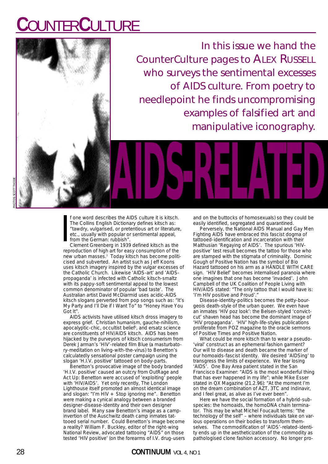# **C**OUNTER**C**ULTURE



In this issue we hand the CounterCulture pages to ALEX RUSSELL who surveys the sentimental excesses of AIDS culture. From poetry to needlepoint he finds uncompromising examples of falsified art and manipulative iconography.

I f one word describes the AIDS culture it is kitsch. The Collins English Dictionary defines kitsch as: "tawdry, vulgarised, or pretentious art or literature, etc., usually with popular or sentimental appeal, from the German: rubbish".

Clement Greenberg in 1939 defined kitsch as the reproduction of high art for easy consumption of the new urban masses.<sup>1</sup> Today kitsch has become politicised and subverted. An artist such as Jeff Koons uses kitsch imagery inspired by the vulgar excesses of the Catholic Church. Likewise 'AIDS-art' and 'AIDSpropaganda' is infected with Catholic kitsch-smaltz with its pappy-soft sentimental appeal to the lowest common denominator of popular 'bad taste'. The Australian artist David McDiarmid uses acidic-AIDS kitsch slogans perverted from pop songs such as: "It's My Party and I'll Die if I Want To" to "Honey Have You Got It".

AIDS activists have utilised kitsch dross imagery to express grief. Christian humanism, gauche-nihilism, apocalyptic-chic, occultist belief<sup>2</sup>, and ersatz science are constituents of HIV/AIDS kitsch. AIDS has been hijacked by the purveyors of kitsch consumerism from Derek Jarman's 'HIV'-related film Blue (a masturbatory-meditation on living-with-the-virus) to Benetton's calculatedly sensational poster campaign using the slogan 'H.I.V. positive' tattooed on body-parts.

Benetton's provocative image of the body branded 'H.I.V. positive' caused an outcry from OutRage and Act Up: Benetton were accused of 'exploiting' people with 'HIV/AIDS'. Yet only recently, The London Lighthouse itself promoted an almost identical image and slogan: "I'm HIV + Stop ignoring me". Benetton were making a cynical analogy between a branded designer-disease-identity and their own designer brand label. Many saw Benetton's image as a campinvertion of the Auschwitz death camp inmates tattooed serial number. Could Benetton's image become a reality? William F. Buckley, editor of the right-wing National Review, advocated tattooing "AIDS" on those tested 'HIV positive' (on the forearms of I.V. drug-users

and on the buttocks of homosexuals) so they could be easily identified, segregated and quarantined.

Perversely, the National AIDS Manual and Gay Men Fighting AIDS have embraced this fascist dogma of tattooed-identification and incarceration with their Malthusian 'Regaying of AIDS'. The spurious 'HIVpositive' test result becomes the tattoo for those who are stamped with the stigmata of criminality. Dominic Gough of Positive Nation has the symbol of Bio Hazard tattooed on his arm as a HANDLE WITH CARE sign. 'HIV Belief' becomes internalised paranoia where one imagines that one has become 'invaded'. John Campbell of the UK Coalition of People Living with HIV/AIDS stated: "The only tattoo that I would have is: 'I'm HIV positive and Proud'."

Disease-identity-politics becomes the petty-bourgeois death-style of the urban queer. We even have an inmates 'HIV poz look': the Belsen-styled 'convictcut' shaven head has become the dominant image of 'HIV propaganda'. 'HIV' high-life-styles publications proliferate from POZ magazine to the oracle sermons of Positive Times and Positive Nation.

What could be more kitsch than to wear a pseudo- 'viral' construct as an ephemeral fashion garment? Our will to disease and death became the marker of our homoaids-fascist identity. We desired 'AIDSing' to transgress the limits of experience. We fear losing 'AIDS'. One Bay Area patient stated in the San Francisco Examiner: "AIDS is the most wonderful thing that has ever happened in my life"; while Mike Esser stated in QX Magazine (21.2.96): "At the moment I'm on the dream combination of AZT, 3TC and Indinavir, and I feel great, as alive as I've ever been".

Here we have the social formation of a hybrid-subspecies: the homoaids, the homoDNA chain terminator. This may be what Michel Foucault terms: "the technology of the self" – where individuals take on various operations on their bodies to transform themselves. The commodification of 'AIDS'-related-identity ends up in the aestheticization of the commodity as pathologised clone fashion accessory. No longer pro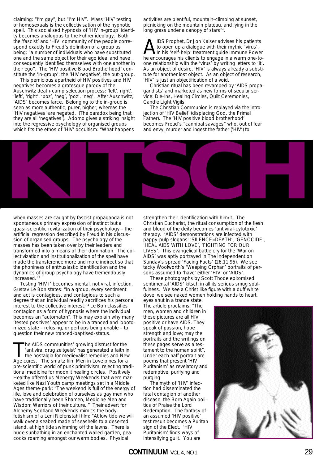claiming: "I'm gay", but "I'm HIV". Mass 'HIV' testing of homosexuals is the collectivisation of the hypnotic spell. This socialised hypnosis of 'HIV in-group' identity becomes analogous to the Fuhrer ideology. Both the 'fascist' and 'HIV' community of the people correspond exactly to Freud's definition of a group as being: "a number of individuals who have substituted one and the same object for their ego ideal and have consequently identified themselves with one another in their ego". The 'HIV positive Blood Brotherhood' constitute the 'in-group'; the 'HIV negative', the out-group.

This pernicious apartheid of HIV positives and HIV negatives becomes a grotesque parody of the Auschwitz death-camp selection process: 'left', right', 'left', 'right', 'poz', 'neg', 'poz', 'neg'. After Auschwitz, 'AIDS' becomes farce. Belonging to the in-group is seen as more authentic, purer, higher; whereas the 'HIV negatives' are negated. (The paradox being that they are all 'negatives'). Adorno gives a striking insight into the regressive psychology of organised groups which fits the ethos of 'HIV' occultism: "What happens

activities are plentiful, mountain-climbing at sunset, picnicking on the mountain plateau, and lying in the long grass under a canopy of stars"<sup>4</sup>.

AIDS Prophet, Dr Jon Kaiser advises his patients<br>to open up a dialogue with their mythic 'virus'.<br>he encourages his clients to engage in a warm one-to to open up a dialogue with their mythic 'virus'. In his 'self-help' treatment guide Immune Power he encourages his clients to engage in a warm one-toone relationship with the 'virus' by writing letters to 'it'. As an object of desire, 'HIV' is always already a substitute for another lost object. As an object of research, 'HIV' is just an objectification of a void.

Christian ritual has been revamped by 'AIDS propagandists' and marketed as new forms of secular service: Die-Ins, Healing Circles, Quilt Ceremonies, Candle Light Vigils.

The Christian Communion is replayed via the introjection of 'HIV Belief' (displacing God, the Primal Father). The 'HIV positive blood brotherhood' becomes Freud's "cannibal savages" who, out of fear and envy, murder and ingest the father ('HIV') to



when masses are caught by fascist propaganda is not spontaneous primary expression of instinct but a quasi-scientific revitalization of their psychology – the artificial regression described by Freud in his discussion of organised groups. The psychology of the masses has been taken over by their leaders and transformed into a means of their domination. The collectivization and institutionalization of the spell have made the transference more and more indirect so that the phoniness of enthusiastic identification and the dynamics of group psychology have tremendously increased."3

Testing 'HIV+' becomes mental, not viral, infection. Gustav Le Bon states: "In a group, every sentiment and act is contagious, and contagious to such a degree that an individual readily sacrifices his personal interest to the collective interest."4 Le Bon classifies contagion as a form of hypnosis where the individual becomes an "automaton". This may explain why many 'tested positives' appear to be in a tranced and lobotomized state – refusing, or perhaps being unable – to question their new tranced-baptised-status.

he AIDS communities' growing distrust for the 'antiviral drug zeitgeist' has generated a faith in the nostalgia for medievalist remedies and New Age cures. The smaltz film Men in Love pines for a pre-scientific world of punk primitivism; rejecting traditional medicine for moonlit healing circles. Positively Healthy offered us Menergy Weekends that were marketed like Nazi Youth camp meetings set in a Middle Ages theme-park: "The weekend is full of the energy of life, love and celebration of ourselves as gay men who have traditionally been Shamen, Medicine Men and Wisdom Warriors of their culture.." Their advert for Alchemy Scotland Weekends mimics the bodyfetishism of a Leni Riefenstahl film: "At low tide we will walk over a seabed made of seashells to a deserted island, at high tide swimming off the lawns. There is nude sunbathing in an enchanted walled garden, peacocks roaming amongst our warm bodies. Physical

strengthen their identification with him/it. The Christian Eucharist, the ritual consumption of the flesh and blood of the deity becomes 'antiviral-cytotoxic' therapy. 'AIDS' demonstrations are infected with pappy-pulp slogans: 'SILENCE=DEATH', 'GENOCIDE', 'HEAL AIDS WITH LOVE', 'FIGHTING FOR OUR LIVES'. This evangelical battle cry for the 'War on AIDS' was aptly portrayed in The Independent on Sunday's spread 'Facing Facts' (26.11.95). We see tacky Woolworth's 'Weeping Orphan' portraits of persons assumed to 'have' either 'HIV' or 'AIDS'.

These photographs by Scott Thode epitomised sentimental 'AIDS' kitsch in all its serious smug soulfulness. We see a Christ like figure with a duff white dove, we see naked women holding hands to heart,

eyes shut in a trance state. The article proclaims: "The men, women and children in these pictures are all HIV positive or have AIDS. They speak of passion, hope strength and love; may the portraits and the writings on these pages serve as a testament to the human spirit". Under each naff portrait are poems that present 'HIV Puritanism' as revelatory and redemptive, purifying and purging.

The myth of 'HIV' infection had disseminated the fatal contagion of another disease: the Born Again politics of Praise the Lord Redemption. The fantasy of an assumed 'HIV positive' test result becomes a Puritan sign of the Elect. 'HIV Puritanism' finds ways of intensifying guilt. You are

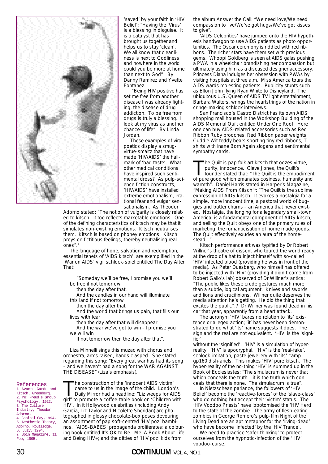

'saved' by your faith in 'HIV Belief': "Having the 'Virus' is a blessing in disguise. It is a catalyst that has brought us together and helps us to stay 'clean'. We all know that cleanliness is next to Godliness and nowhere in the world could you be more at home than next to God". By Danny Ramirez and Yvette Fontanez.

"Being HIV positive has set me free from another disease I was already fighting, the disease of drug addiction. To be free from drugs is truly a blessing. I look at my virus as another chance of life". By Linda Jordan.

These examples of viralpoetics display a smugvirtue-smaltz that have made 'HIV/AIDS' the hallmark of 'bad taste'. What other medical conditions have inspired such sentimental dross? As pulp-science fiction constructs, 'HIV/AIDS' have installed extreme emotionalism, irrational fear and vulgar sensationalism. As Theodor

Adorno stated: "The notion of vulgarity is closely related to kitsch. It too reflects marketable emotions. One of the defining characteristics of kitsch may be that it simulates non-existing emotions. Kitsch neutralises them. Kitsch is based on phoney emotions. Kitsch preys on fictitious feelings, thereby neutralising real ones".<sup>5</sup>

The language of hope, salvation and redemption, essential tenets of 'AIDS kitsch', are exemplified in the 'War on AIDS' vigil schlock-spiel entitled The Day After That:

"Someday we'll be free, I promise you we'll be free if not tomorrow

then the day after that.

And the candles in our hand will illuminate this land if not tomorrow

then the day after that

And the world that brings us pain, that fills our lives with fear

then the day after that will disappear

And the war we've got to win - I promise you we will win

If not tomorrow then the day after that".

Liza Minnelli sings this muzac with chorus and orchestra, arms raised, hands clasped. She stated regarding this song: "Every great war has had its song – and we haven't had a song for the WAR AGAINST THE DISEASE" (Liza's emphasis).

References 1. Avante-Garde and Kitsch, Greenberg. 2. re: Freud s Group Psychology, 1922. 3. The Culture Industry, Theodor Adorno. 4. Capital Gay,1994. 5. Aesthetic Theory, Adorno, Routledge. 6. July, 1994. 7. Spin Magazine, 11 Feb, 1995.

The construction of the 'innocent AIDS victim'<br>came to us in the image of the child. Londor<br>Daily Mirror had a headline: "Liz weeps for A<br>original a coffee-table book on 'Children' came to us in the image of the child. London's Daily Mirror had a headline: "Liz weeps for AIDS girl" to promote a coffee-table book on 'Children with HIV'. In it Hollywood celebrities (including Andy Garcia, Liz Taylor and Nicolette Sheridan) are photographed in glossy chocolate-box poses devouring an assortment of pap soft-centred 'HIV poz' bambinos. 'AIDS-BABES' propaganda proliferates: a colouring book entitled It's OK to Be...Me: A Book About Life and Being HIV+; and the ditties of 'HIV poz' kids from

the album Answer the Call: "We need love/We need compassion to live/We've got hugs/We've got kisses to give".

'AIDS Celebrities' have jumped onto the HIV hypothesis bandwagon to use AIDS patients as photo opportunities. The Oscar ceremony is riddled with red ribbons. The richer stars have them set with precious gems. Whoopi Goldberg is seen at AIDS galas pushing a PWA in a wheelchair brandishing her compassion but ultimately using him as a diseased designer accessory. Princess Diana indulges her obsession with PWAs by visiting hospitals at three a.m. Miss America tours the AIDS wards molesting patients. Publicity stunts such as Elton John flying Ryan White to Disneyland. The ubiquitous U.S. Queen of AIDS TV light entertainment, Barbara Walters, wrings the heartstrings of the nation in cringe-making schlock interviews.

San Francisco's Castro District has its own AIDS shopping mall housed in the Workshop Building of the AIDS Memorial Quilt entitled Under One Roof. Here one can buy AIDS-related accessories such as Red Ribbon Ruby brooches, Red Ribbon paper weights, Cuddle Wit teddy bears sporting tiny red ribbons, Tshirts with inane Born Again slogans and sentimental sympathy cards.

he Quilt is pap folk art kitsch that oozes virtue, purity, innocence. Cleve Jones, the Quilt's founder stated that: "The Quilt is the embodiment of pure good which emanates cosiness, humanity and warmth". Daniel Harris stated in Harper's Magazine, "Making AIDS From Kitsch"<sup>6</sup>: "The Quilt is the sublime expression of AIDS kitsch. It evokes a nostalgia for a simple, more innocent time, a pastoral world of buggies and butter churns – an America that never existed. Nostalgia, the longing for a legendary small-town America, is a fundamental component of AIDS kitsch, and selling the Quilt obeys one of the primary rules of marketing: the romanticisation of home made goods. The Quilt effectively exudes an aura of the homestead..."

Kitsch performance art was typified by Dr Robert Willner's theatre of dissent who toured the world ready at the drop of a hat to inject himself with so-called 'HIV' infected blood (providing he was in front of the media). As Peter Duesberg, who himself has offered to be injected with 'HIV' (providing it didn't come from Robert Gallo's lab) observed of Dr Willner's antics: "The public likes these crude gestures much more than a subtle, logical argument. Knives and swords and lions and crucifixions. Willner quite deserves the media attention he's getting. He did the thing that excites the public".7 Dr Willner was found dead in his car that year, apparently from a heart attack.

The acronym 'HIV' bares no relation to 'its' existence or alleged action; 'it' has never been demonstrated to do what 'its' name suggests it does. The sign and the real are not equivalent. 'HIV' is the 'signifier'

without the 'signified'. 'HIV' is a simulation of hyperreality. 'HIV' is apocryphal. 'HIV' is the 'real-fake', schlock-imitation, paste-jewellery with 'its' camp gp160 dish-ariels. This makes 'HIV' pure kitsch. The hyper-reality of the no-thing 'HIV' is summed up in the Book of Ecclesiastes: "The simulacrum is never that which conceals the truth – it is the truth which conceals that there is none. The simulacrum is true".

In Nietzschean parlance, the followers of 'HIV Belief' become the 'reactive-forces' of the 'slave-class' who do nothing but accept their 'victim' status. The 'HIV Voodoo Priests' have lobotomised the 'HIV Herd' to the state of the zombie. The army of flesh-eating zombies in George Romero's pulp-film Night of the Living Dead are an apt metaphor for the 'living-dead' who have become 'infected' by the 'HIV Trance'.

We need to practice 'safer-thinking' to protect ourselves from the hypnotic-infection of the 'HIV' voodoo-curse.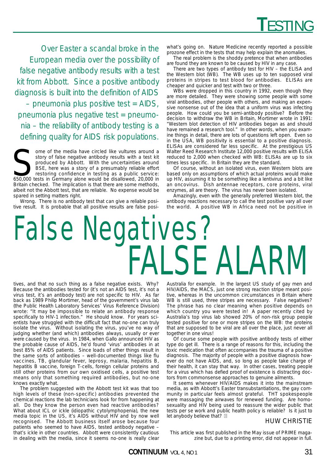*Over Easter a scandal broke in the European media over the possibility of false negative antibody results with a test kit from Abbott. Since a positive antibody diagnosis is built into the definition of AIDS*

*– pneumonia plus positive test = AIDS, pneumonia plus negative test = pneumonia – the reliability of antibody testing is a defining quality for AIDS risk populations.*

Some of the media have circled like vultures around a story of false negative antibody results with a test kit produced by Abbott. With the uncertainties around BSE, here was a story of a presumably reliable effort restori story of false negative antibody results with a test kit produced by Abbott. With the uncertainties around BSE, here was a story of a presumably reliable effort restoring confidence in testing as a public service: Britain checked. The implication is that there are some methods, albeit not the Abbott test, that are reliable. No expense would be spared in setting matters right.

Wrong. There is no antibody test that can give a reliable positive result. It is probable that all positive results are false posiwhat's going on. Nature Medicine recently reported a possible prozone effect in the tests that may help explain the anomalies.

The real problem is the shoddy pretence that when antibodies are found they are known to be caused by HIV in any case.

There are two types of antibody test for HIV – the ELISA and the Western blot (WB). The WB uses up to ten supposed viral proteins in stripes to test blood for antibodies. ELISAs are cheaper and quicker and test with two or three.

WBs were dropped in this country in 1992, even though they are more detailed. They were showing some people with some viral antibodies, other people with others, and making an expensive nonsense out of the idea that a uniform virus was infecting people. How could you be semi-antibody positive? Before the decision to withdraw the WB in Britain, Mortimer wrote in 1991: "Western blot detection of HIV antibodies began as and should have remained a research tool." In other words, when you examine things in detail, there are lots of questions left open. Even so in the USA, WB positivity is essential to a positive diagnosis. ELISAs are considered far less specific. At the prestigious US Walter Reed Research Institute 12,000 positive results with ELISA reduced to 2,000 when checked with WB: ELISAs are up to six times less specific. In Britain they are the standard.

Of course, without an isolated virus, even Western blots are based only on assumptions of which actual proteins would make up HIV, assuming it to be something like a lentivirus and a bit like an oncovirus. Dish antennae receptors, core proteins, viral enzymes, all are theory. The virus has never been isolated.

Amazingly, even with the generally preferred Western blot, the antibody reactions necessary to call the test positive vary all over the world. A positive WB in Africa need not be positive in

# False Negatives? FALSE ALARM

tives, and that no such thing as a false negative exists. Why? Because the antibodies tested for (it's not an AIDS test, it's not a virus test, it's an antibody test) are not specific to HIV. As far back as 1989 Philip Mortimer, head of the government's virus lab (the Public Health Laboratory Services' Virus Reference Division) wrote: "It may be impossible to relate an antibody response specifically to HIV-1 infection." He should know. For years scientists have struggled with the difficult fact that no-one can truly isolate the virus. Without isolating the virus, you've no way of judging whether (and which) antibodies always, usually or ever were caused by the virus. In 1984, when Gallo announced HIV as the probable cause of AIDS, he'd found 'virus' antibodies in at best 85% of AIDS patients. Since loads of other things result in the same sorts of antibodies – well-documented things like flu vaccines, TB, glandular fever, leprosy, malaria, hepatitis B, hepatitis B vaccine, foreign T-cells, foreign cellular proteins and still other proteins from our own oxidised cells, a positive test means only that something required antibodies, but no-one knows exactly what.

The problem suggested with the Abbott test kit was that too high levels of these (non-specific) antibodies prevented the chemical reactions the lab technicians look for from happening at all. Do they know the person even had reactive antibodies? What about ICL or ickle (idiopathic cytolymphopenia), the new media topic in the US, it's AIDS without HIV and by now well recognised. The Abbott business itself arose because four patients who seemed to have AIDS, tested antibody negative – that's ickle in other countries. Abbott were consistently cautious in dealing with the media, since it seems no-one is really clear

Australia for example. In the largest US study of gay men and HIV/AIDS, the MACS, just one strong reaction stripe meant positive, whereas in the uncommon circumstances in Britain where WB is still used, three stripes are necessary. False negatives? The phrase has no clear meaning when positive depends on which country you were tested in! A paper recently cited by Australia's top virus lab showed 20% of non-risk group people tested positive for one or more stripes on the WB: the proteins that are supposed to be viral are all over the place, just never all together in one virus!

Of course some people with positive antibody tests of either type do get ill. There is a range of reasons for this, including the toxic medication that often accompanies the trauma of a positive diagnosis. The majority of people with a positive diagnosis however do not have AIDS, and, so long as people take charge of their health, it can stay that way. In other cases, treating people for a virus which has defied proof of existence is distracting doctors from commonsense approaches to genuine ailments.

It seems whenever HIV/AIDS makes it into the mainstream media, as with Abbott's Easter transubstantiations, the gay community in particular feels almost grateful. THT spokespeople were massaging the airwaves for renewed funding. Are homosexuality and HIV being used to reassure the wider public that tests per se work and public health policy is reliable? Is it just to let anybody believe that? **c**

## HUW CHRISTIE

This article was first published in the May issue of PRIME magazine but, due to a printing error, did not appear in full.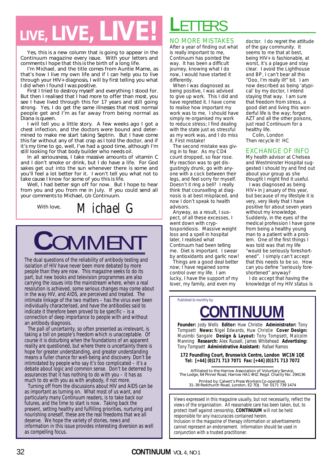# *LIVE, LIVE, LIVE!*

Yes, this is a new column that is going to appear in the *Continuum* magazine every issue. With your letters and comments I hope that this is the birth of a long life.

I'm Michael, and the title comes from Auntie Mame, as that's how I live my own life and if I can help you to live through your HIV+ diagnosis, I will by first telling you what I did when I found I was positive.

First I tried to destroy myself and everything I stood for. But then I realised that I had more to offer than most, you see I have lived through this for 17 years and still going strong. Yes, I do get the same illnesses that most normal people get and I'm as far away from being normal as Diana is queen.

I will tell you a little story. A few weeks ago I got a chest infection, and the doctors were bound and determined to make me start taking Septrin. But I have come this far without any of that crap as I told the doctor, and if it's my time to go, well, I've had a good time, although I'm still looking for that body builder who needs oil.

In all seriousness, I take massive amounts of vitamin C and I don't smoke or drink, but I do have a life. For God sakes get out into the sun whenever there is some and you'll feel a lot better for it. I won't tell you what not to take cause I know for some of you this is life.

Well, I had better sign off for now. But I hope to hear from you and you from me in July. If you could send all your comments to Michael, c/o *Continuum.*

With love, *Michael G* 



The dual questions of the reliability of antibody testing and isolation of HIV have never been more debated by more people than they are now. This magazine seeks to do its part, but new books and television programmes are also carrying the issues into the mainstream where, when a real resolution is achieved, some serious changes may come about in the way HIV, and AIDS, are perceived and treated. The intimate linkage of the two matters – has the virus ever been individually characterised, and have the antibodies said to indicate it therefore been proved to be specific – is a connection of deep importance to people with and without an antibody diagnosis.

The pall of uncertainty, so often presented as irrelevant, is taking a toll on people's freedom which is unacceptable. Of course it is disturbing when the foundations of an apparent reality are questioned, but where there is uncertainty there is hope for greater understanding, and greater understanding means a fuller chance for well-being and discovery. Don't be intimidated by people who say it's too complicated – it's a debate about logic and common sense. Don't be deterred by assurances that it has nothing to do with you – it has as much to do with you as with anybody, if not more.

Turning off from the discussions about HIV and AIDS can be as important as turning on. What most of us want, and particularly many Continuum readers, is to take back our futures, and the time to start is now. Taking back the present, setting healthy and fulfilling priorities, nurturing and nourishing oneself, these are the real freedoms that we all deserve. We hope the variety of stories, news and information in this issue provides interesting diversion as well as compelling focus.

# **L**ETTERS

## NO MORE MISTAKES

After a year of finding out what is really important to me, Continuum has pointed the way. It has been a difficult journey, knowing what I do now, I would have started it differently.

When I was diagnosed as being positive, I was advised to give up work. This I did and have regretted it. I have come to realise how important my work was to me. I should have simply re-organised my work to reduce stress; I find dealing with the state just as stressful as my work was, and I do miss it. First mistake!

The second mistake was giving in to fear. As my CD4 count dropped, so fear rose. My reaction was to get disgustingly drunk, go with anyone with a cock between their legs, and feel sorry for myself. Doesn't it ring a bell? I really think that counselling at diagnosis is at best misplaced, and now I don't speak to health advisors.

Anyway, as a result, I suspect, of all these excesses, I went down with cryptosporidiosis. Massive weight loss and a spell in hospital later, I realised what Continuum had been telling me. Diet is important. I swear by antioxidants and garlic now!

Things are a good deal better now; I have regained some control over my life. I am lucky, I have the support of my lover, my family, and even my

doctor. I do regret the attitude of the gay community. It seems to me that at best, being HIV+ is fashionable, at worst, it's a plague and stay clear. I avoid the Lighthouse and BP, I can't bear all this "Ooo, I'm really ill!" bit. I am now described as being 'atypical' by my doctor, I intend staying that way. I am sure that freedom from stress, a good diet and living this wonderful life is the way; forget AZT and all the other poisons, just read Continuum for a healthy life.

Colin, London Then recycle it! HC

## EXCHANGE OF INFO

My health advisor at Chelsea and Westminster Hospital suggested I should try and find out about your group as she thought I might find it useful.

I was diagnosed as being HIV+ in January of this year, but because of my lifestyle it is very, very likely that I have positive for about seven years without my knowledge. Suddenly, in the eyes of the medical profession I have gone from being a healthy young man to a patient with a problem. One of the first things I was told was that my life "would be seriously foreshortened". I simply can't accept that this needs to be so. How can you define "seriously foreshortened" anyway?

I do accept that having the knowledge of my HIV status is

Published bi-monthly by:

# **CONTINUUM**

**Founder:** Jody Wells **Editor:** Huw Christie **Administrator:** Tony Tompsett **News:** Nigel Edwards, Huw Christie **Cover Design:** Musimbi Sangale **Design & Layout:** Tony Tompsett, Malcolm Manning **Research:** Alex Russell, James Whitehead **Advertising:** Tony Tompsett **Administrative Assistant:** Rafael Ramos

**172 Foundling Court, Brunswick Centre, London WC1N 1QE Tel: [+44] (0)171 713 7071 Fax: [+44] (0)171 713 7072**

Affiliated to the Harrow Association of Voluntary Service, The Lodge, 64 Pinner Road, Harrow HA1 4HZ. Regd. Charity No: 294136

Printed by: Calvert's Press Workers Co-operative, 31–39 Redchurch Road, London, E2 7DJ. Tel: 0171 739 1474

Views expressed in this magazine usually, but not necessarily, reflect the views of the organisation. All reasonable care has been taken, but, to protect itself against censorship, **CONTINUUM** will not be held responsible for any inaccuracies contained herein. Inclusion in the magazine of therapy information or advertisements cannot represent an endorsement. Information should be used in conjunction with a trusted practitioner.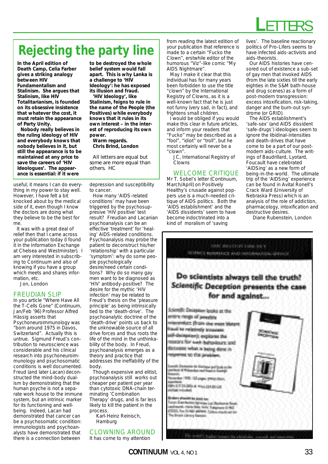

## **Rejecting the party line**

**In the April edition of** *Death Camp***, Celia Farber gives a striking analogy between HIV Fundamentalism and Stalinism. She argues that Stalinism, like HIV Totalitarianism, is founded on its obsessive insistence that whatever the cost, it must retain the appearance of Party Unity.** 

**Nobody really believes in the ruling ideology of HIV and everybody knows that nobody believes in it, but still the appearance is to be maintained at any price to save the careers of 'HIV Ideologues'. The appearance is essential: if it were**

useful; it means I can do everything in my power to stay well. However, I have felt a bit knocked about by the medical side of it, even though I know the doctors are doing what they believe to be the best for me.

It was with a great deal of relief then that I came across your publication today (I found it in the Information Exchange at Chelsea and Westminster). I am very interested in subscribing to Continuum and also of knowing if you have a group which meets and shares information, etc.

Jon, London

### FREUDIAN SLIP

In you article "Where Have All the T-Cells Gone" (Continuum, Jan/Feb '96) Professor Alfred Hässig asserts that Psychoneuroimmunology was "born around 1975 in Davos, Switzerland". Actually this is untrue. Sigmund Freud's contribution to neuroscience was considerable and his clinical research into psychoneuroimmunology and psychosomatic conditions is well documented. Freud (and later Lacan) deconstructed the mind-body dualism by demonstrating that the human psyche is not a separate work house to the immune system, but an intrinsic marker for its functioning and wellbeing. Indeed, Lacan had demonstrated that cancer can be a psychosomatic condition: immunologists and psychoanalysts have demonstrated that there is a connection between

**to be destroyed the whole belief system would fall apart. This is why Lanka is a challenge to 'HIV Ideology': he has exposed its illusion and fraud. 'HIV Ideology', like Stalinism, feigns to rule in**

**the name of the People (the Positives) while everybody knows that it rules in its own interest – in the interest of reproducing its own power.** 

**Warm regards. Chris Brind, London**

*All letters are equal but some are more equal than others. HC*

depression and susceptibility to cancer.

How many 'AIDS-related conditions' may have been triggered by the psychosuppresive 'HIV positive' test result? Freudian and Lacanian psychoanalysis can be an effective 'treatment' for 'healing' AIDS-related conditions. Psychoanalysis may probe the patient to deconstruct his/her 'relationship' with a particular 'symptom': why do some people psychologically desire/need certain conditions? Why do so many gay men want to be diagnosed as 'HIV' antibody-positive? The desire for the mythic 'HIV infection' may be related to Freud's thesis on the 'pleasure principle' as being intrinsically tied to the 'death-drive'. The psychoanalytic doctrine of the 'death-drive' points us back to the unknowable source of all drive forces and thus roots the life of the mind in the unthinkability of the body. In Freud, psychoanalysis emerges as a theory and practice that addresses the ineffability of the body.

Though expensive and elitist, psychoanalysis still works out cheaper per patient per year than cytotoxic DNA-chain terminating 'Combination Therapy' drugs, and is far less likely to kill the patient in the process.

Karl-Heinz Reinisch, Hamburg

CLOWNING AROUND It has come to my attention

from reading the latest edition of your publication that reference is made to a certain "Fucko the Clown", erstwhile editor of the humorous "Viz"-like comic "My AIDS Nightmare".

May I make it clear that this individual has for many years been forbidden to use the title "clown" by the International Registry of Clowns, as it is a well-known fact that he is just not funny (very sad, in fact), and frightens small children.

I would be obliged if you would make this clear in future articles, and inform your readers that "Fucko" may be described as a "fool", "idiot" or "troll", but he most certainly will never be a "clown".

JC, International Registry of Clowns

### WELCOME CRITIQUE

Mr T. Sobel's letter (Continuum, March/April) on Positively Healthy's crusade against poppers use is a much-needed critique of AIDS politics. Both the 'AIDS establishment' and the 'AIDS dissidents' seem to have become indoctrinated into a kind of moralism of 'saving

lives'. The baseline reactionary politics of Pro-Lifers seems to have infected aids-activists and aids-theorists.

Our AIDS histories have censored out of existence a sub-set of gay men that invoked AIDS (from the late sixties till the early eighties in the S&M bath-house and drug scenes) as a form of post-modern transgression: excess intoxification, risk-taking, danger and the burn-out syndrome (or GRID).

The AIDS establishment's 'safe-sex' (and AIDS dissident 'safe-drugs') ideologies seem to ignore the libidinal-intensities and death-drives that have come to be a part of our postmodern aids-culture. The writings of Baudrillard, Lyotard, Foucault have celebrated 'AIDSing' as a new form of being-in-the-world. The ultimate trip of the 'AIDSing' experience can be found in Avital Ronell's Crack Ward (University of Nebraska Press) which is an analysis of the role of addiction, pharmacology, intoxification and destructive desires.

Diane Rubenstein, London

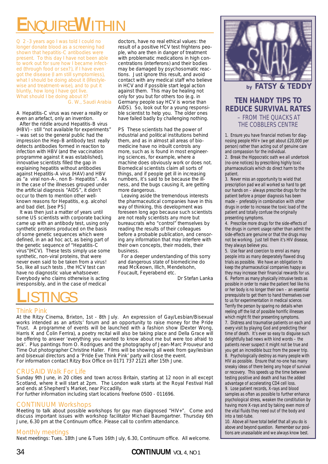# **E**NQUIRE**W**ITHIN

Q 2 -3 years ago I was told I could no longer donate blood as a screening had shown that hepatitis-C antibodies were present. To this day I have not been able to work out for sure how I became infected (through food or sex?), if I have even got the disease (I am still symptomless), what I should be doing about it (lifestylewise and treatment-wise), and to put it bluntly, how long I have got live. What should I be doing about it? G. W., Saudi Arabia

A Hepatitis-C virus was never a reality or even an artefact, only an invention.

After the riddle around Hepatitis-B virus (HBV) – still "not available for experiments" – was set so the general public had the impression the Hep-B antibody test really detects antibodies formed in reaction to infection with HBV (and the vaccination programme against it was established), innovative scientists filled the gap in explaining hepatitis without antibodies against Hepatitis-A virus (HAV) and HBV as "a viral non-A-, non B- Hepatitis". As in the case of the illnesses grouped under the artificial diagnosis "AIDS", it didn't occur to them to mention other wellknown reasons for Hepatitis, e.g. alcohol and bad diet. [see PS]

It was then just a matter of years until some US scientists with corporate backing came up with an antibody test, using only synthetic proteins produced on the basis of some genetic sequences which were defined, in an ad hoc act, as being part of the genetic sequence of "Hepatitis-C virus"(HCV). These tests simply use some synthetic, non-viral proteins, that were never even said to be taken from a virus! So, like all such tests , the HCV test can have no diagnostic value whatsoever. Everybody who claims otherwise is acting irresponsibly, and in the case of medical

doctors, have no real ethical values: the result of a positive HCV test frightens people, who are then in danger of treatment with problematic medications in high concentrations (interferons) and their bodies may be damaged by psychosomatic reactions. Just ignore this result, and avoid contact with any medical staff who believe in HCV and if possible start legal action against them. This may be healing not only for you but for others too (e.g. in Germany people say HCV is worse than AIDS). So, look out for a young responsible scientist to help you. The older ones have failed badly by challenging nothing.

PS These scientists had the power of industrial and political institutions behind them, and as in almost all areas of biomedicine have no inbuilt controls any more, such as is found in most engineering sciences, for example, where a machine does obviously work or does not. Biomedical scientists claim all sorts of things, and if people get ill in increasing numbers, it's said to be because the illness, and the bugs causing it, are getting more dangerous.

Leaving aside the tremendous interests the pharmaceutical companies have in this way of thinking, this development was foreseen long ago because such scientists are not really scientists any more but bureaucrats who "control" themselves by reading the results of their colleagues before a probable publication, and censoring any information that may interfere with their own concepts, their models, their business.

For a deeper understanding of this sorry and dangerous state of biomedicine do read McKeown, Illich, Mendelsohn, Foucault, Feyerabend etc.

Dr Stefan Lanka

# **L**ISTINGS

## Think Pink

At the Ritzy Cinema, Brixton, 1st - 8th July. An expression of Gay/Lesbian/Bisexual works intended as an artists' forum and an opportunity to raise money for the Pride Trust. A programme of events will be launched with a fashion show (Dexter Wong, Harris K and Colin Ferrira), a poetry recital will also be taking place and Della Grace will be offering to answer 'everything you wanted to know about me but were too afraid to ask'. Plus paintings from O. Rodrigues and the photography of Jean-Marc Prouveur and Time Out photographer Christine Haller. Films will be showing all week from gay/lesbian and bisexual directors and a 'Pride Eve Think Pink' party will close the event. For information contact Ritzy Box Office on 0171 737 2121 after 15th June.

## CRUSAID Walk For Life

Sunday 9th June, in 20 cities and town across Britain, starting at 12 noon in all except Scotland, where it will start at 2pm. The London walk starts at the Royal Festival Hall and ends at Shepherd's Market, near Piccadilly.

## For further information including start locations freefone 0500 - 011696.

## CONTINUUM Workshops

Meeting to talk about possible workshops for gay man diagnosed "HIV+". Come and discuss important issues with workshop facilitator Michael Baumgartner. Thursday 6th June, 6.30 pm at the Continuum office. Please call to confirm attendance.

## Monthly meetings

Next meetings: Tues. 18th June & Tues 16th July, 6.30, Continuum office. All welcome.



## *by FATSY & TEDDY*

## **TEN HANDY TIPS TO REDUCE SURVIVAL RATES** – FROM THE QUACKS AT THE COBBLERS CENTRE

1. Ensure you have financial motives for diagnosing people HIV+ (we get about £20,000 per person) rather than acting out of genuine care and compassion for the individual.

2. Break the Hippocratic oath we all undertook (no-one notices) by prescribing highly toxic pharmaceuticals which do direct harm to the patient.

3. Never miss an opportunity to wield that prescription pad we all worked so hard to get our hands on – always prescribe drugs for the patient before a proper diagnosis has been made – preferably in combination with other drugs in order to increase the toxic load of the patient and totally confuse the originally presenting symptoms.

4. Prescribe more drugs for the side-effects of the drugs in current usage rather than admit the side-effects are genuine or that the drugs may not be working. Just tell them it's HIV disease, they always believe you.

5. Use fear and coercion to enrol as many people into as many desperately flawed drug trials as possible. We have an obligation to keep the pharmaceutical companies happy as they may increase their financial rewards for us. 6. Perform as many physically intrusive tests as possible in order to make the patient feel like his or her body is no longer their own – an essential prerequisite to get them to hand themselves over to us for experimentation in medical science. Terrify the person by sparing no details when reeling off the list of possible horrific illnesses which might fit their presenting symptoms.

7. Distress and traumatise patients on each and every visit by playing God and predicting their time of death. It's ever so easy to disguise such delightfully bad news with kind words – the patients never suspect it might not be true and you get an incredible buzz from the power trip. 8. Psychologically destroy as many people with HIV as possible. Ensure that no-one has many sneaky ideas of there being any hope of survival or recovery. This speeds up the time between testing positive and death and has the added advantage of accelerating CD4 cell loss.

9. Lose patient records, X-rays and blood samples as often as possible to further enhance psychological stress, weaken the constitution by having more X-rays and by taking even more of the vital fluids they need out of the body and into a test-tube.

10. Above all have total belief that all you do is above and beyond question. Remember our positions are unassailable and we always know best.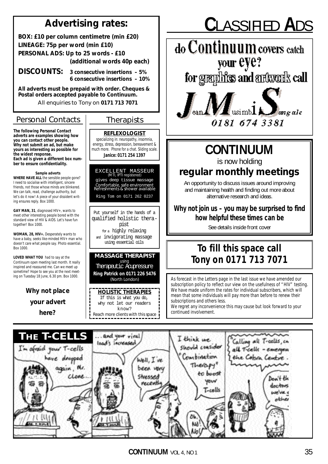## **Advertising rates:**

**BOX: £10 per column centimetre (min £20) LINEAGE: 75p per word (min £10) PERSONAL ADS: Up to 25 words - £10 (additional words 40p each)**

**DISCOUNTS: 3 consecutive insertions – 5% 6 consecutive insertions – 10%**

**All adverts must be prepaid with order. Cheques & Postal orders accepted payable to Continuum.**

All enquiries to Tony on **0171 713 7071**

## *Personal Contacts Therapists*

**The following Personal Contact adverts are examples showing how you can contact other people. Why not submit an ad, but make yours as interesting as possible for the widest response. Each ad is given a different box number to ensure confidentiality.**

**Sample adverts WHERE HAVE ALL** the sensible people gone? I need to socialise with intelligent, sincere friends, not those whose minds are blinkered. We can talk, read, challenge authority, but let's do it now! A piece of your dissident writing ensures reply. Box 1000.

**GAY MAN, 31**, diagnosed HIV+, wants to meet other interesting people bored with the standard view of HIV & AIDS. Let's have fun together! Box 1000.

**WOMAN, 28, HIV+.** Desperately wants to have a baby, seeks like-minded HIV+ man who doesn't care what people say. Photo essential. Box 1000.

**LOVED WHAT YOU** had to say at the Continuum open meeting last month. It really inspired and reassured me. Can we meet up sometime? Hope to see you at the next meeting on Tuesday 18 June, 6.30 pm. Box 1000.

> **Why not place** *your* **advert here?**

**REFLEXOLOGIST** specializing in: neuropathy, insomnia,

energy, stress, depression, bereavement & much more. Phone for a chat. Sliding scale. **Janice: 0171 254 1397**

EXCELLENT MASSEUR (MTI, IPTI registered) gives deep tissue massage *Comfortable, safe environment Refreshments & shower available*

Ring Tom on 0171 262 0237

Put yourself in the hands of a qualified holistic therapist for a highly relaxing and invigorating massage using essential oils

## **MASSAGE THERAPIST**

using Therapeutic Acupressure

**Ring Patrick on 0171 226 5476** (North London)

**HOLISTIC THERAPIES** If this is what you do, why not let our readers know? *Reach more clients with this space* 

# **C**LASSIFIED **A**DS





## **CONTINUUM**

is now holding

## **regular monthly meetings**

An opportunity to discuss issues around improving and maintaining health and finding out more about alternative research and ideas.

*Why not join us – you may be surprised to find how helpful these times can be*

See details inside front cover

## **To fill this space call Tony on 0171 713 7071**

As forecast in the Letters page in the last issue we have amended our subscription policy to reflect our view on the usefulness of "HIV" testing. We have made uniform the rates for individual subscribers, which will mean that some individuals will pay more than before to renew their subscriptions and others less.

We regret any inconvenience this may cause but look forward to your continued involvement.